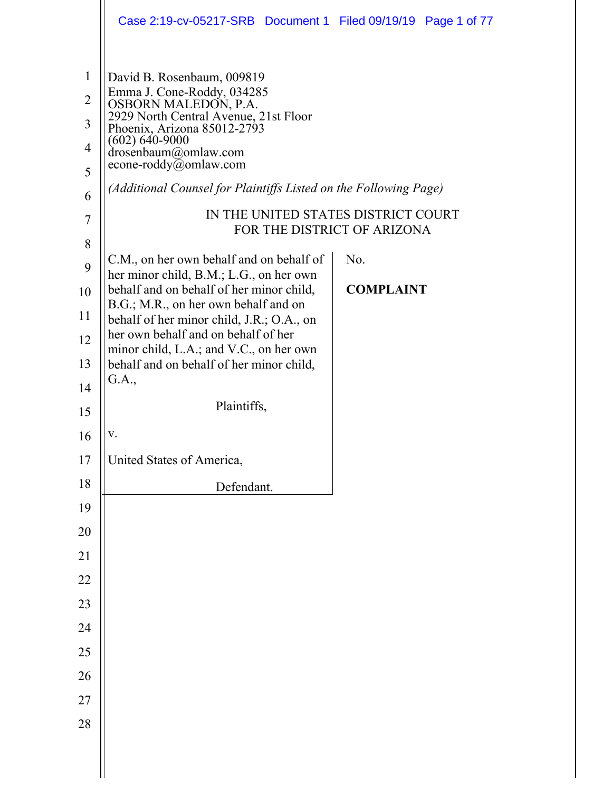|                                | Case 2:19-cv-05217-SRB  Document 1  Filed 09/19/19  Page 1 of 77                    |                                                                    |
|--------------------------------|-------------------------------------------------------------------------------------|--------------------------------------------------------------------|
| $\mathbf{1}$<br>$\overline{2}$ | David B. Rosenbaum, 009819<br>Emma J. Cone-Roddy, 034285<br>OSBORN MALEDON, P.A.    |                                                                    |
| 3                              | 2929 North Central Avenue, 21st Floor<br>Phoenix, Arizona 85012-2793                |                                                                    |
| 4                              | $(602) 640 - 9000$<br>drosenbaum@omlaw.com<br>econe-roddy@omlaw.com                 |                                                                    |
| 5                              |                                                                                     |                                                                    |
| 6                              | (Additional Counsel for Plaintiffs Listed on the Following Page)                    |                                                                    |
| 7                              |                                                                                     | IN THE UNITED STATES DISTRICT COURT<br>FOR THE DISTRICT OF ARIZONA |
| 8<br>9                         | C.M., on her own behalf and on behalf of                                            | No.                                                                |
| 10                             | her minor child, B.M.; L.G., on her own<br>behalf and on behalf of her minor child, | <b>COMPLAINT</b>                                                   |
| 11                             | B.G.; M.R., on her own behalf and on<br>behalf of her minor child, J.R.; O.A., on   |                                                                    |
| 12                             | her own behalf and on behalf of her<br>minor child, L.A.; and V.C., on her own      |                                                                    |
| 13                             | behalf and on behalf of her minor child,                                            |                                                                    |
| 14                             | G.A.,                                                                               |                                                                    |
| 15                             | Plaintiffs,                                                                         |                                                                    |
| 16                             | v.                                                                                  |                                                                    |
| 17                             | United States of America,                                                           |                                                                    |
| 18                             | Defendant.                                                                          |                                                                    |
| 19                             |                                                                                     |                                                                    |
| 20                             |                                                                                     |                                                                    |
| 21                             |                                                                                     |                                                                    |
| 22                             |                                                                                     |                                                                    |
| 23                             |                                                                                     |                                                                    |
| 24                             |                                                                                     |                                                                    |
| 25<br>26                       |                                                                                     |                                                                    |
| 27                             |                                                                                     |                                                                    |
| 28                             |                                                                                     |                                                                    |
|                                |                                                                                     |                                                                    |
|                                |                                                                                     |                                                                    |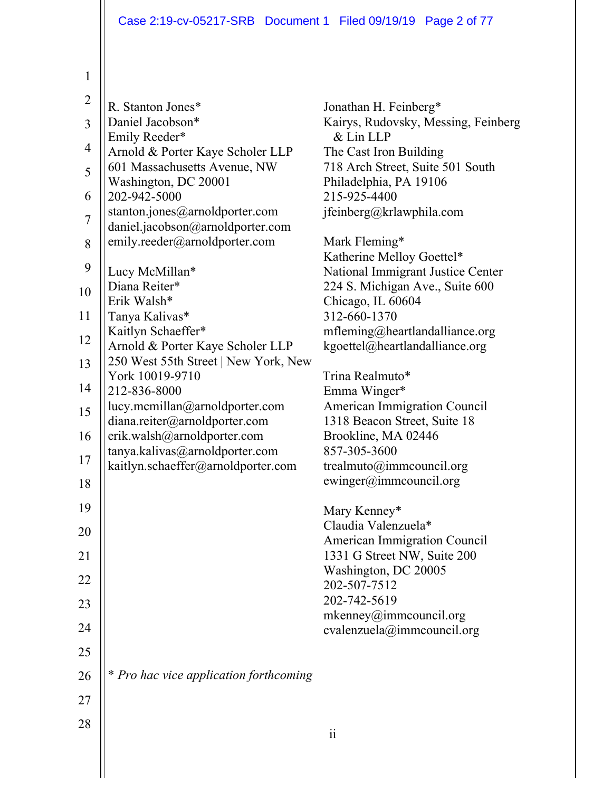| $\overline{2}$ | R. Stanton Jones*                                                    | Jonathan H. Feinberg*                                            |
|----------------|----------------------------------------------------------------------|------------------------------------------------------------------|
| $\overline{3}$ | Daniel Jacobson*                                                     | Kairys, Rudovsky, Messing, Feinberg                              |
|                | Emily Reeder*                                                        | & Lin LLP                                                        |
| $\overline{4}$ | Arnold & Porter Kaye Scholer LLP                                     | The Cast Iron Building                                           |
| 5              | 601 Massachusetts Avenue, NW                                         | 718 Arch Street, Suite 501 South                                 |
| 6              | Washington, DC 20001                                                 | Philadelphia, PA 19106<br>215-925-4400                           |
|                | 202-942-5000<br>stanton.jones@arnoldporter.com                       | jfeinberg@krlawphila.com                                         |
| $\overline{7}$ | daniel.jacobson@arnoldporter.com                                     |                                                                  |
| 8              | emily.reeder@arnoldporter.com                                        | Mark Fleming*                                                    |
|                |                                                                      | Katherine Melloy Goettel*                                        |
| 9              | Lucy McMillan*                                                       | National Immigrant Justice Center                                |
| 10             | Diana Reiter*                                                        | 224 S. Michigan Ave., Suite 600                                  |
|                | Erik Walsh*                                                          | Chicago, IL 60604                                                |
| 11             | Tanya Kalivas*                                                       | 312-660-1370                                                     |
| 12             | Kaitlyn Schaeffer*<br>Arnold & Porter Kaye Scholer LLP               | mfleming@heartlandalliance.org<br>kgoettel@heartlandalliance.org |
| 13             | 250 West 55th Street   New York, New                                 |                                                                  |
|                | York 10019-9710                                                      | Trina Realmuto*                                                  |
| 14             | 212-836-8000                                                         | Emma Winger*                                                     |
| 15             | lucy.mcmillan@arnoldporter.com                                       | <b>American Immigration Council</b>                              |
|                | diana.reiter@arnoldporter.com                                        | 1318 Beacon Street, Suite 18                                     |
| 16             | erik.walsh@arnoldporter.com                                          | Brookline, MA 02446                                              |
| 17             | tanya.kalivas@arnoldporter.com<br>kaitlyn.schaeffer@arnoldporter.com | 857-305-3600<br>trealmuto@immcouncil.org                         |
| 18             |                                                                      | ewinger@immcouncil.org                                           |
|                |                                                                      |                                                                  |
| 19             |                                                                      | Mary Kenney*                                                     |
| 20             |                                                                      | Claudia Valenzuela*                                              |
|                |                                                                      | <b>American Immigration Council</b>                              |
| 21             |                                                                      | 1331 G Street NW, Suite 200<br>Washington, DC 20005              |
| 22             |                                                                      | 202-507-7512                                                     |
| 23             |                                                                      | 202-742-5619                                                     |
|                |                                                                      | mkenney@immcount1.org                                            |
| 24             |                                                                      | cvalenzuela@immcouncil.org                                       |
| 25             |                                                                      |                                                                  |
|                |                                                                      |                                                                  |
| 26             | * Pro hac vice application forthcoming                               |                                                                  |
| 27             |                                                                      |                                                                  |
| 28             |                                                                      |                                                                  |
|                |                                                                      |                                                                  |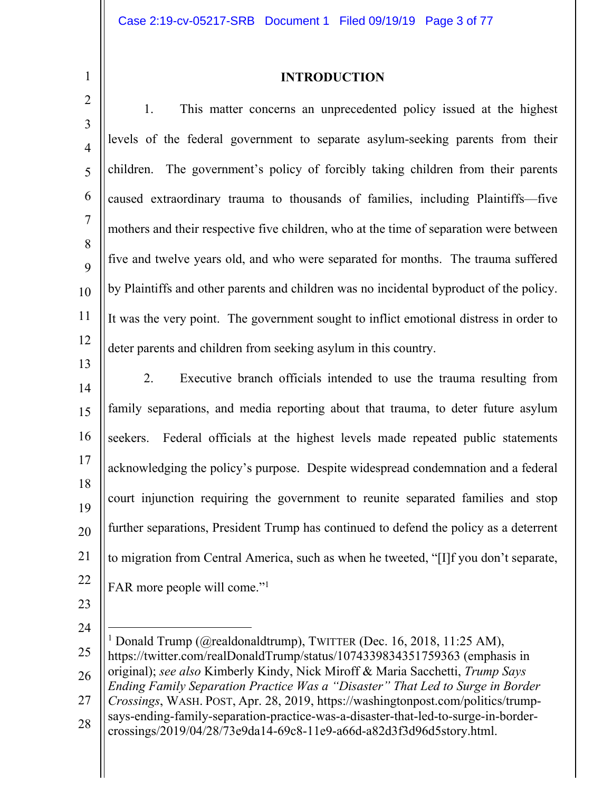# **INTRODUCTION**

2 3 4 5 6 7 8 9 10 11 12 13 1. This matter concerns an unprecedented policy issued at the highest levels of the federal government to separate asylum-seeking parents from their children.The government's policy of forcibly taking children from their parents caused extraordinary trauma to thousands of families, including Plaintiffs—five mothers and their respective five children, who at the time of separation were between five and twelve years old, and who were separated for months. The trauma suffered by Plaintiffs and other parents and children was no incidental byproduct of the policy. It was the very point. The government sought to inflict emotional distress in order to deter parents and children from seeking asylum in this country.

14 15 16 17 18 19 20 21 22 2. Executive branch officials intended to use the trauma resulting from family separations, and media reporting about that trauma, to deter future asylum seekers. Federal officials at the highest levels made repeated public statements acknowledging the policy's purpose. Despite widespread condemnation and a federal court injunction requiring the government to reunite separated families and stop further separations, President Trump has continued to defend the policy as a deterrent to migration from Central America, such as when he tweeted, "[I]f you don't separate, FAR more people will come."<sup>1</sup>

- 23
- 24

25 26 27 28 <sup>1</sup> Donald Trump (@realdonaldtrump), TWITTER (Dec. 16, 2018, 11:25 AM), https://twitter.com/realDonaldTrump/status/1074339834351759363 (emphasis in original); *see also* Kimberly Kindy, Nick Miroff & Maria Sacchetti, *Trump Says Ending Family Separation Practice Was a "Disaster" That Led to Surge in Border Crossings*, WASH. POST, Apr. 28, 2019, https://washingtonpost.com/politics/trumpsays-ending-family-separation-practice-was-a-disaster-that-led-to-surge-in-bordercrossings/2019/04/28/73e9da14-69c8-11e9-a66d-a82d3f3d96d5story.html.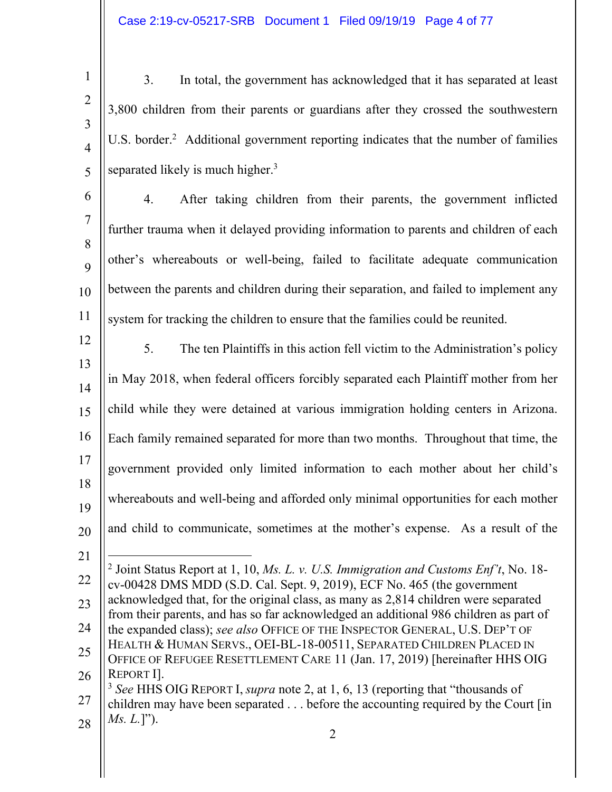2

3

4

5

3. In total, the government has acknowledged that it has separated at least 3,800 children from their parents or guardians after they crossed the southwestern U.S. border.<sup>2</sup> Additional government reporting indicates that the number of families separated likely is much higher. $3$ 

6 7 8 9 10 11 4. After taking children from their parents, the government inflicted further trauma when it delayed providing information to parents and children of each other's whereabouts or well-being, failed to facilitate adequate communication between the parents and children during their separation, and failed to implement any system for tracking the children to ensure that the families could be reunited.

- 12 13 14 15 16 17 18 19 20 5. The ten Plaintiffs in this action fell victim to the Administration's policy in May 2018, when federal officers forcibly separated each Plaintiff mother from her child while they were detained at various immigration holding centers in Arizona. Each family remained separated for more than two months. Throughout that time, the government provided only limited information to each mother about her child's whereabouts and well-being and afforded only minimal opportunities for each mother and child to communicate, sometimes at the mother's expense. As a result of the
- 21 22 23 24 25  $\overline{a}$ 2 Joint Status Report at 1, 10, *Ms. L. v. U.S. Immigration and Customs Enf't*, No. 18 cv-00428 DMS MDD (S.D. Cal. Sept. 9, 2019), ECF No. 465 (the government acknowledged that, for the original class, as many as 2,814 children were separated from their parents, and has so far acknowledged an additional 986 children as part of the expanded class); *see also* OFFICE OF THE INSPECTOR GENERAL, U.S. DEP'T OF HEALTH & HUMAN SERVS., OEI-BL-18-00511, SEPARATED CHILDREN PLACED IN OFFICE OF REFUGEE RESETTLEMENT CARE 11 (Jan. 17, 2019) [hereinafter HHS OIG
- 26 27 28 REPORT I]. <sup>3</sup> *See* HHS OIG REPORT I, *supra* note 2, at 1, 6, 13 (reporting that "thousands of children may have been separated . . . before the accounting required by the Court [in *Ms. L.*]").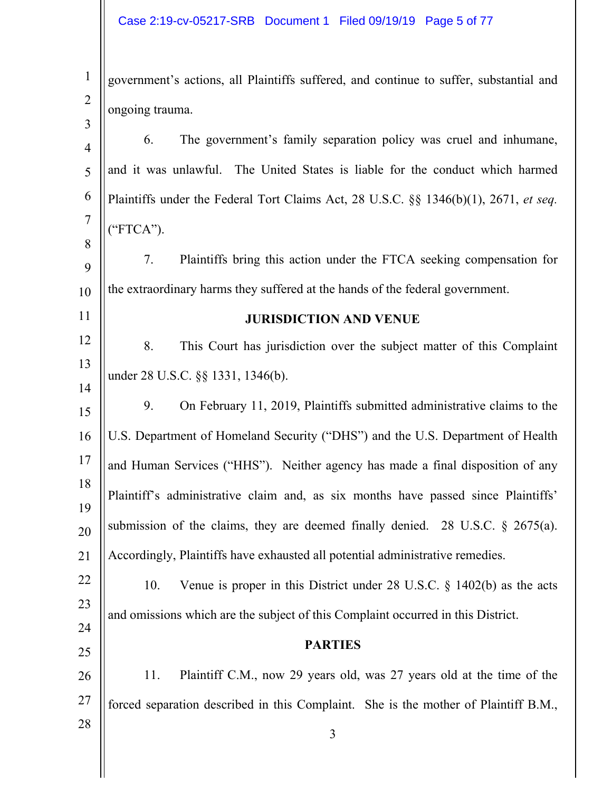| $\frac{1}{1}$   government's actions, all Plaintiffs suffered, and continue to suffer, substantial and |
|--------------------------------------------------------------------------------------------------------|
| $\begin{bmatrix} 2 \\ 3 \end{bmatrix}$ ongoing trauma.                                                 |
|                                                                                                        |

4 5 6 7 8 9 10 11 12 13 14 15 16 17 18 19 20 21 22 23 24 25 26 27 6. The government's family separation policy was cruel and inhumane, and it was unlawful. The United States is liable for the conduct which harmed Plaintiffs under the Federal Tort Claims Act, 28 U.S.C. §§ 1346(b)(1), 2671, *et seq.* ("FTCA"). 7. Plaintiffs bring this action under the FTCA seeking compensation for the extraordinary harms they suffered at the hands of the federal government. **JURISDICTION AND VENUE**  8. This Court has jurisdiction over the subject matter of this Complaint under 28 U.S.C. §§ 1331, 1346(b). 9. On February 11, 2019, Plaintiffs submitted administrative claims to the U.S. Department of Homeland Security ("DHS") and the U.S. Department of Health and Human Services ("HHS"). Neither agency has made a final disposition of any Plaintiff's administrative claim and, as six months have passed since Plaintiffs' submission of the claims, they are deemed finally denied. 28 U.S.C.  $\S$  2675(a). Accordingly, Plaintiffs have exhausted all potential administrative remedies. 10. Venue is proper in this District under 28 U.S.C. § 1402(b) as the acts and omissions which are the subject of this Complaint occurred in this District. **PARTIES**  11. Plaintiff C.M., now 29 years old, was 27 years old at the time of the forced separation described in this Complaint. She is the mother of Plaintiff B.M.,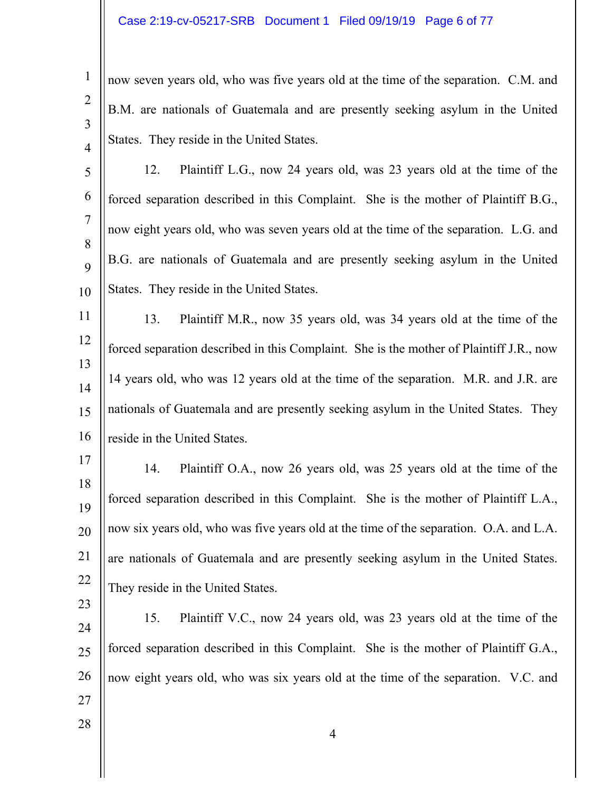2 3 4 now seven years old, who was five years old at the time of the separation. C.M. and B.M. are nationals of Guatemala and are presently seeking asylum in the United States. They reside in the United States.

5 6 7 8  $\mathbf Q$ 10 12. Plaintiff L.G., now 24 years old, was 23 years old at the time of the forced separation described in this Complaint. She is the mother of Plaintiff B.G., now eight years old, who was seven years old at the time of the separation. L.G. and B.G. are nationals of Guatemala and are presently seeking asylum in the United States. They reside in the United States.

11 12 13 14 15 16 13. Plaintiff M.R., now 35 years old, was 34 years old at the time of the forced separation described in this Complaint. She is the mother of Plaintiff J.R., now 14 years old, who was 12 years old at the time of the separation. M.R. and J.R. are nationals of Guatemala and are presently seeking asylum in the United States. They reside in the United States.

17 18 19 20 21 22 14. Plaintiff O.A., now 26 years old, was 25 years old at the time of the forced separation described in this Complaint. She is the mother of Plaintiff L.A., now six years old, who was five years old at the time of the separation. O.A. and L.A. are nationals of Guatemala and are presently seeking asylum in the United States. They reside in the United States.

24 25 26 15. Plaintiff V.C., now 24 years old, was 23 years old at the time of the forced separation described in this Complaint. She is the mother of Plaintiff G.A., now eight years old, who was six years old at the time of the separation. V.C. and

27 28

23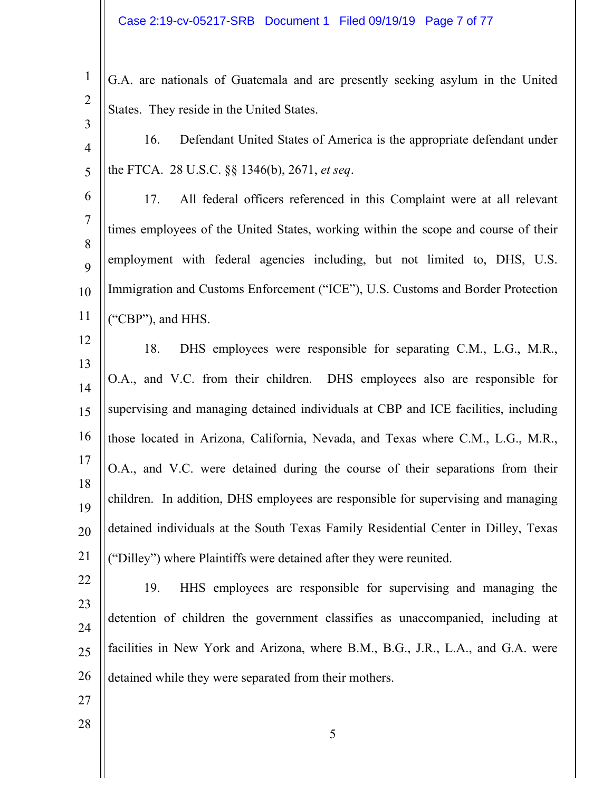1 2 G.A. are nationals of Guatemala and are presently seeking asylum in the United States. They reside in the United States.

4 5 16. Defendant United States of America is the appropriate defendant under the FTCA. 28 U.S.C. §§ 1346(b), 2671, *et seq*.

6 7 8 9 10 11 17. All federal officers referenced in this Complaint were at all relevant times employees of the United States, working within the scope and course of their employment with federal agencies including, but not limited to, DHS, U.S. Immigration and Customs Enforcement ("ICE"), U.S. Customs and Border Protection ("CBP"), and HHS.

12 13 14 15 16 17 18 19 20 21 18. DHS employees were responsible for separating C.M., L.G., M.R., O.A., and V.C. from their children. DHS employees also are responsible for supervising and managing detained individuals at CBP and ICE facilities, including those located in Arizona, California, Nevada, and Texas where C.M., L.G., M.R., O.A., and V.C. were detained during the course of their separations from their children. In addition, DHS employees are responsible for supervising and managing detained individuals at the South Texas Family Residential Center in Dilley, Texas ("Dilley") where Plaintiffs were detained after they were reunited.

22 23 24 25 26 19. HHS employees are responsible for supervising and managing the detention of children the government classifies as unaccompanied, including at facilities in New York and Arizona, where B.M., B.G., J.R., L.A., and G.A. were detained while they were separated from their mothers.

5

27

28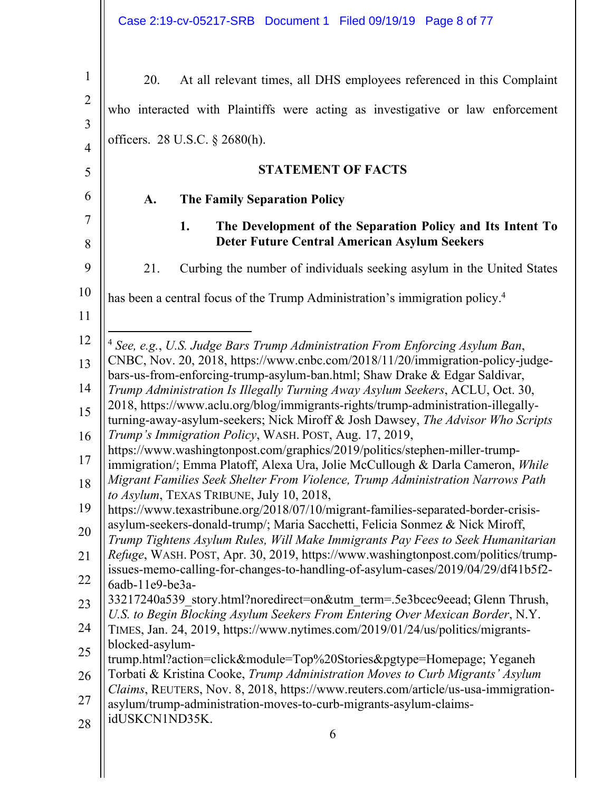| $\mathbf 1$    | 20.<br>At all relevant times, all DHS employees referenced in this Complaint                                                                                         |
|----------------|----------------------------------------------------------------------------------------------------------------------------------------------------------------------|
| $\overline{2}$ | who interacted with Plaintiffs were acting as investigative or law enforcement                                                                                       |
| 3              |                                                                                                                                                                      |
| $\overline{4}$ | officers. 28 U.S.C. § 2680(h).                                                                                                                                       |
| 5              | <b>STATEMENT OF FACTS</b>                                                                                                                                            |
| 6              | A.<br><b>The Family Separation Policy</b>                                                                                                                            |
| 7<br>8         | 1.<br>The Development of the Separation Policy and Its Intent To<br><b>Deter Future Central American Asylum Seekers</b>                                              |
| 9              | 21.<br>Curbing the number of individuals seeking asylum in the United States                                                                                         |
| 10             | has been a central focus of the Trump Administration's immigration policy. <sup>4</sup>                                                                              |
| 11             |                                                                                                                                                                      |
| 12             | <sup>4</sup> See, e.g., U.S. Judge Bars Trump Administration From Enforcing Asylum Ban,                                                                              |
| 13             | CNBC, Nov. 20, 2018, https://www.cnbc.com/2018/11/20/immigration-policy-judge-<br>bars-us-from-enforcing-trump-asylum-ban.html; Shaw Drake & Edgar Saldivar,         |
| 14             | Trump Administration Is Illegally Turning Away Asylum Seekers, ACLU, Oct. 30,                                                                                        |
| 15             | 2018, https://www.aclu.org/blog/immigrants-rights/trump-administration-illegally-<br>turning-away-asylum-seekers; Nick Miroff & Josh Dawsey, The Advisor Who Scripts |
| 16             | Trump's Immigration Policy, WASH. POST, Aug. 17, 2019,                                                                                                               |
| 17             | https://www.washingtonpost.com/graphics/2019/politics/stephen-miller-trump-<br>immigration/; Emma Platoff, Alexa Ura, Jolie McCullough & Darla Cameron, While        |
| 18             | Migrant Families Seek Shelter From Violence, Trump Administration Narrows Path<br>to Asylum, TEXAS TRIBUNE, July 10, 2018,                                           |
| 19             | https://www.texastribune.org/2018/07/10/migrant-families-separated-border-crisis-                                                                                    |
| 20             | asylum-seekers-donald-trump/; Maria Sacchetti, Felicia Sonmez & Nick Miroff,<br>Trump Tightens Asylum Rules, Will Make Immigrants Pay Fees to Seek Humanitarian      |
| 21             | Refuge, WASH. POST, Apr. 30, 2019, https://www.washingtonpost.com/politics/trump-                                                                                    |
| 22             | issues-memo-calling-for-changes-to-handling-of-asylum-cases/2019/04/29/df41b5f2-<br>6adb-11e9-be3a-                                                                  |
| 23             | 33217240a539 story.html?noredirect=on&utm term=.5e3bcec9eead; Glenn Thrush,                                                                                          |
| 24             | U.S. to Begin Blocking Asylum Seekers From Entering Over Mexican Border, N.Y.<br>TIMES, Jan. 24, 2019, https://www.nytimes.com/2019/01/24/us/politics/migrants-      |
| 25             | blocked-asylum-<br>trump.html?action=click&module=Top%20Stories&pgtype=Homepage; Yeganeh                                                                             |
| 26             | Torbati & Kristina Cooke, Trump Administration Moves to Curb Migrants' Asylum                                                                                        |
| 27             | Claims, REUTERS, Nov. 8, 2018, https://www.reuters.com/article/us-usa-immigration-<br>asylum/trump-administration-moves-to-curb-migrants-asylum-claims-              |
| 28             | idUSKCN1ND35K.<br>6                                                                                                                                                  |
|                |                                                                                                                                                                      |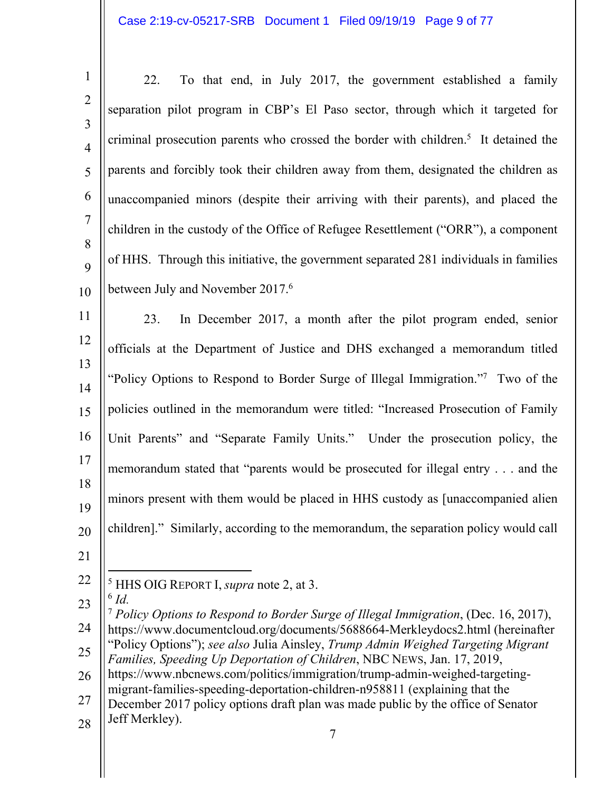| $\mathbf{1}$        | To that end, in July 2017, the government established a family<br>22.                                                                                                             |
|---------------------|-----------------------------------------------------------------------------------------------------------------------------------------------------------------------------------|
| $\overline{2}$      | separation pilot program in CBP's El Paso sector, through which it targeted for                                                                                                   |
| 3                   | criminal prosecution parents who crossed the border with children. <sup>5</sup> It detained the                                                                                   |
| $\overline{4}$<br>5 | parents and forcibly took their children away from them, designated the children as                                                                                               |
|                     |                                                                                                                                                                                   |
| 6                   | unaccompanied minors (despite their arriving with their parents), and placed the                                                                                                  |
| $\overline{7}$<br>8 | children in the custody of the Office of Refugee Resettlement ("ORR"), a component                                                                                                |
| 9                   | of HHS. Through this initiative, the government separated 281 individuals in families                                                                                             |
| 10                  | between July and November 2017. <sup>6</sup>                                                                                                                                      |
| 11                  | In December 2017, a month after the pilot program ended, senior<br>23.                                                                                                            |
| 12                  | officials at the Department of Justice and DHS exchanged a memorandum titled                                                                                                      |
| 13                  | "Policy Options to Respond to Border Surge of Illegal Immigration."7 Two of the                                                                                                   |
| 14                  |                                                                                                                                                                                   |
| 15                  | policies outlined in the memorandum were titled: "Increased Prosecution of Family                                                                                                 |
| 16                  | Unit Parents" and "Separate Family Units." Under the prosecution policy, the                                                                                                      |
| 17                  | memorandum stated that "parents would be prosecuted for illegal entry and the                                                                                                     |
| 18<br>19            | minors present with them would be placed in HHS custody as [unaccompanied alien                                                                                                   |
| 20                  | children]." Similarly, according to the memorandum, the separation policy would call                                                                                              |
| 21                  |                                                                                                                                                                                   |
| 22                  | <sup>5</sup> HHS OIG REPORT I, <i>supra</i> note 2, at 3.                                                                                                                         |
| 23                  | $6$ Id.                                                                                                                                                                           |
| 24                  | <sup>7</sup> Policy Options to Respond to Border Surge of Illegal Immigration, (Dec. 16, 2017),<br>https://www.documentcloud.org/documents/5688664-Merkleydocs2.html (hereinafter |
| 25                  | "Policy Options"); see also Julia Ainsley, Trump Admin Weighed Targeting Migrant<br>Families, Speeding Up Deportation of Children, NBC NEWS, Jan. 17, 2019,                       |
| 26                  | https://www.nbcnews.com/politics/immigration/trump-admin-weighed-targeting-                                                                                                       |
| 27                  | migrant-families-speeding-deportation-children-n958811 (explaining that the<br>December 2017 policy options draft plan was made public by the office of Senator                   |
| 28                  | Jeff Merkley).                                                                                                                                                                    |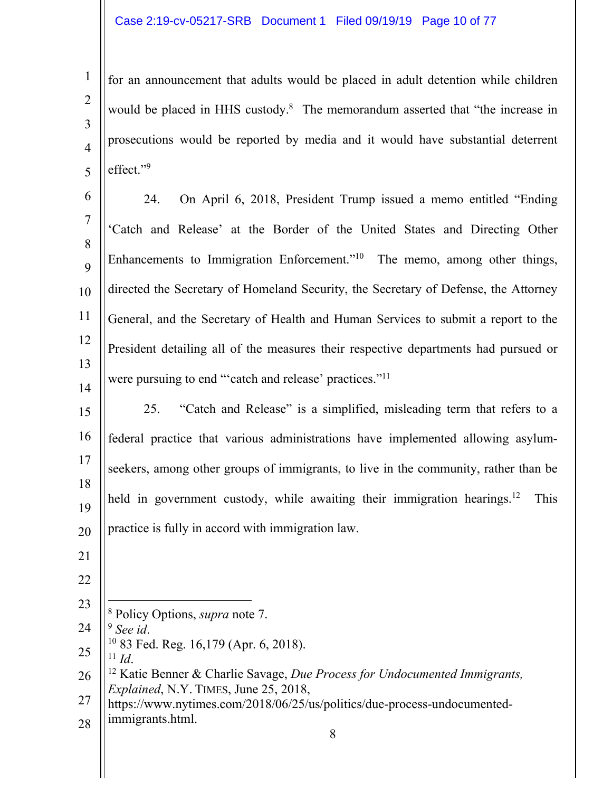for an announcement that adults would be placed in adult detention while children would be placed in HHS custody.<sup>8</sup> The memorandum asserted that "the increase in prosecutions would be reported by media and it would have substantial deterrent effect."9

6 7 8 9 10 11 12 13 14 24. On April 6, 2018, President Trump issued a memo entitled "Ending 'Catch and Release' at the Border of the United States and Directing Other Enhancements to Immigration Enforcement."<sup>10</sup> The memo, among other things, directed the Secretary of Homeland Security, the Secretary of Defense, the Attorney General, and the Secretary of Health and Human Services to submit a report to the President detailing all of the measures their respective departments had pursued or were pursuing to end "'catch and release' practices."<sup>11</sup>

15 16 17 18 19 20 25. "Catch and Release" is a simplified, misleading term that refers to a federal practice that various administrations have implemented allowing asylumseekers, among other groups of immigrants, to live in the community, rather than be held in government custody, while awaiting their immigration hearings.<sup>12</sup> This practice is fully in accord with immigration law.

21

1

2

3

4

5

- 22
- 23
- $\overline{a}$ 8 Policy Options, *supra* note 7.
- 24
- 25 <sup>9</sup> *See id. I*<sup>0</sup> 83 Fed. Reg. 16,179 (Apr. 6, 2018).
- 26 <sup>11</sup> *Id*. 12 Katie Benner & Charlie Savage, *Due Process for Undocumented Immigrants, Explained*, N.Y. TIMES, June 25, 2018,
- 27 28 https://www.nytimes.com/2018/06/25/us/politics/due-process-undocumentedimmigrants.html.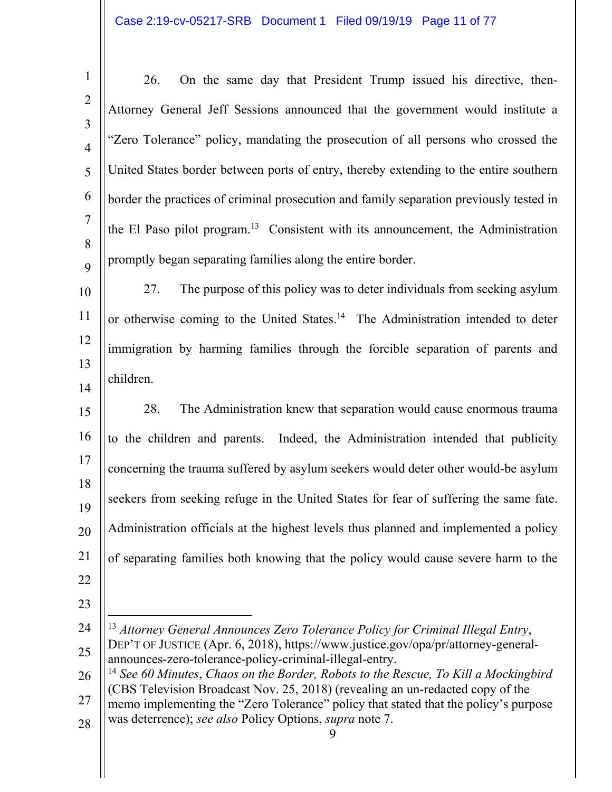# Case 2:19-cv-05217-SRB Document 1 Filed 09/19/19 Page 11 of 77

|                | 26.<br>On the same day that President Trump issued his directive, then-                       |
|----------------|-----------------------------------------------------------------------------------------------|
| $\overline{2}$ | Attorney General Jeff Sessions announced that the government would institute a                |
| 3              |                                                                                               |
|                | "Zero Tolerance" policy, mandating the prosecution of all persons who crossed the             |
| 5              | United States border between ports of entry, thereby extending to the entire southern         |
| 6              | border the practices of criminal prosecution and family separation previously tested in       |
|                | the El Paso pilot program. <sup>13</sup> Consistent with its announcement, the Administration |
| 8              |                                                                                               |
| 9              | promptly began separating families along the entire border.                                   |
| 10             | 27.<br>The purpose of this policy was to deter individuals from seeking asylum                |

11 12 13 14 or otherwise coming to the United States.<sup>14</sup> The Administration intended to deter immigration by harming families through the forcible separation of parents and children.

15 16 17 18 19 20 21 22 28. The Administration knew that separation would cause enormous trauma to the children and parents. Indeed, the Administration intended that publicity concerning the trauma suffered by asylum seekers would deter other would-be asylum seekers from seeking refuge in the United States for fear of suffering the same fate. Administration officials at the highest levels thus planned and implemented a policy of separating families both knowing that the policy would cause severe harm to the

23

27 28 memo implementing the "Zero Tolerance" policy that stated that the policy's purpose was deterrence); *see also* Policy Options, *supra* note 7.

<sup>24</sup>  25  $\overline{a}$ <sup>13</sup> *Attorney General Announces Zero Tolerance Policy for Criminal Illegal Entry*, DEP'T OF JUSTICE (Apr. 6, 2018), https://www.justice.gov/opa/pr/attorney-generalannounces-zero-tolerance-policy-criminal-illegal-entry.

<sup>26</sup>  <sup>14</sup> *See 60 Minutes*, *Chaos on the Border, Robots to the Rescue, To Kill a Mockingbird* (CBS Television Broadcast Nov. 25, 2018) (revealing an un-redacted copy of the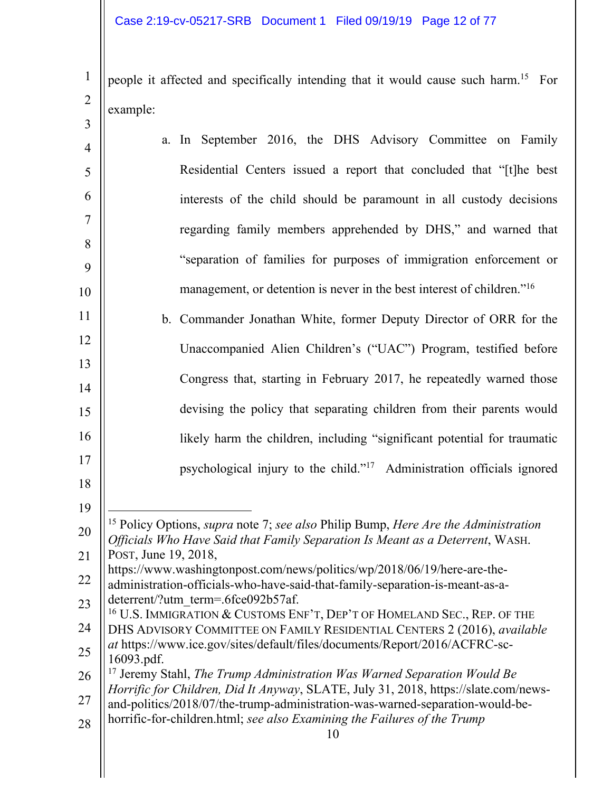2

 $\bigg\}$ 

people it affected and specifically intending that it would cause such harm.15 For example:

| 3              |                                                                                                                                                                   |
|----------------|-------------------------------------------------------------------------------------------------------------------------------------------------------------------|
| $\overline{4}$ | a. In September 2016, the DHS Advisory Committee on Family                                                                                                        |
| 5              | Residential Centers issued a report that concluded that "[t]he best                                                                                               |
| 6              | interests of the child should be paramount in all custody decisions                                                                                               |
| 7              | regarding family members apprehended by DHS," and warned that                                                                                                     |
| 8              | "separation of families for purposes of immigration enforcement or                                                                                                |
| 9<br>10        | management, or detention is never in the best interest of children." <sup>16</sup>                                                                                |
| 11             | b. Commander Jonathan White, former Deputy Director of ORR for the                                                                                                |
| 12             |                                                                                                                                                                   |
| 13             | Unaccompanied Alien Children's ("UAC") Program, testified before                                                                                                  |
| 14             | Congress that, starting in February 2017, he repeatedly warned those                                                                                              |
| 15             | devising the policy that separating children from their parents would                                                                                             |
| 16             | likely harm the children, including "significant potential for traumatic                                                                                          |
| 17             | psychological injury to the child." <sup>17</sup> Administration officials ignored                                                                                |
| 18<br>19       |                                                                                                                                                                   |
| 20             | <sup>15</sup> Policy Options, <i>supra</i> note 7; <i>see also</i> Philip Bump, <i>Here Are the Administration</i>                                                |
| 21             | Officials Who Have Said that Family Separation Is Meant as a Deterrent, WASH.<br>POST, June 19, 2018,                                                             |
| 22             | https://www.washingtonpost.com/news/politics/wp/2018/06/19/here-are-the-<br>administration-officials-who-have-said-that-family-separation-is-meant-as-a-          |
| 23             | deterrent/?utm term=.6fce092b57af.<br><sup>16</sup> U.S. IMMIGRATION & CUSTOMS ENF'T, DEP'T OF HOMELAND SEC., REP. OF THE                                         |
| 24             | DHS ADVISORY COMMITTEE ON FAMILY RESIDENTIAL CENTERS 2 (2016), available                                                                                          |
| 25             | at https://www.ice.gov/sites/default/files/documents/Report/2016/ACFRC-sc-<br>16093.pdf.                                                                          |
| 26             | $17$ Jeremy Stahl, The Trump Administration Was Warned Separation Would Be<br>Horrific for Children, Did It Anyway, SLATE, July 31, 2018, https://slate.com/news- |
| 27             | and-politics/2018/07/the-trump-administration-was-warned-separation-would-be-<br>horrific-for-children.html; see also Examining the Failures of the Trump         |
| 28             | 10                                                                                                                                                                |
|                |                                                                                                                                                                   |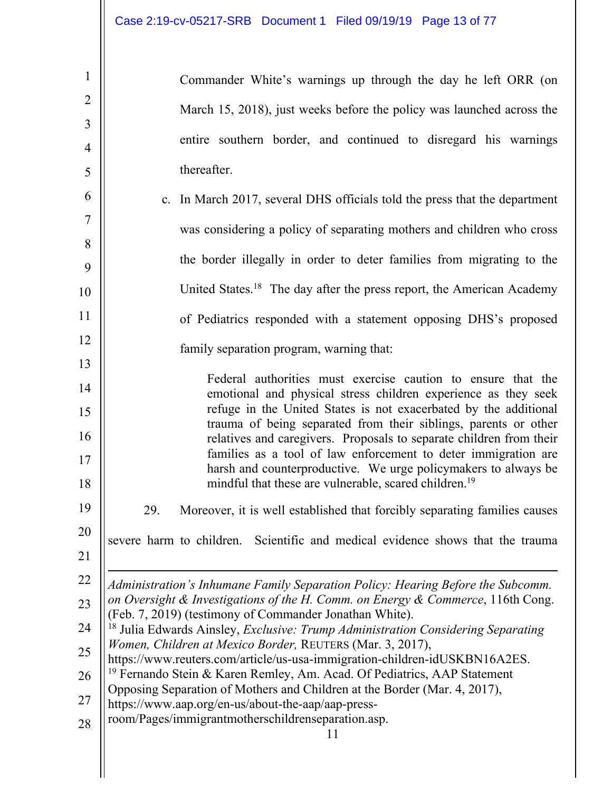| $\mathbf{1}$        | Commander White's warnings up through the day he left ORR (on                                                                                                                                         |
|---------------------|-------------------------------------------------------------------------------------------------------------------------------------------------------------------------------------------------------|
| $\overline{2}$      | March 15, 2018), just weeks before the policy was launched across the                                                                                                                                 |
| $\mathfrak{Z}$      | entire southern border, and continued to disregard his warnings                                                                                                                                       |
| $\overline{4}$<br>5 | thereafter.                                                                                                                                                                                           |
| 6                   |                                                                                                                                                                                                       |
| $\overline{7}$      | c. In March 2017, several DHS officials told the press that the department                                                                                                                            |
| 8                   | was considering a policy of separating mothers and children who cross                                                                                                                                 |
| 9                   | the border illegally in order to deter families from migrating to the                                                                                                                                 |
| 10                  | United States. <sup>18</sup> The day after the press report, the American Academy                                                                                                                     |
| 11                  | of Pediatrics responded with a statement opposing DHS's proposed                                                                                                                                      |
| 12                  | family separation program, warning that:                                                                                                                                                              |
| 13<br>14            | Federal authorities must exercise caution to ensure that the                                                                                                                                          |
| 15                  | emotional and physical stress children experience as they seek<br>refuge in the United States is not exacerbated by the additional                                                                    |
| 16                  | trauma of being separated from their siblings, parents or other<br>relatives and caregivers. Proposals to separate children from their                                                                |
| 17<br>18            | families as a tool of law enforcement to deter immigration are<br>harsh and counterproductive. We urge policymakers to always be<br>mindful that these are vulnerable, scared children. <sup>19</sup> |
| 19                  | Moreover, it is well established that forcibly separating families causes<br>29.                                                                                                                      |
| 20<br>21            | Scientific and medical evidence shows that the trauma<br>severe harm to children.                                                                                                                     |
| 22                  | Administration's Inhumane Family Separation Policy: Hearing Before the Subcomm.                                                                                                                       |
| 23                  | on Oversight & Investigations of the H. Comm. on Energy & Commerce, 116th Cong.<br>(Feb. 7, 2019) (testimony of Commander Jonathan White).                                                            |
| 24                  | <sup>18</sup> Julia Edwards Ainsley, Exclusive: Trump Administration Considering Separating<br>Women, Children at Mexico Border, REUTERS (Mar. 3, 2017),                                              |
| 25                  | https://www.reuters.com/article/us-usa-immigration-children-idUSKBN16A2ES.                                                                                                                            |
| 26                  | <sup>19</sup> Fernando Stein & Karen Remley, Am. Acad. Of Pediatrics, AAP Statement<br>Opposing Separation of Mothers and Children at the Border (Mar. 4, 2017),                                      |
| 27<br>28            | https://www.aap.org/en-us/about-the-aap/aap-press-<br>room/Pages/immigrantmotherschildrenseparation.asp.                                                                                              |
|                     | 11                                                                                                                                                                                                    |

 $\mathbb{I}$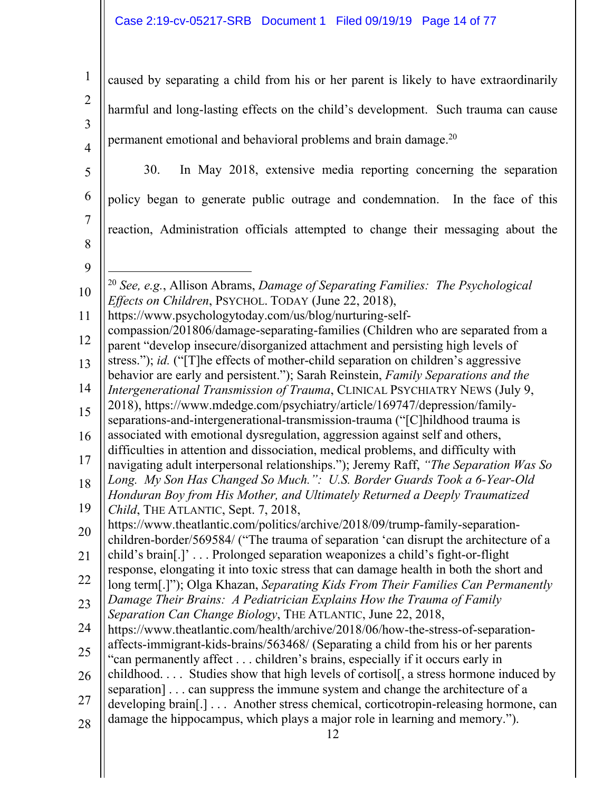# Case 2:19-cv-05217-SRB Document 1 Filed 09/19/19 Page 14 of 77

| $\mathbf{1}$   | caused by separating a child from his or her parent is likely to have extraordinarily                                                                                      |
|----------------|----------------------------------------------------------------------------------------------------------------------------------------------------------------------------|
| $\overline{2}$ | harmful and long-lasting effects on the child's development. Such trauma can cause                                                                                         |
| 3              |                                                                                                                                                                            |
| $\overline{4}$ | permanent emotional and behavioral problems and brain damage. <sup>20</sup>                                                                                                |
| 5              | In May 2018, extensive media reporting concerning the separation<br>30.                                                                                                    |
| 6              | policy began to generate public outrage and condemnation. In the face of this                                                                                              |
| 7              | reaction, Administration officials attempted to change their messaging about the                                                                                           |
| 8              |                                                                                                                                                                            |
| 9              |                                                                                                                                                                            |
| 10             | <sup>20</sup> See, e.g., Allison Abrams, Damage of Separating Families: The Psychological<br>Effects on Children, PSYCHOL. TODAY (June 22, 2018),                          |
| 11             | https://www.psychologytoday.com/us/blog/nurturing-self-                                                                                                                    |
| 12             | compassion/201806/damage-separating-families (Children who are separated from a<br>parent "develop insecure/disorganized attachment and persisting high levels of          |
| 13             | stress."); id. ("[T]he effects of mother-child separation on children's aggressive                                                                                         |
| 14             | behavior are early and persistent."); Sarah Reinstein, Family Separations and the<br>Intergenerational Transmission of Trauma, CLINICAL PSYCHIATRY NEWS (July 9,           |
| 15             | 2018), https://www.mdedge.com/psychiatry/article/169747/depression/family-                                                                                                 |
| 16             | separations-and-intergenerational-transmission-trauma ("[C]hildhood trauma is<br>associated with emotional dysregulation, aggression against self and others,              |
| 17             | difficulties in attention and dissociation, medical problems, and difficulty with<br>navigating adult interpersonal relationships."); Jeremy Raff, "The Separation Was So  |
| 18             | Long. My Son Has Changed So Much.": U.S. Border Guards Took a 6-Year-Old                                                                                                   |
| 19             | Honduran Boy from His Mother, and Ultimately Returned a Deeply Traumatized<br>Child, THE ATLANTIC, Sept. 7, 2018,                                                          |
| 20             | https://www.theatlantic.com/politics/archive/2018/09/trump-family-separation-<br>children-border/569584/ ("The trauma of separation 'can disrupt the architecture of a     |
| 21             | child's brain[.]' Prolonged separation weaponizes a child's fight-or-flight                                                                                                |
| 22             | response, elongating it into toxic stress that can damage health in both the short and<br>long term[.]"); Olga Khazan, Separating Kids From Their Families Can Permanently |
| 23             | Damage Their Brains: A Pediatrician Explains How the Trauma of Family<br>Separation Can Change Biology, THE ATLANTIC, June 22, 2018,                                       |
| 24             | https://www.theatlantic.com/health/archive/2018/06/how-the-stress-of-separation-                                                                                           |
| 25             | affects-immigrant-kids-brains/563468/ (Separating a child from his or her parents<br>"can permanently affect children's brains, especially if it occurs early in           |
| 26             | childhood Studies show that high levels of cortisol[, a stress hormone induced by                                                                                          |
| 27             | separation] can suppress the immune system and change the architecture of a<br>developing brain[.] Another stress chemical, corticotropin-releasing hormone, can           |
| 28             | damage the hippocampus, which plays a major role in learning and memory.").<br>12                                                                                          |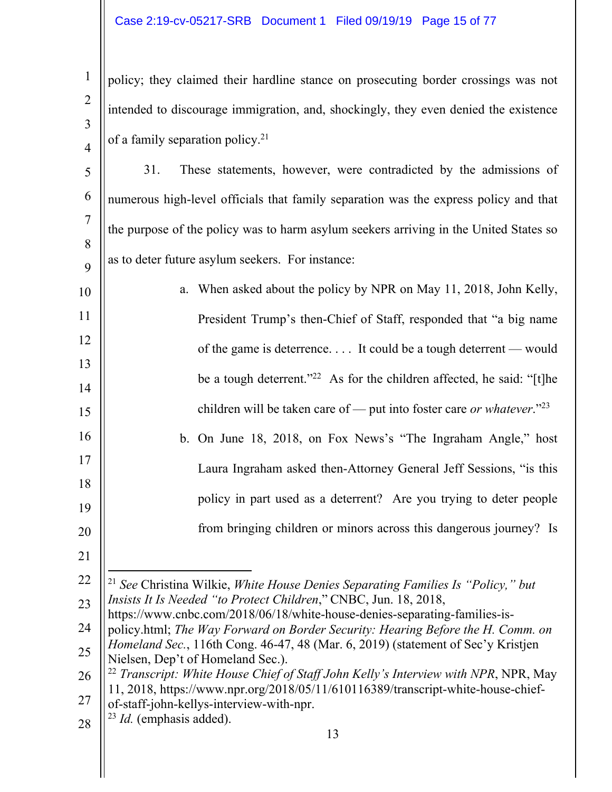# Case 2:19-cv-05217-SRB Document 1 Filed 09/19/19 Page 15 of 77

policy; they claimed their hardline stance on prosecuting border crossings was not intended to discourage immigration, and, shockingly, they even denied the existence of a family separation policy.21

5 6 7 8 9 31. These statements, however, were contradicted by the admissions of numerous high-level officials that family separation was the express policy and that the purpose of the policy was to harm asylum seekers arriving in the United States so as to deter future asylum seekers. For instance:

10 11 12 13 14 15 16 17 18 19 20 a. When asked about the policy by NPR on May 11, 2018, John Kelly, President Trump's then-Chief of Staff, responded that "a big name of the game is deterrence. . . . It could be a tough deterrent — would be a tough deterrent."<sup>22</sup> As for the children affected, he said: "[t]he children will be taken care of — put into foster care *or whatever*."23 b. On June 18, 2018, on Fox News's "The Ingraham Angle," host Laura Ingraham asked then-Attorney General Jeff Sessions, "is this policy in part used as a deterrent? Are you trying to deter people from bringing children or minors across this dangerous journey? Is

21

1

2

3

4

22 23  $\overline{a}$ <sup>21</sup> *See* Christina Wilkie, *White House Denies Separating Families Is "Policy," but Insists It Is Needed "to Protect Children*," CNBC, Jun. 18, 2018,

24 25 https://www.cnbc.com/2018/06/18/white-house-denies-separating-families-ispolicy.html; *The Way Forward on Border Security: Hearing Before the H. Comm. on Homeland Sec.*, 116th Cong. 46-47, 48 (Mar. 6, 2019) (statement of Sec'y Kristjen

Nielsen, Dep't of Homeland Sec.).

- 26 27 <sup>22</sup> *Transcript: White House Chief of Staff John Kelly's Interview with NPR*, NPR, May 11, 2018, https://www.npr.org/2018/05/11/610116389/transcript-white-house-chiefof-staff-john-kellys-interview-with-npr.
- 28 <sup>23</sup> *Id.* (emphasis added).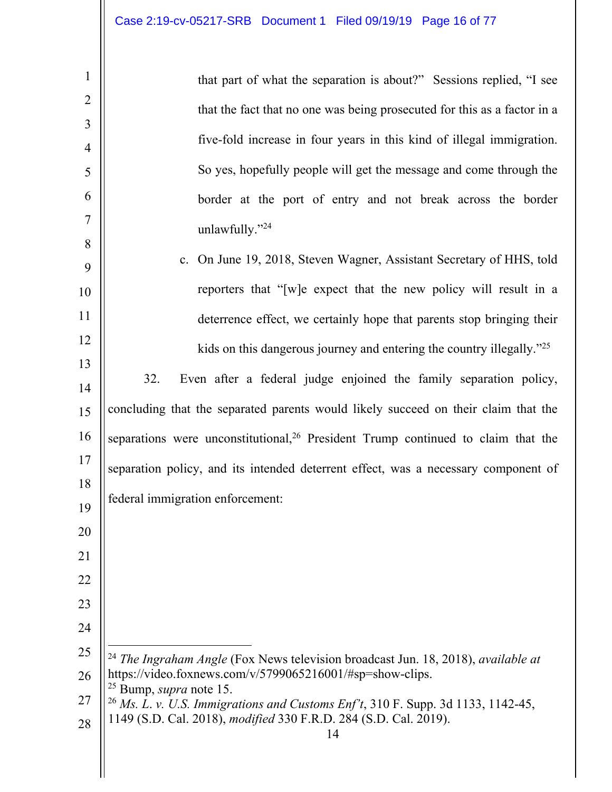| $\mathbf{1}$   | that part of what the separation is about?" Sessions replied, "I see                                                                                            |
|----------------|-----------------------------------------------------------------------------------------------------------------------------------------------------------------|
| $\overline{2}$ | that the fact that no one was being prosecuted for this as a factor in a                                                                                        |
| 3              |                                                                                                                                                                 |
| $\overline{4}$ | five-fold increase in four years in this kind of illegal immigration.                                                                                           |
| 5              | So yes, hopefully people will get the message and come through the                                                                                              |
| 6              | border at the port of entry and not break across the border                                                                                                     |
| $\tau$         | unlawfully."24                                                                                                                                                  |
| 8<br>9         | c. On June 19, 2018, Steven Wagner, Assistant Secretary of HHS, told                                                                                            |
| 10             | reporters that "[w]e expect that the new policy will result in a                                                                                                |
| 11             | deterrence effect, we certainly hope that parents stop bringing their                                                                                           |
| 12             |                                                                                                                                                                 |
| 13             | kids on this dangerous journey and entering the country illegally." <sup>25</sup>                                                                               |
| 14             | 32.<br>Even after a federal judge enjoined the family separation policy,                                                                                        |
| 15             | concluding that the separated parents would likely succeed on their claim that the                                                                              |
| 16             | separations were unconstitutional, <sup>26</sup> President Trump continued to claim that the                                                                    |
| 17             | separation policy, and its intended deterrent effect, was a necessary component of                                                                              |
| 18             | federal immigration enforcement:                                                                                                                                |
| 19             |                                                                                                                                                                 |
| 20             |                                                                                                                                                                 |
| 21             |                                                                                                                                                                 |
| 22             |                                                                                                                                                                 |
| 23             |                                                                                                                                                                 |
| 24             |                                                                                                                                                                 |
| 25             | <sup>24</sup> The Ingraham Angle (Fox News television broadcast Jun. 18, 2018), available at<br>https://video.foxnews.com/v/5799065216001/#sp=show-clips.       |
| 26             | $25$ Bump, <i>supra</i> note 15.                                                                                                                                |
| 27             | <sup>26</sup> Ms. L. v. U.S. Immigrations and Customs Enf't, 310 F. Supp. 3d 1133, 1142-45,<br>1149 (S.D. Cal. 2018), modified 330 F.R.D. 284 (S.D. Cal. 2019). |
| 28             | 14                                                                                                                                                              |
|                |                                                                                                                                                                 |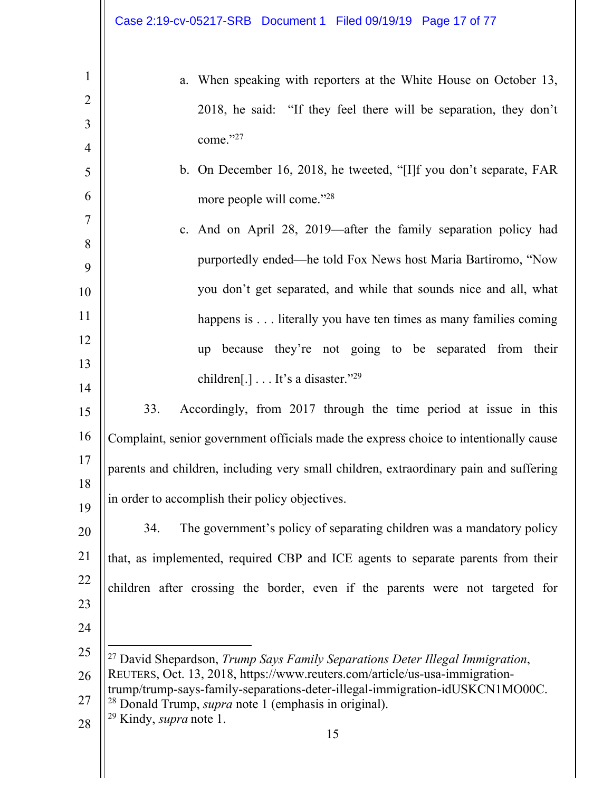|                     | Case 2:19-cv-05217-SRB Document 1 Filed 09/19/19 Page 17 of 77                                                                                                          |
|---------------------|-------------------------------------------------------------------------------------------------------------------------------------------------------------------------|
| $\mathbf{1}$        | a. When speaking with reporters at the White House on October 13,                                                                                                       |
| $\overline{2}$      | 2018, he said: "If they feel there will be separation, they don't                                                                                                       |
| 3                   | come." $27$                                                                                                                                                             |
| $\overline{4}$<br>5 | b. On December 16, 2018, he tweeted, "[I]f you don't separate, FAR                                                                                                      |
| 6                   | more people will come."28                                                                                                                                               |
| $\tau$              |                                                                                                                                                                         |
| 8                   | c. And on April 28, 2019—after the family separation policy had                                                                                                         |
| 9                   | purportedly ended—he told Fox News host Maria Bartiromo, "Now                                                                                                           |
| 10                  | you don't get separated, and while that sounds nice and all, what                                                                                                       |
| 11                  | happens is literally you have ten times as many families coming                                                                                                         |
| 12                  | up because they're not going to be separated from their                                                                                                                 |
| 13                  | children[.] $\dots$ It's a disaster." <sup>29</sup>                                                                                                                     |
| 14<br>15            | 33.<br>Accordingly, from 2017 through the time period at issue in this                                                                                                  |
| 16                  | Complaint, senior government officials made the express choice to intentionally cause                                                                                   |
| 17                  |                                                                                                                                                                         |
| 18                  | parents and children, including very small children, extraordinary pain and suffering                                                                                   |
| 19                  | in order to accomplish their policy objectives.                                                                                                                         |
| 20                  | The government's policy of separating children was a mandatory policy<br>34.                                                                                            |
| 21                  | that, as implemented, required CBP and ICE agents to separate parents from their                                                                                        |
| 22                  | children after crossing the border, even if the parents were not targeted for                                                                                           |
| 23                  |                                                                                                                                                                         |
| 24                  |                                                                                                                                                                         |
| 25<br>26            | <sup>27</sup> David Shepardson, Trump Says Family Separations Deter Illegal Immigration,<br>REUTERS, Oct. 13, 2018, https://www.reuters.com/article/us-usa-immigration- |
| 27                  | trump/trump-says-family-separations-deter-illegal-immigration-idUSKCN1MO00C.                                                                                            |
| 28                  | <sup>28</sup> Donald Trump, <i>supra</i> note 1 (emphasis in original).<br><sup>29</sup> Kindy, <i>supra</i> note 1.                                                    |
|                     | 15                                                                                                                                                                      |
|                     |                                                                                                                                                                         |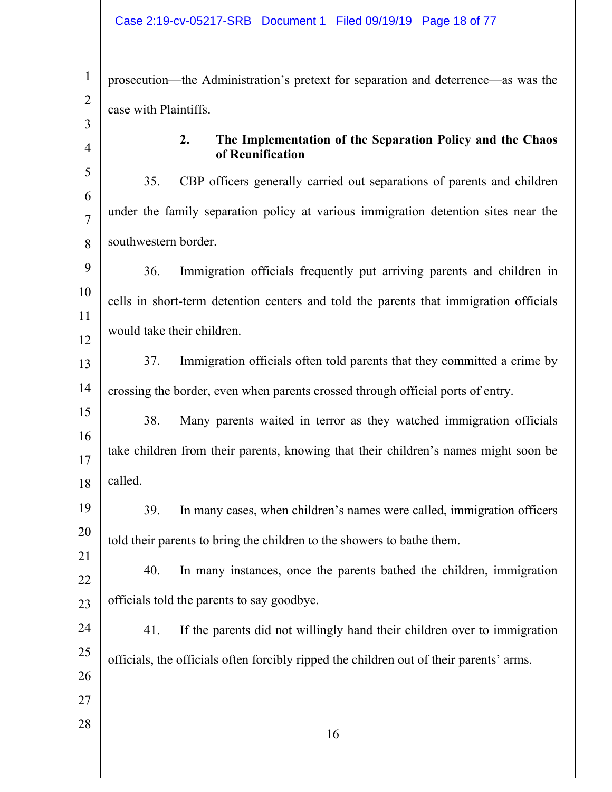| $\mathbf{1}$                     | prosecution—the Administration's pretext for separation and deterrence—as was the       |
|----------------------------------|-----------------------------------------------------------------------------------------|
| $\overline{2}$                   | case with Plaintiffs.                                                                   |
| $\overline{3}$<br>$\overline{4}$ | The Implementation of the Separation Policy and the Chaos<br>2.                         |
|                                  | of Reunification                                                                        |
| 5<br>6                           | 35.<br>CBP officers generally carried out separations of parents and children           |
| $\overline{7}$                   | under the family separation policy at various immigration detention sites near the      |
| 8                                | southwestern border.                                                                    |
| 9                                | Immigration officials frequently put arriving parents and children in<br>36.            |
| 10                               | cells in short-term detention centers and told the parents that immigration officials   |
| 11                               |                                                                                         |
| 12                               | would take their children.                                                              |
| 13                               | 37.<br>Immigration officials often told parents that they committed a crime by          |
| 14                               | crossing the border, even when parents crossed through official ports of entry.         |
| 15                               | 38.<br>Many parents waited in terror as they watched immigration officials              |
| 16<br>17                         | take children from their parents, knowing that their children's names might soon be     |
| 18                               | called.                                                                                 |
| 19                               | 39.<br>In many cases, when children's names were called, immigration officers           |
| 20                               |                                                                                         |
| 21                               | told their parents to bring the children to the showers to bathe them.                  |
| 22                               | 40.<br>In many instances, once the parents bathed the children, immigration             |
| 23                               | officials told the parents to say goodbye.                                              |
| 24                               | 41.<br>If the parents did not willingly hand their children over to immigration         |
| 25                               | officials, the officials often forcibly ripped the children out of their parents' arms. |
| 26                               |                                                                                         |
| 27                               |                                                                                         |
| 28                               | 16                                                                                      |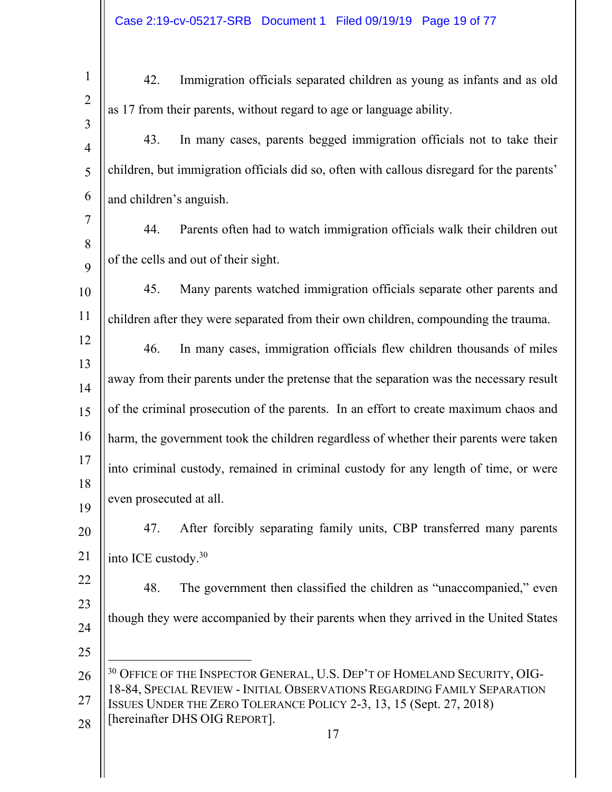| $\mathbf{1}$        | 42.                             | Immigration officials separated children as young as infants and as old                                                                                          |
|---------------------|---------------------------------|------------------------------------------------------------------------------------------------------------------------------------------------------------------|
| $\overline{2}$      |                                 | as 17 from their parents, without regard to age or language ability.                                                                                             |
| 3                   | 43.                             | In many cases, parents begged immigration officials not to take their                                                                                            |
| $\overline{4}$<br>5 |                                 | children, but immigration officials did so, often with callous disregard for the parents'                                                                        |
|                     |                                 |                                                                                                                                                                  |
| 6                   | and children's anguish.         |                                                                                                                                                                  |
| 7<br>8              | 44.                             | Parents often had to watch immigration officials walk their children out                                                                                         |
| 9                   |                                 | of the cells and out of their sight.                                                                                                                             |
| 10                  | 45.                             | Many parents watched immigration officials separate other parents and                                                                                            |
| 11                  |                                 | children after they were separated from their own children, compounding the trauma.                                                                              |
| 12                  | 46.                             | In many cases, immigration officials flew children thousands of miles                                                                                            |
| 13<br>14            |                                 | away from their parents under the pretense that the separation was the necessary result                                                                          |
| 15                  |                                 | of the criminal prosecution of the parents. In an effort to create maximum chaos and                                                                             |
| 16                  |                                 | harm, the government took the children regardless of whether their parents were taken                                                                            |
| 17                  |                                 | into criminal custody, remained in criminal custody for any length of time, or were                                                                              |
| 18<br>19            | even prosecuted at all.         |                                                                                                                                                                  |
| 20                  | 47.                             | After forcibly separating family units, CBP transferred many parents                                                                                             |
| 21                  | into ICE custody. <sup>30</sup> |                                                                                                                                                                  |
| 22                  | 48.                             | The government then classified the children as "unaccompanied," even                                                                                             |
| 23                  |                                 | though they were accompanied by their parents when they arrived in the United States                                                                             |
| 24                  |                                 |                                                                                                                                                                  |
| 25                  |                                 |                                                                                                                                                                  |
| 26                  |                                 | <sup>30</sup> OFFICE OF THE INSPECTOR GENERAL, U.S. DEP'T OF HOMELAND SECURITY, OIG-<br>18-84, SPECIAL REVIEW - INITIAL OBSERVATIONS REGARDING FAMILY SEPARATION |
| 27                  |                                 | ISSUES UNDER THE ZERO TOLERANCE POLICY 2-3, 13, 15 (Sept. 27, 2018)<br>[hereinafter DHS OIG REPORT].                                                             |
| 28                  |                                 | 17                                                                                                                                                               |
|                     |                                 |                                                                                                                                                                  |
|                     |                                 |                                                                                                                                                                  |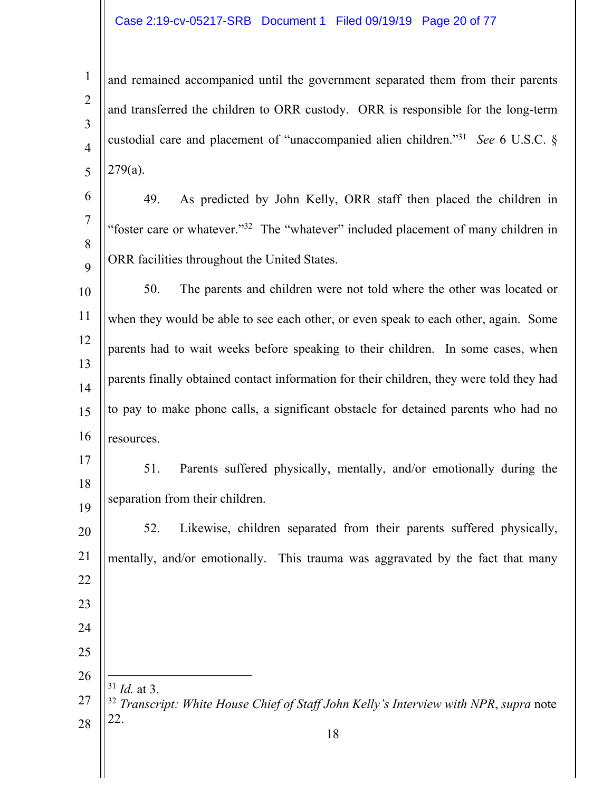#### Case 2:19-cv-05217-SRB Document 1 Filed 09/19/19 Page 20 of 77

and remained accompanied until the government separated them from their parents and transferred the children to ORR custody. ORR is responsible for the long-term custodial care and placement of "unaccompanied alien children."31 *See* 6 U.S.C. § 279(a).

49. As predicted by John Kelly, ORR staff then placed the children in "foster care or whatever."32 The "whatever" included placement of many children in ORR facilities throughout the United States.

 50. The parents and children were not told where the other was located or when they would be able to see each other, or even speak to each other, again. Some parents had to wait weeks before speaking to their children. In some cases, when parents finally obtained contact information for their children, they were told they had to pay to make phone calls, a significant obstacle for detained parents who had no resources.

 

51. Parents suffered physically, mentally, and/or emotionally during the separation from their children.

 52. Likewise, children separated from their parents suffered physically, mentally, and/or emotionally. This trauma was aggravated by the fact that many  $\overline{a}$  *Id.* at 3. *Transcript: White House Chief of Staff John Kelly's Interview with NPR*, *supra* note 22.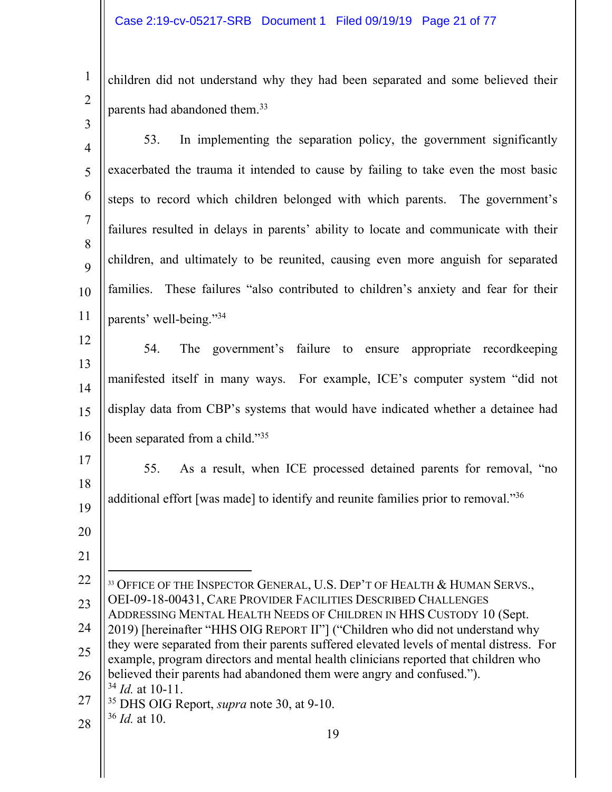2

children did not understand why they had been separated and some believed their parents had abandoned them.<sup>33</sup>

| $\overline{3}$ |                                                                                                                                                                               |
|----------------|-------------------------------------------------------------------------------------------------------------------------------------------------------------------------------|
| $\overline{4}$ | In implementing the separation policy, the government significantly<br>53.                                                                                                    |
| 5              | exacerbated the trauma it intended to cause by failing to take even the most basic                                                                                            |
| 6              | steps to record which children belonged with which parents. The government's                                                                                                  |
| 7              | failures resulted in delays in parents' ability to locate and communicate with their                                                                                          |
| 8<br>9         | children, and ultimately to be reunited, causing even more anguish for separated                                                                                              |
| 10             | These failures "also contributed to children's anxiety and fear for their<br>families.                                                                                        |
| 11             | parents' well-being."34                                                                                                                                                       |
| 12             | The government's failure to<br>54.<br>appropriate record keeping<br>ensure                                                                                                    |
| 13             | manifested itself in many ways. For example, ICE's computer system "did not                                                                                                   |
| 14<br>15       | display data from CBP's systems that would have indicated whether a detainee had                                                                                              |
| 16             | been separated from a child."35                                                                                                                                               |
|                |                                                                                                                                                                               |
| 17<br>18       | 55.<br>As a result, when ICE processed detained parents for removal, "no                                                                                                      |
| 19             | additional effort [was made] to identify and reunite families prior to removal."36                                                                                            |
| 20             |                                                                                                                                                                               |
| 21             |                                                                                                                                                                               |
| 22             | <sup>33</sup> OFFICE OF THE INSPECTOR GENERAL, U.S. DEP'T OF HEALTH & HUMAN SERVS.,                                                                                           |
| 23             | OEI-09-18-00431, CARE PROVIDER FACILITIES DESCRIBED CHALLENGES<br>ADDRESSING MENTAL HEALTH NEEDS OF CHILDREN IN HHS CUSTODY 10 (Sept.                                         |
| 24             | 2019) [hereinafter "HHS OIG REPORT II"] ("Children who did not understand why                                                                                                 |
| 25             | they were separated from their parents suffered elevated levels of mental distress. For<br>example, program directors and mental health clinicians reported that children who |
| 26             | believed their parents had abandoned them were angry and confused.").<br>$34$ <i>Id.</i> at 10-11.                                                                            |
| 27             | <sup>35</sup> DHS OIG Report, <i>supra</i> note 30, at 9-10.                                                                                                                  |
| 28             | $36$ <i>Id.</i> at 10.<br>19                                                                                                                                                  |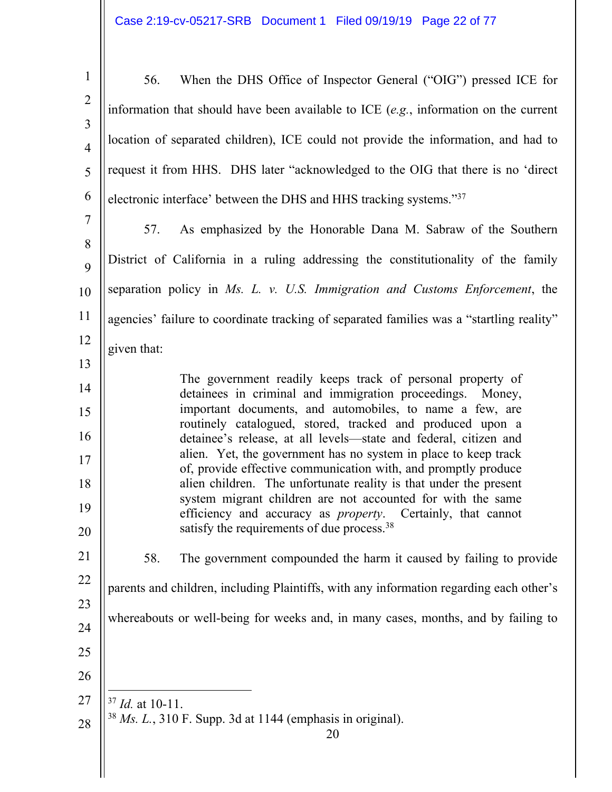| $\mathbf{1}$        | When the DHS Office of Inspector General ("OIG") pressed ICE for<br>56.                                                             |
|---------------------|-------------------------------------------------------------------------------------------------------------------------------------|
| $\overline{2}$      | information that should have been available to ICE $(e.g.,)$ information on the current                                             |
| 3<br>$\overline{4}$ | location of separated children), ICE could not provide the information, and had to                                                  |
| 5                   | request it from HHS. DHS later "acknowledged to the OIG that there is no 'direct                                                    |
| 6                   | electronic interface' between the DHS and HHS tracking systems."37                                                                  |
| $\tau$              | As emphasized by the Honorable Dana M. Sabraw of the Southern<br>57.                                                                |
| 8<br>9              | District of California in a ruling addressing the constitutionality of the family                                                   |
| 10                  | separation policy in Ms. L. v. U.S. Immigration and Customs Enforcement, the                                                        |
| 11                  | agencies' failure to coordinate tracking of separated families was a "startling reality"                                            |
| 12                  | given that:                                                                                                                         |
| 13                  |                                                                                                                                     |
| 14                  | The government readily keeps track of personal property of<br>detainees in criminal and immigration proceedings. Money,             |
| 15                  | important documents, and automobiles, to name a few, are<br>routinely catalogued, stored, tracked and produced upon a               |
| 16<br>17            | detainee's release, at all levels—state and federal, citizen and<br>alien. Yet, the government has no system in place to keep track |
| 18                  | of, provide effective communication with, and promptly produce<br>alien children. The unfortunate reality is that under the present |
| 19                  | system migrant children are not accounted for with the same<br>efficiency and accuracy as <i>property</i> . Certainly, that cannot  |
| 20                  | satisfy the requirements of due process. <sup>38</sup>                                                                              |
| 21                  | 58.<br>The government compounded the harm it caused by failing to provide                                                           |
| 22                  | parents and children, including Plaintiffs, with any information regarding each other's                                             |
| 23<br>24            | whereabouts or well-being for weeks and, in many cases, months, and by failing to                                                   |
| 25                  |                                                                                                                                     |
| 26                  |                                                                                                                                     |
| 27                  |                                                                                                                                     |
|                     | $37$ <i>Id.</i> at 10-11.<br>$38$ Ms. L., 310 F. Supp. 3d at 1144 (emphasis in original).                                           |
| 28                  | 20                                                                                                                                  |
|                     |                                                                                                                                     |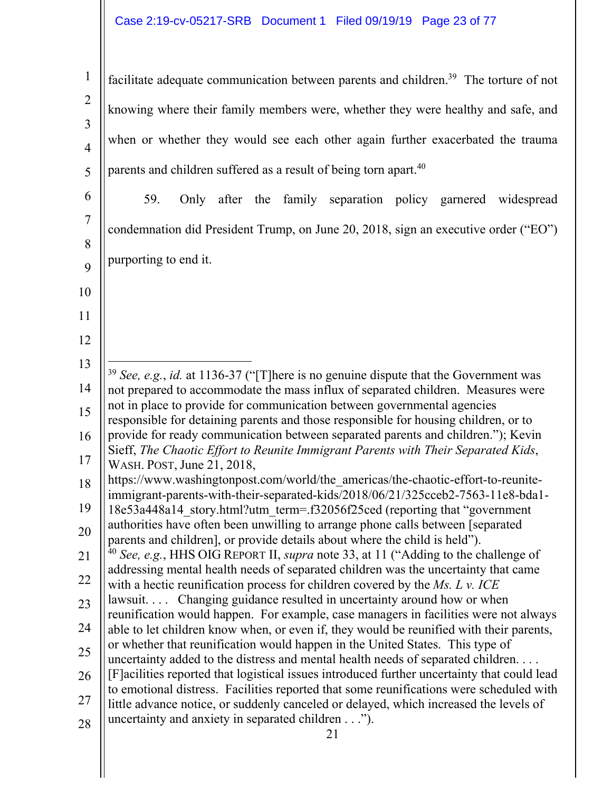# Case 2:19-cv-05217-SRB Document 1 Filed 09/19/19 Page 23 of 77

1 2 3 4 5 facilitate adequate communication between parents and children.<sup>39</sup> The torture of not knowing where their family members were, whether they were healthy and safe, and when or whether they would see each other again further exacerbated the trauma parents and children suffered as a result of being torn apart.<sup>40</sup>

6 7 8 9 59. Only after the family separation policy garnered widespread condemnation did President Trump, on June 20, 2018, sign an executive order ("EO") purporting to end it.

13 14 15 16 17  $\overline{a}$ <sup>39</sup> *See, e.g.*, *id.* at 1136-37 ("[T]here is no genuine dispute that the Government was not prepared to accommodate the mass influx of separated children. Measures were not in place to provide for communication between governmental agencies responsible for detaining parents and those responsible for housing children, or to provide for ready communication between separated parents and children."); Kevin Sieff, *The Chaotic Effort to Reunite Immigrant Parents with Their Separated Kids*, WASH. POST, June 21, 2018,

18 https://www.washingtonpost.com/world/the\_americas/the-chaotic-effort-to-reuniteimmigrant-parents-with-their-separated-kids/2018/06/21/325cceb2-7563-11e8-bda1-

- 19 18e53a448a14\_story.html?utm\_term=.f32056f25ced (reporting that "government authorities have often been unwilling to arrange phone calls between [separated
- 20 parents and children], or provide details about where the child is held").
- 21 22 <sup>40</sup> *See, e.g.*, HHS OIG REPORT II, *supra* note 33, at 11 ("Adding to the challenge of addressing mental health needs of separated children was the uncertainty that came with a hectic reunification process for children covered by the *Ms. L v. ICE*
- 23 lawsuit.... Changing guidance resulted in uncertainty around how or when reunification would happen. For example, case managers in facilities were not always
- 24 able to let children know when, or even if, they would be reunified with their parents, or whether that reunification would happen in the United States. This type of
- 25 26 uncertainty added to the distress and mental health needs of separated children. . . . [F]acilities reported that logistical issues introduced further uncertainty that could lead
- 27 to emotional distress. Facilities reported that some reunifications were scheduled with little advance notice, or suddenly canceled or delayed, which increased the levels of
- 28 uncertainty and anxiety in separated children . . .").

10

11

12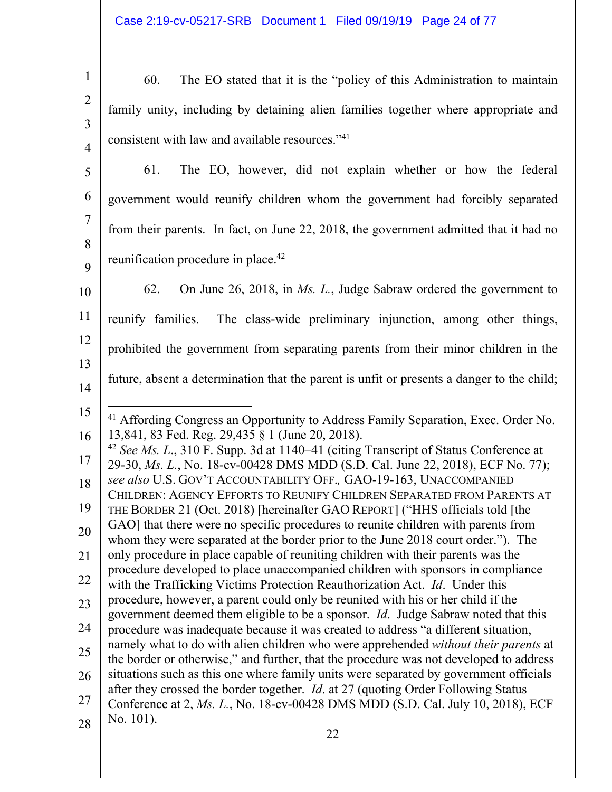| $\begin{array}{c} 1 \end{array}$                                                                                          | 60. The EO stated that it is the "policy of this Administration to maintain |  |  |
|---------------------------------------------------------------------------------------------------------------------------|-----------------------------------------------------------------------------|--|--|
| $\begin{bmatrix} 2 \\ 3 \end{bmatrix}$ family unity, including by detaining alien families together where appropriate and |                                                                             |  |  |
|                                                                                                                           |                                                                             |  |  |
| $\begin{bmatrix} 2 \\ 4 \end{bmatrix}$ consistent with law and available resources." <sup>41</sup>                        |                                                                             |  |  |

5 6 7 8 9 61. The EO, however, did not explain whether or how the federal government would reunify children whom the government had forcibly separated from their parents. In fact, on June 22, 2018, the government admitted that it had no reunification procedure in place.<sup>42</sup>

10 11 12 13 14 62. On June 26, 2018, in *Ms. L.*, Judge Sabraw ordered the government to reunify families. The class-wide preliminary injunction, among other things, prohibited the government from separating parents from their minor children in the future, absent a determination that the parent is unfit or presents a danger to the child;

- 15 16  $\overline{a}$ <sup>41</sup> Affording Congress an Opportunity to Address Family Separation, Exec. Order No. 13,841, 83 Fed. Reg. 29,435 § 1 (June 20, 2018).
- 17 18 19 20 21 <sup>42</sup> *See Ms. L*., 310 F. Supp. 3d at 1140–41 (citing Transcript of Status Conference at 29-30, *Ms. L.*, No. 18-cv-00428 DMS MDD (S.D. Cal. June 22, 2018), ECF No. 77); *see also* U.S. GOV'T ACCOUNTABILITY OFF.*,* GAO-19-163, UNACCOMPANIED CHILDREN: AGENCY EFFORTS TO REUNIFY CHILDREN SEPARATED FROM PARENTS AT THE BORDER 21 (Oct. 2018) [hereinafter GAO REPORT] ("HHS officials told [the GAO] that there were no specific procedures to reunite children with parents from whom they were separated at the border prior to the June 2018 court order."). The only procedure in place capable of reuniting children with their parents was the
- 22 procedure developed to place unaccompanied children with sponsors in compliance with the Trafficking Victims Protection Reauthorization Act. *Id*. Under this
- 23 24 procedure, however, a parent could only be reunited with his or her child if the government deemed them eligible to be a sponsor. *Id*. Judge Sabraw noted that this procedure was inadequate because it was created to address "a different situation,
- 25 26 namely what to do with alien children who were apprehended *without their parents* at the border or otherwise," and further, that the procedure was not developed to address situations such as this one where family units were separated by government officials after they crossed the border together. *Id*. at 27 (quoting Order Following Status
- 27 28 Conference at 2, *Ms. L.*, No. 18-cv-00428 DMS MDD (S.D. Cal. July 10, 2018), ECF No. 101).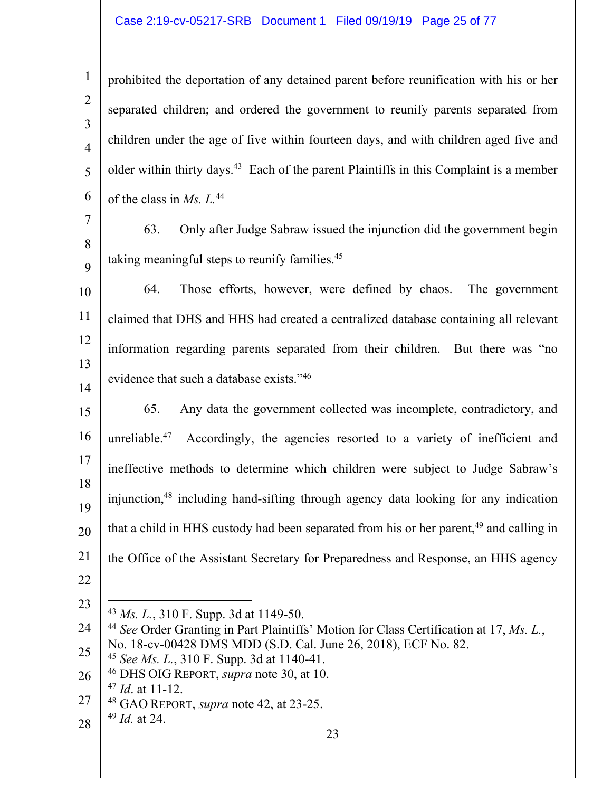## Case 2:19-cv-05217-SRB Document 1 Filed 09/19/19 Page 25 of 77

 prohibited the deportation of any detained parent before reunification with his or her separated children; and ordered the government to reunify parents separated from children under the age of five within fourteen days, and with children aged five and older within thirty days.43 Each of the parent Plaintiffs in this Complaint is a member of the class in *Ms. L.*44

 63. Only after Judge Sabraw issued the injunction did the government begin taking meaningful steps to reunify families.<sup>45</sup>

 64. Those efforts, however, were defined by chaos. The government claimed that DHS and HHS had created a centralized database containing all relevant information regarding parents separated from their children. But there was "no evidence that such a database exists."46

 65. Any data the government collected was incomplete, contradictory, and unreliable.<sup>47</sup> Accordingly, the agencies resorted to a variety of inefficient and ineffective methods to determine which children were subject to Judge Sabraw's injunction,48 including hand-sifting through agency data looking for any indication that a child in HHS custody had been separated from his or her parent, and calling in the Office of the Assistant Secretary for Preparedness and Response, an HHS agency

- 46 DHS OIG REPORT, *supra* note 30, at 10.
- *Id*. at 11-12.
- 48 GAO REPORT, *supra* note 42, at 23-25.
- *Id.* at 24.

 $\overline{a}$ *Ms. L.*, 310 F. Supp. 3d at 1149-50.

 *See* Order Granting in Part Plaintiffs' Motion for Class Certification at 17, *Ms. L.*, No. 18-cv-00428 DMS MDD (S.D. Cal. June 26, 2018), ECF No. 82.

*See Ms. L.*, 310 F. Supp. 3d at 1140-41.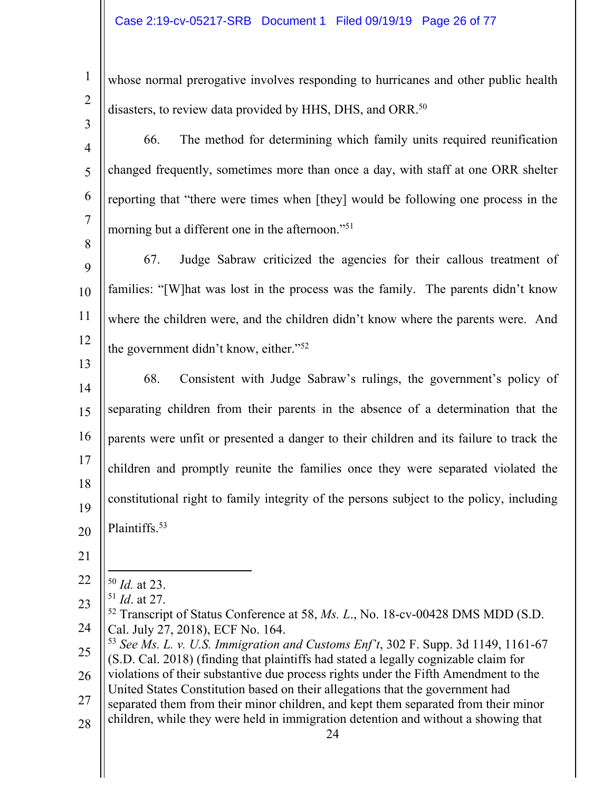| $\mathbf{1}$        | whose normal prerogative involves responding to hurricanes and other public health                                                                                                   |
|---------------------|--------------------------------------------------------------------------------------------------------------------------------------------------------------------------------------|
| $\overline{2}$      | disasters, to review data provided by HHS, DHS, and ORR. <sup>50</sup>                                                                                                               |
| 3                   | The method for determining which family units required reunification<br>66.                                                                                                          |
| $\overline{4}$      |                                                                                                                                                                                      |
| 5                   | changed frequently, sometimes more than once a day, with staff at one ORR shelter                                                                                                    |
| 6                   | reporting that "there were times when [they] would be following one process in the                                                                                                   |
| $\overline{7}$<br>8 | morning but a different one in the afternoon." <sup>51</sup>                                                                                                                         |
| 9                   | Judge Sabraw criticized the agencies for their callous treatment of<br>67.                                                                                                           |
| 10                  | families: "[W] hat was lost in the process was the family. The parents didn't know                                                                                                   |
| 11                  | where the children were, and the children didn't know where the parents were. And                                                                                                    |
| 12                  | the government didn't know, either." <sup>52</sup>                                                                                                                                   |
| 13<br>14            | Consistent with Judge Sabraw's rulings, the government's policy of<br>68.                                                                                                            |
| 15                  | separating children from their parents in the absence of a determination that the                                                                                                    |
| 16                  | parents were unfit or presented a danger to their children and its failure to track the                                                                                              |
| 17                  | children and promptly reunite the families once they were separated violated the                                                                                                     |
| 18<br>19            | constitutional right to family integrity of the persons subject to the policy, including                                                                                             |
| 20                  | Plaintiffs. <sup>53</sup>                                                                                                                                                            |
| 21                  |                                                                                                                                                                                      |
| 22                  | $50$ <i>Id.</i> at 23.                                                                                                                                                               |
| 23                  | $51$ <i>Id.</i> at 27.                                                                                                                                                               |
| 24                  | <sup>52</sup> Transcript of Status Conference at 58, <i>Ms. L.</i> , No. 18-cv-00428 DMS MDD (S.D.<br>Cal. July 27, 2018), ECF No. 164.                                              |
| 25                  | <sup>53</sup> See Ms. L. v. U.S. Immigration and Customs Enf't, 302 F. Supp. 3d 1149, 1161-67<br>(S.D. Cal. 2018) (finding that plaintiffs had stated a legally cognizable claim for |
| 26                  | violations of their substantive due process rights under the Fifth Amendment to the                                                                                                  |
| 27                  | United States Constitution based on their allegations that the government had<br>separated them from their minor children, and kept them separated from their minor                  |
| 28                  | children, while they were held in immigration detention and without a showing that<br>24                                                                                             |
|                     |                                                                                                                                                                                      |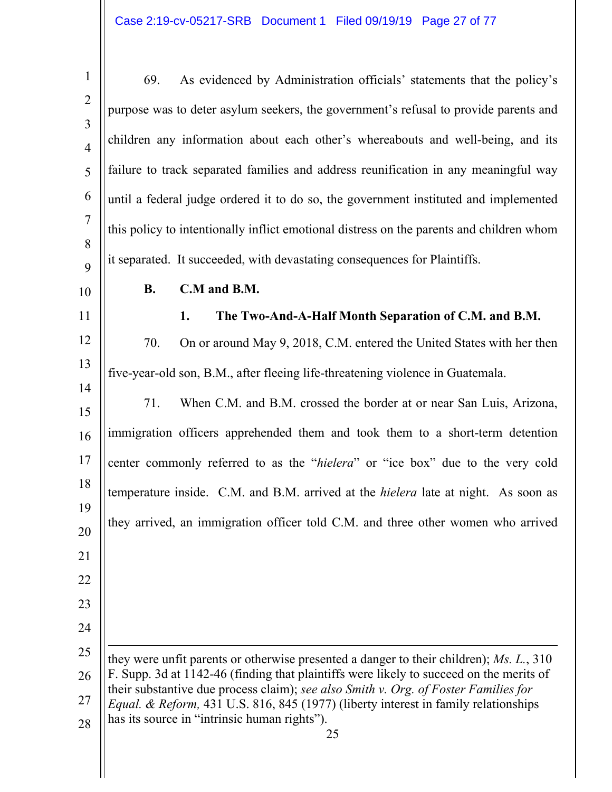1 2 3 4 5 6 7 8  $\mathbf Q$ 10 69. As evidenced by Administration officials' statements that the policy's purpose was to deter asylum seekers, the government's refusal to provide parents and children any information about each other's whereabouts and well-being, and its failure to track separated families and address reunification in any meaningful way until a federal judge ordered it to do so, the government instituted and implemented this policy to intentionally inflict emotional distress on the parents and children whom it separated. It succeeded, with devastating consequences for Plaintiffs. **B. C.M and B.M.** 

12 70. On or around May 9, 2018, C.M. entered the United States with her then five-year-old son, B.M., after fleeing life-threatening violence in Guatemala.

**1. The Two-And-A-Half Month Separation of C.M. and B.M.** 

11

13

14

21

22

23

24

15 16 17 18 19 20 71. When C.M. and B.M. crossed the border at or near San Luis, Arizona, immigration officers apprehended them and took them to a short-term detention center commonly referred to as the "*hielera*" or "ice box" due to the very cold temperature inside. C.M. and B.M. arrived at the *hielera* late at night. As soon as they arrived, an immigration officer told C.M. and three other women who arrived

25 26 27 28  $\overline{a}$ they were unfit parents or otherwise presented a danger to their children); *Ms. L.*, 310 F. Supp. 3d at 1142-46 (finding that plaintiffs were likely to succeed on the merits of their substantive due process claim); *see also Smith v. Org. of Foster Families for Equal. & Reform,* 431 U.S. 816, 845 (1977) (liberty interest in family relationships has its source in "intrinsic human rights").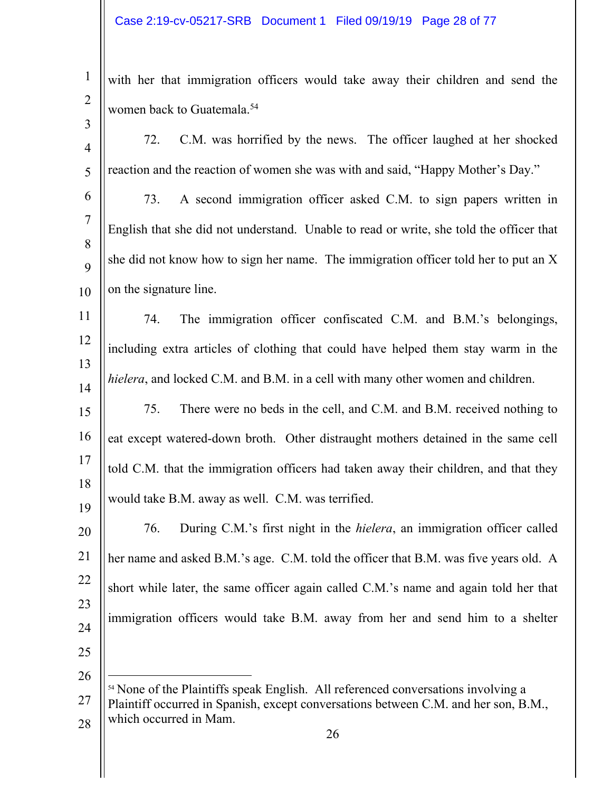2 3 with her that immigration officers would take away their children and send the women back to Guatemala.<sup>54</sup>

| $\overline{4}$ | C.M. was horrified by the news. The officer laughed at her shocked<br>72.                                                                                                           |
|----------------|-------------------------------------------------------------------------------------------------------------------------------------------------------------------------------------|
| 5              | reaction and the reaction of women she was with and said, "Happy Mother's Day."                                                                                                     |
| 6              | A second immigration officer asked C.M. to sign papers written in<br>73.                                                                                                            |
| $\overline{7}$ | English that she did not understand. Unable to read or write, she told the officer that                                                                                             |
| 8              | she did not know how to sign her name. The immigration officer told her to put an X                                                                                                 |
| 9              |                                                                                                                                                                                     |
| 10             | on the signature line.                                                                                                                                                              |
| 11             | The immigration officer confiscated C.M. and B.M.'s belongings,<br>74.                                                                                                              |
| 12             | including extra articles of clothing that could have helped them stay warm in the                                                                                                   |
| 13             | hielera, and locked C.M. and B.M. in a cell with many other women and children.                                                                                                     |
| 14<br>15       | There were no beds in the cell, and C.M. and B.M. received nothing to<br>75.                                                                                                        |
| 16             |                                                                                                                                                                                     |
|                | eat except watered-down broth. Other distraught mothers detained in the same cell                                                                                                   |
| 17<br>18       | told C.M. that the immigration officers had taken away their children, and that they                                                                                                |
| 19             | would take B.M. away as well. C.M. was terrified.                                                                                                                                   |
| 20             | 76.<br>During C.M.'s first night in the <i>hielera</i> , an immigration officer called                                                                                              |
| 21             | her name and asked B.M.'s age. C.M. told the officer that B.M. was five years old. A                                                                                                |
| 22             | short while later, the same officer again called C.M.'s name and again told her that                                                                                                |
| 23             |                                                                                                                                                                                     |
| 24             | immigration officers would take B.M. away from her and send him to a shelter                                                                                                        |
| 25             |                                                                                                                                                                                     |
| 26             |                                                                                                                                                                                     |
| 27             | <sup>54</sup> None of the Plaintiffs speak English. All referenced conversations involving a<br>Plaintiff occurred in Spanish, except conversations between C.M. and her son, B.M., |
| 28             | which occurred in Mam.                                                                                                                                                              |
|                | 26                                                                                                                                                                                  |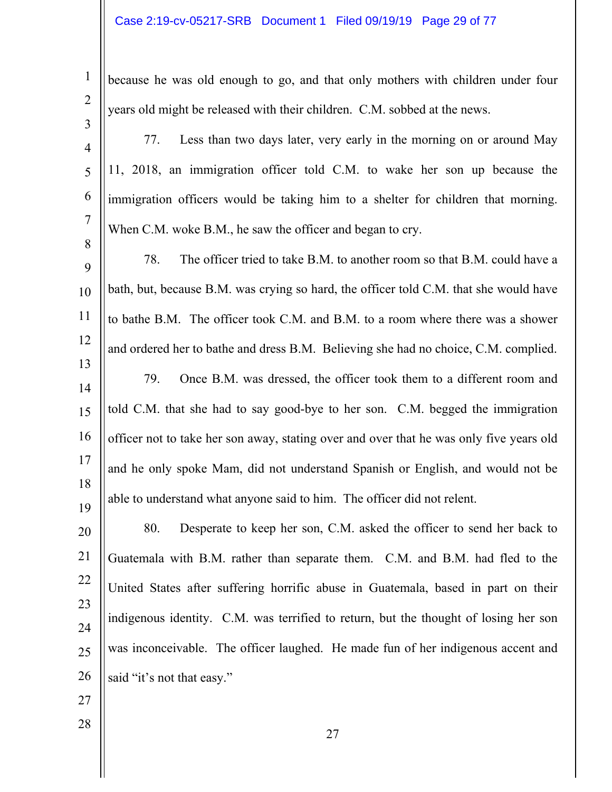#### Case 2:19-cv-05217-SRB Document 1 Filed 09/19/19 Page 29 of 77

2

3

1

because he was old enough to go, and that only mothers with children under four years old might be released with their children. C.M. sobbed at the news.

4

5

6

7

8

77. Less than two days later, very early in the morning on or around May 11, 2018, an immigration officer told C.M. to wake her son up because the immigration officers would be taking him to a shelter for children that morning. When C.M. woke B.M., he saw the officer and began to cry.

9 10 11 12 13 14 15 16 17 18 19 78. The officer tried to take B.M. to another room so that B.M. could have a bath, but, because B.M. was crying so hard, the officer told C.M. that she would have to bathe B.M. The officer took C.M. and B.M. to a room where there was a shower and ordered her to bathe and dress B.M. Believing she had no choice, C.M. complied. 79. Once B.M. was dressed, the officer took them to a different room and told C.M. that she had to say good-bye to her son. C.M. begged the immigration officer not to take her son away, stating over and over that he was only five years old and he only spoke Mam, did not understand Spanish or English, and would not be able to understand what anyone said to him. The officer did not relent.

20 21 22 23 24 25 26 80. Desperate to keep her son, C.M. asked the officer to send her back to Guatemala with B.M. rather than separate them. C.M. and B.M. had fled to the United States after suffering horrific abuse in Guatemala, based in part on their indigenous identity. C.M. was terrified to return, but the thought of losing her son was inconceivable. The officer laughed. He made fun of her indigenous accent and said "it's not that easy."

27

28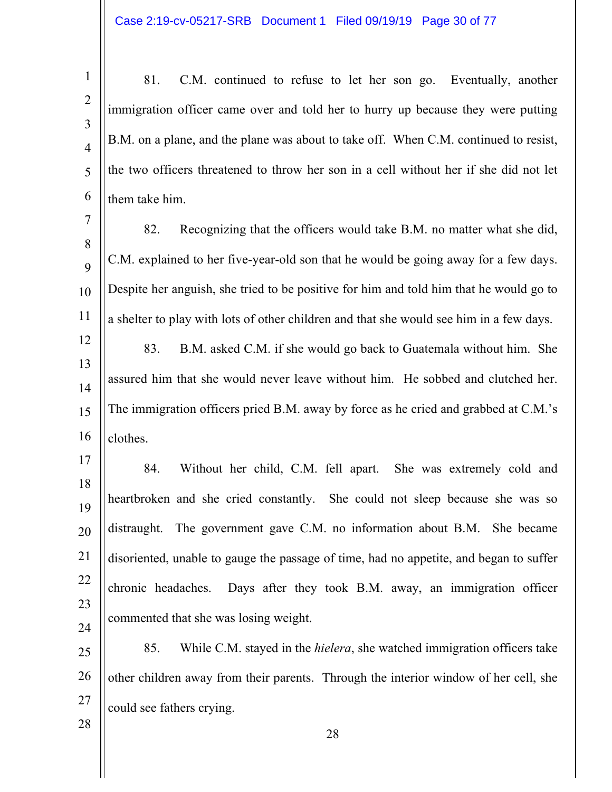1 2 3 4 5 6 81. C.M. continued to refuse to let her son go. Eventually, another immigration officer came over and told her to hurry up because they were putting B.M. on a plane, and the plane was about to take off. When C.M. continued to resist, the two officers threatened to throw her son in a cell without her if she did not let them take him.

7 8  $\mathbf Q$ 10 11 82. Recognizing that the officers would take B.M. no matter what she did, C.M. explained to her five-year-old son that he would be going away for a few days. Despite her anguish, she tried to be positive for him and told him that he would go to a shelter to play with lots of other children and that she would see him in a few days.

12 13 14 15 16 83. B.M. asked C.M. if she would go back to Guatemala without him. She assured him that she would never leave without him. He sobbed and clutched her. The immigration officers pried B.M. away by force as he cried and grabbed at C.M.'s clothes.

17 18 19 20 21 22 23 24 84. Without her child, C.M. fell apart. She was extremely cold and heartbroken and she cried constantly. She could not sleep because she was so distraught. The government gave C.M. no information about B.M. She became disoriented, unable to gauge the passage of time, had no appetite, and began to suffer chronic headaches. Days after they took B.M. away, an immigration officer commented that she was losing weight.

25 26 27 85. While C.M. stayed in the *hielera*, she watched immigration officers take other children away from their parents. Through the interior window of her cell, she could see fathers crying.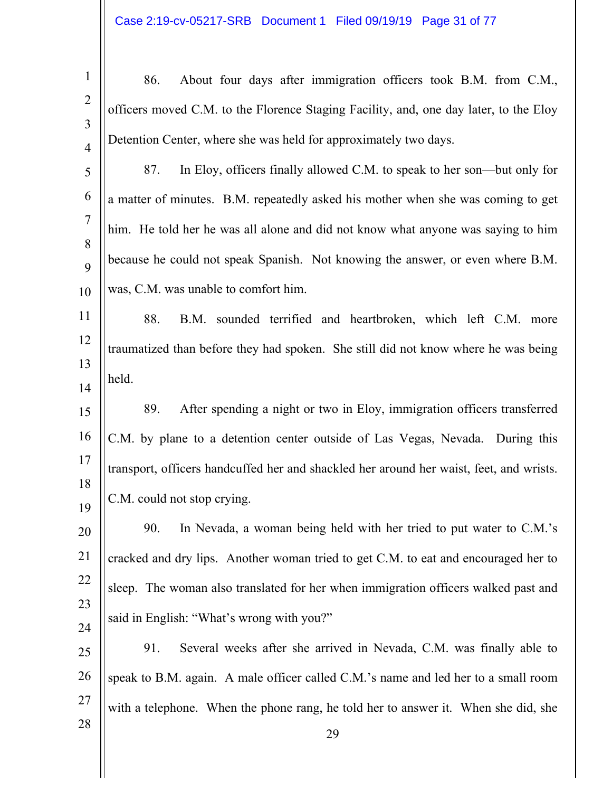| $\mathbf{1}$        | About four days after immigration officers took B.M. from C.M.,<br>86.                  |
|---------------------|-----------------------------------------------------------------------------------------|
| $\overline{2}$      | officers moved C.M. to the Florence Staging Facility, and, one day later, to the Eloy   |
| 3<br>$\overline{4}$ | Detention Center, where she was held for approximately two days.                        |
| 5                   | In Eloy, officers finally allowed C.M. to speak to her son—but only for<br>87.          |
| 6                   | a matter of minutes. B.M. repeatedly asked his mother when she was coming to get        |
| $\tau$              | him. He told her he was all alone and did not know what anyone was saying to him        |
| 8<br>9              | because he could not speak Spanish. Not knowing the answer, or even where B.M.          |
| 10                  | was, C.M. was unable to comfort him.                                                    |
| 11                  | 88.<br>B.M. sounded terrified and heartbroken, which left C.M. more                     |
| 12                  | traumatized than before they had spoken. She still did not know where he was being      |
| 13<br>14            | held.                                                                                   |
| 15                  | After spending a night or two in Eloy, immigration officers transferred<br>89.          |
| 16                  | C.M. by plane to a detention center outside of Las Vegas, Nevada. During this           |
| 17                  | transport, officers handcuffed her and shackled her around her waist, feet, and wrists. |
| 18                  | C.M. could not stop crying.                                                             |
| 19                  | In Nevada, a woman being held with her tried to put water to C.M.'s<br>90.              |
| 20                  |                                                                                         |
| 21                  | cracked and dry lips. Another woman tried to get C.M. to eat and encouraged her to      |
| 22<br>23            | sleep. The woman also translated for her when immigration officers walked past and      |
| 24                  | said in English: "What's wrong with you?"                                               |
| 25                  | Several weeks after she arrived in Nevada, C.M. was finally able to<br>91.              |
| 26                  | speak to B.M. again. A male officer called C.M.'s name and led her to a small room      |
| 27                  | with a telephone. When the phone rang, he told her to answer it. When she did, she      |
| 28                  | 29                                                                                      |
|                     |                                                                                         |

 $\parallel$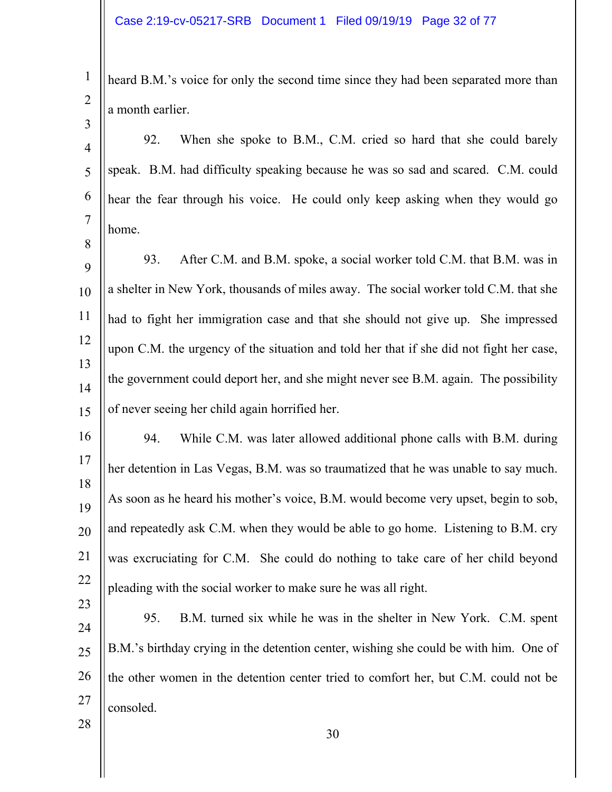1 2 heard B.M.'s voice for only the second time since they had been separated more than a month earlier.

4 5 6 7 92. When she spoke to B.M., C.M. cried so hard that she could barely speak. B.M. had difficulty speaking because he was so sad and scared. C.M. could hear the fear through his voice. He could only keep asking when they would go home.

9 10 11 12 13 14 15 93. After C.M. and B.M. spoke, a social worker told C.M. that B.M. was in a shelter in New York, thousands of miles away. The social worker told C.M. that she had to fight her immigration case and that she should not give up. She impressed upon C.M. the urgency of the situation and told her that if she did not fight her case, the government could deport her, and she might never see B.M. again. The possibility of never seeing her child again horrified her.

16 17 18 19 20 21 22 94. While C.M. was later allowed additional phone calls with B.M. during her detention in Las Vegas, B.M. was so traumatized that he was unable to say much. As soon as he heard his mother's voice, B.M. would become very upset, begin to sob, and repeatedly ask C.M. when they would be able to go home. Listening to B.M. cry was excruciating for C.M. She could do nothing to take care of her child beyond pleading with the social worker to make sure he was all right.

24 25 26 27 95. B.M. turned six while he was in the shelter in New York. C.M. spent B.M.'s birthday crying in the detention center, wishing she could be with him. One of the other women in the detention center tried to comfort her, but C.M. could not be consoled.

28

23

3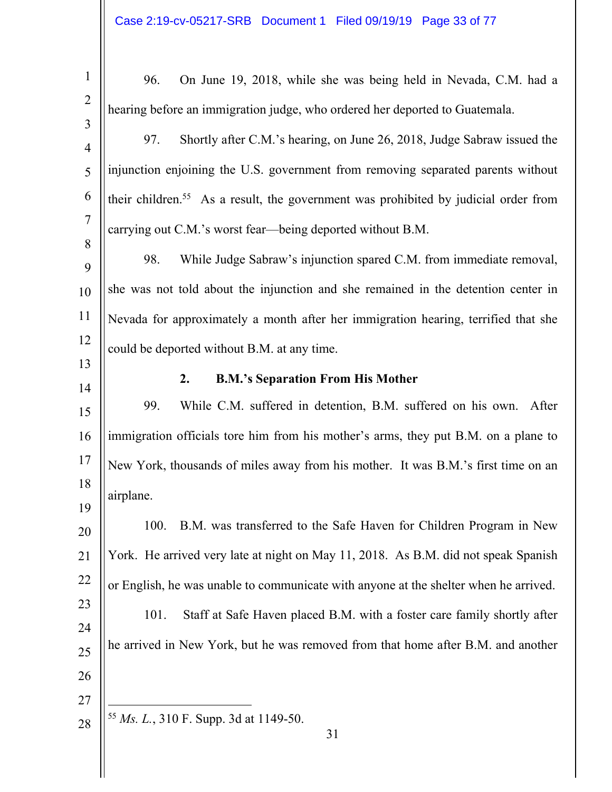| $\mathbf{1}$   | 96.<br>On June 19, 2018, while she was being held in Nevada, C.M. had a                         |
|----------------|-------------------------------------------------------------------------------------------------|
| $\overline{2}$ |                                                                                                 |
| $\overline{3}$ | hearing before an immigration judge, who ordered her deported to Guatemala.                     |
| $\overline{4}$ | Shortly after C.M.'s hearing, on June 26, 2018, Judge Sabraw issued the<br>97.                  |
| 5              | injunction enjoining the U.S. government from removing separated parents without                |
| 6              | their children. <sup>55</sup> As a result, the government was prohibited by judicial order from |
| $\overline{7}$ | carrying out C.M.'s worst fear—being deported without B.M.                                      |
| 8<br>9         | While Judge Sabraw's injunction spared C.M. from immediate removal,<br>98.                      |
| 10             | she was not told about the injunction and she remained in the detention center in               |
| 11             | Nevada for approximately a month after her immigration hearing, terrified that she              |
| 12             | could be deported without B.M. at any time.                                                     |
| 13             |                                                                                                 |
| 14             | <b>B.M.'s Separation From His Mother</b><br>2.                                                  |
| 15             | While C.M. suffered in detention, B.M. suffered on his own. After<br>99.                        |
| 16             | immigration officials tore him from his mother's arms, they put B.M. on a plane to              |
| 17             | New York, thousands of miles away from his mother. It was B.M.'s first time on an               |
| 18             | airplane.                                                                                       |
| 19<br>20       | B.M. was transferred to the Safe Haven for Children Program in New<br>100.                      |
| 21             | York. He arrived very late at night on May 11, 2018. As B.M. did not speak Spanish              |
| 22             | or English, he was unable to communicate with anyone at the shelter when he arrived.            |
| 23             | Staff at Safe Haven placed B.M. with a foster care family shortly after<br>101.                 |
| 24             |                                                                                                 |
| 25             | he arrived in New York, but he was removed from that home after B.M. and another                |
| 26             |                                                                                                 |
| 27             |                                                                                                 |
| 28             | <sup>55</sup> <i>Ms. L.</i> , 310 F. Supp. 3d at 1149-50.<br>31                                 |
|                |                                                                                                 |
|                |                                                                                                 |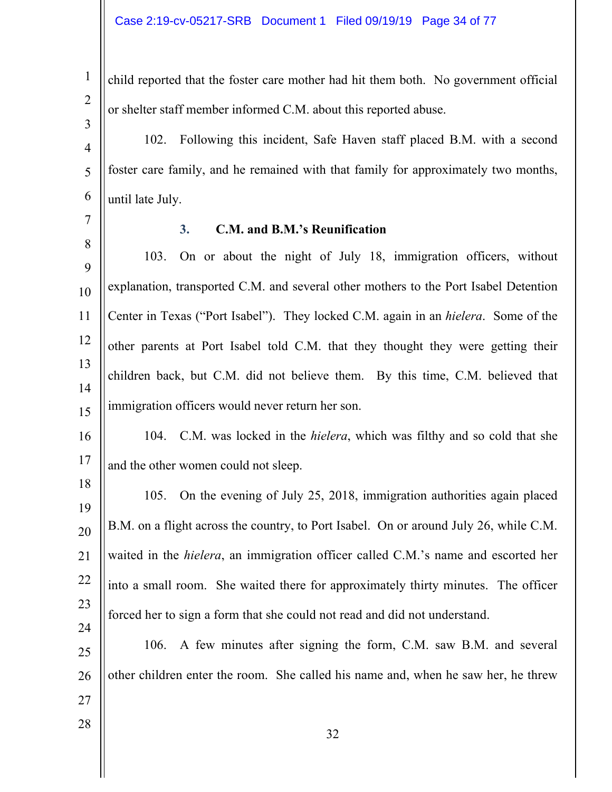child reported that the foster care mother had hit them both. No government official or shelter staff member informed C.M. about this reported abuse.

102. Following this incident, Safe Haven staff placed B.M. with a second foster care family, and he remained with that family for approximately two months, until late July.

7 8

1

2

3

4

5

6

# **3. C.M. and B.M.'s Reunification**

9 10 11 12 13 14 15 103. On or about the night of July 18, immigration officers, without explanation, transported C.M. and several other mothers to the Port Isabel Detention Center in Texas ("Port Isabel"). They locked C.M. again in an *hielera*. Some of the other parents at Port Isabel told C.M. that they thought they were getting their children back, but C.M. did not believe them. By this time, C.M. believed that immigration officers would never return her son.

16 17 104. C.M. was locked in the *hielera*, which was filthy and so cold that she and the other women could not sleep.

18 19 20 21 22 23 24 105. On the evening of July 25, 2018, immigration authorities again placed B.M. on a flight across the country, to Port Isabel. On or around July 26, while C.M. waited in the *hielera*, an immigration officer called C.M.'s name and escorted her into a small room. She waited there for approximately thirty minutes. The officer forced her to sign a form that she could not read and did not understand.

25 26 106. A few minutes after signing the form, C.M. saw B.M. and several other children enter the room. She called his name and, when he saw her, he threw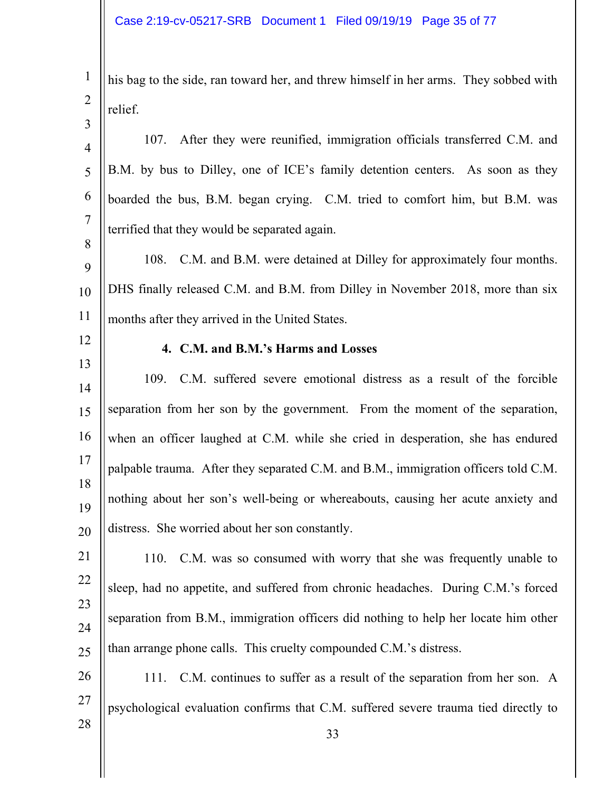| $\mathbf{1}$                     | his bag to the side, ran toward her, and threw himself in her arms. They sobbed with |
|----------------------------------|--------------------------------------------------------------------------------------|
| $\overline{2}$                   | relief.                                                                              |
| $\overline{3}$<br>$\overline{4}$ | After they were reunified, immigration officials transferred C.M. and<br>107.        |
| 5                                | B.M. by bus to Dilley, one of ICE's family detention centers. As soon as they        |
| 6                                | boarded the bus, B.M. began crying. C.M. tried to comfort him, but B.M. was          |
| $\tau$                           | terrified that they would be separated again.                                        |
| 8<br>9                           | C.M. and B.M. were detained at Dilley for approximately four months.<br>108.         |
| 10                               | DHS finally released C.M. and B.M. from Dilley in November 2018, more than six       |
| 11                               | months after they arrived in the United States.                                      |
| 12                               | 4. C.M. and B.M.'s Harms and Losses                                                  |
| 13<br>14                         | 109. C.M. suffered severe emotional distress as a result of the forcible             |
| 15                               | separation from her son by the government. From the moment of the separation,        |
| 16                               | when an officer laughed at C.M. while she cried in desperation, she has endured      |
| 17                               | palpable trauma. After they separated C.M. and B.M., immigration officers told C.M.  |
| 18<br>19                         | nothing about her son's well-being or whereabouts, causing her acute anxiety and     |
| 20                               | distress. She worried about her son constantly.                                      |
| 21                               | C.M. was so consumed with worry that she was frequently unable to<br>110.            |
| 22                               | sleep, had no appetite, and suffered from chronic headaches. During C.M.'s forced    |
| 23                               | separation from B.M., immigration officers did nothing to help her locate him other  |
| 24                               | than arrange phone calls. This cruelty compounded C.M.'s distress.                   |
| 25                               |                                                                                      |
| 26<br>27                         | C.M. continues to suffer as a result of the separation from her son. A<br>111.       |
| 28                               | psychological evaluation confirms that C.M. suffered severe trauma tied directly to  |
|                                  | 33                                                                                   |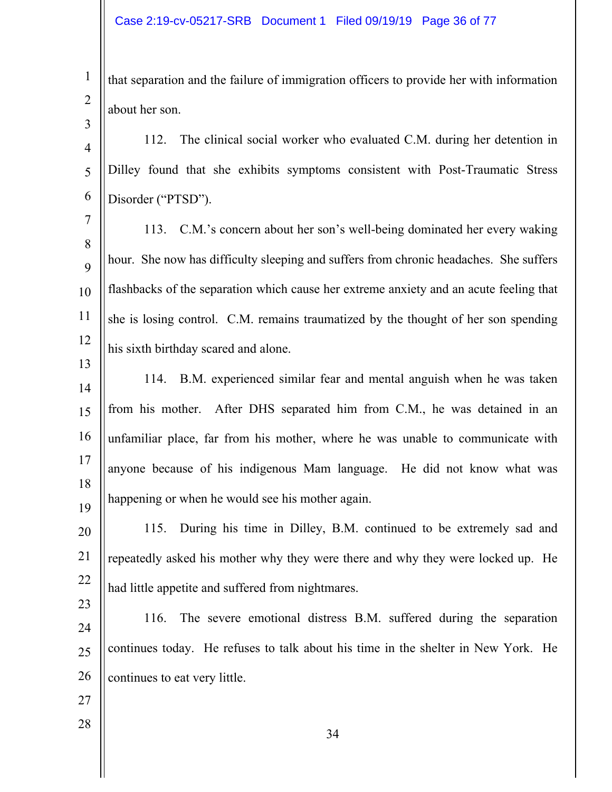1 2 that separation and the failure of immigration officers to provide her with information about her son.

4 5 6 112. The clinical social worker who evaluated C.M. during her detention in Dilley found that she exhibits symptoms consistent with Post-Traumatic Stress Disorder ("PTSD").

7 8  $\mathbf Q$ 10 11 12 113. C.M.'s concern about her son's well-being dominated her every waking hour. She now has difficulty sleeping and suffers from chronic headaches. She suffers flashbacks of the separation which cause her extreme anxiety and an acute feeling that she is losing control. C.M. remains traumatized by the thought of her son spending his sixth birthday scared and alone.

14 15 16 17 18 19 114. B.M. experienced similar fear and mental anguish when he was taken from his mother. After DHS separated him from C.M., he was detained in an unfamiliar place, far from his mother, where he was unable to communicate with anyone because of his indigenous Mam language. He did not know what was happening or when he would see his mother again.

20 21 22 115. During his time in Dilley, B.M. continued to be extremely sad and repeatedly asked his mother why they were there and why they were locked up. He had little appetite and suffered from nightmares.

24 25 26 116. The severe emotional distress B.M. suffered during the separation continues today. He refuses to talk about his time in the shelter in New York. He continues to eat very little.

27

28

23

3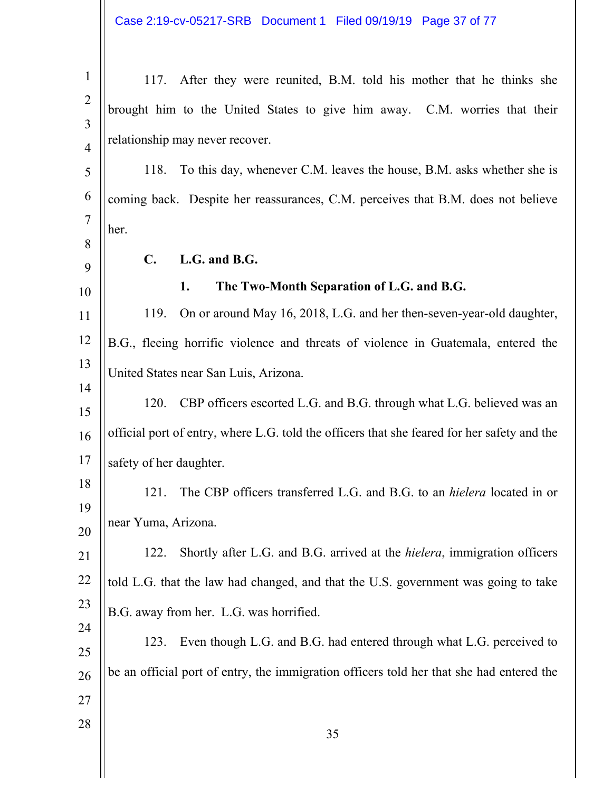Case 2:19-cv-05217-SRB Document 1 Filed 09/19/19 Page 37 of 77

| $\mathbf{1}$   | 117. After they were reunited, B.M. told his mother that he thinks she                      |
|----------------|---------------------------------------------------------------------------------------------|
| $\overline{2}$ | brought him to the United States to give him away. C.M. worries that their                  |
| $\overline{3}$ |                                                                                             |
| $\overline{4}$ | relationship may never recover.                                                             |
| 5              | To this day, whenever C.M. leaves the house, B.M. asks whether she is<br>118.               |
| 6              | coming back. Despite her reassurances, C.M. perceives that B.M. does not believe            |
| $\tau$         | her.                                                                                        |
| 8<br>9         | L.G. and B.G.<br>$\mathbf{C}$ .                                                             |
| 10             | The Two-Month Separation of L.G. and B.G.<br>1.                                             |
| 11             | On or around May 16, 2018, L.G. and her then-seven-year-old daughter,<br>119.               |
| 12             | B.G., fleeing horrific violence and threats of violence in Guatemala, entered the           |
| 13             | United States near San Luis, Arizona.                                                       |
| 14             | CBP officers escorted L.G. and B.G. through what L.G. believed was an<br>120.               |
| 15             |                                                                                             |
| 16             | official port of entry, where L.G. told the officers that she feared for her safety and the |
| 17             | safety of her daughter.                                                                     |
| 18             | The CBP officers transferred L.G. and B.G. to an <i>hielera</i> located in or<br>121.       |
| 19<br>20       | near Yuma, Arizona.                                                                         |
| 21             | Shortly after L.G. and B.G. arrived at the <i>hielera</i> , immigration officers<br>122.    |
| 22             | told L.G. that the law had changed, and that the U.S. government was going to take          |
| 23             | B.G. away from her. L.G. was horrified.                                                     |
| 24             | Even though L.G. and B.G. had entered through what L.G. perceived to<br>123.                |
| 25             | be an official port of entry, the immigration officers told her that she had entered the    |
| 26             |                                                                                             |
| 27<br>28       |                                                                                             |
|                | 35                                                                                          |
|                |                                                                                             |
|                |                                                                                             |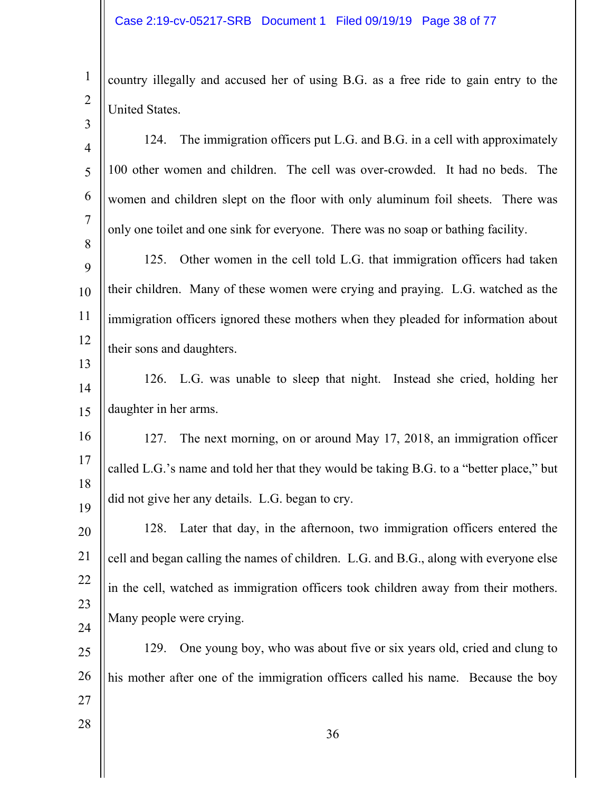1 2 3 country illegally and accused her of using B.G. as a free ride to gain entry to the United States.

| $\overline{4}$ | The immigration officers put L.G. and B.G. in a cell with approximately<br>124.         |
|----------------|-----------------------------------------------------------------------------------------|
| 5              | 100 other women and children. The cell was over-crowded. It had no beds. The            |
| 6              | women and children slept on the floor with only aluminum foil sheets. There was         |
| $\overline{7}$ | only one toilet and one sink for everyone. There was no soap or bathing facility.       |
| 8<br>9         | Other women in the cell told L.G. that immigration officers had taken<br>125.           |
| 10             | their children. Many of these women were crying and praying. L.G. watched as the        |
| 11             | immigration officers ignored these mothers when they pleaded for information about      |
| 12             |                                                                                         |
| 13             | their sons and daughters.                                                               |
| 14             | 126. L.G. was unable to sleep that night. Instead she cried, holding her                |
| 15             | daughter in her arms.                                                                   |
| 16             | 127. The next morning, on or around May 17, 2018, an immigration officer                |
| 17             | called L.G.'s name and told her that they would be taking B.G. to a "better place," but |
| 18             | did not give her any details. L.G. began to cry.                                        |
| 19<br>20       | Later that day, in the afternoon, two immigration officers entered the<br>128.          |
| 21             | cell and began calling the names of children. L.G. and B.G., along with everyone else   |
| 22             |                                                                                         |
| 23             | in the cell, watched as immigration officers took children away from their mothers.     |
| 24             | Many people were crying.                                                                |
| 25             | One young boy, who was about five or six years old, cried and clung to<br>129.          |
| 26             | his mother after one of the immigration officers called his name. Because the boy       |
| 27             |                                                                                         |
| 28             | 36                                                                                      |
|                |                                                                                         |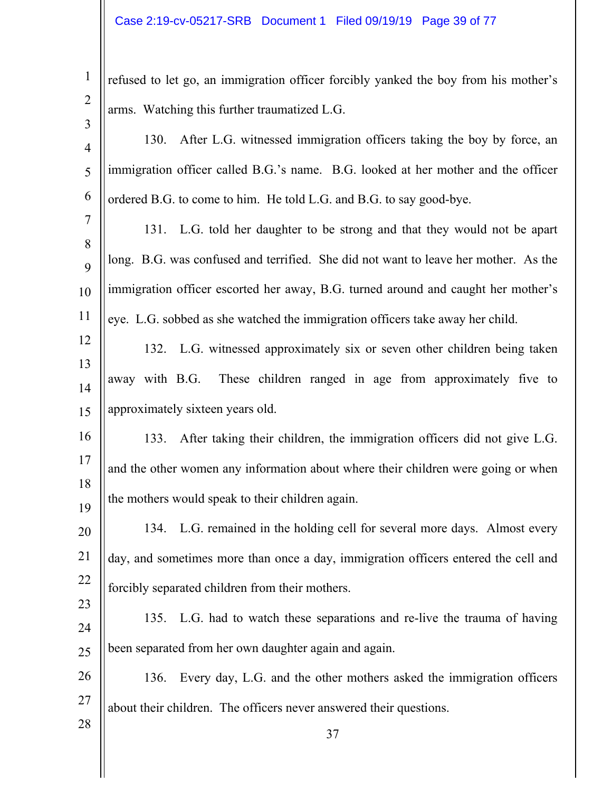| $\mathbf{1}$   | refused to let go, an immigration officer forcibly yanked the boy from his mother's |
|----------------|-------------------------------------------------------------------------------------|
| $\overline{2}$ | arms. Watching this further traumatized L.G.                                        |
| 3              |                                                                                     |
| $\overline{4}$ | After L.G. witnessed immigration officers taking the boy by force, an<br>130.       |
| 5              | immigration officer called B.G.'s name. B.G. looked at her mother and the officer   |
| 6              | ordered B.G. to come to him. He told L.G. and B.G. to say good-bye.                 |
| $\tau$         | 131. L.G. told her daughter to be strong and that they would not be apart           |
| 8<br>9         | long. B.G. was confused and terrified. She did not want to leave her mother. As the |
| 10             | immigration officer escorted her away, B.G. turned around and caught her mother's   |
| 11             | eye. L.G. sobbed as she watched the immigration officers take away her child.       |
| 12             | 132. L.G. witnessed approximately six or seven other children being taken           |
| 13             |                                                                                     |
| 14             | away with B.G.<br>These children ranged in age from approximately five to           |
| 15             | approximately sixteen years old.                                                    |
| 16             | After taking their children, the immigration officers did not give L.G.<br>133.     |
| 17             | and the other women any information about where their children were going or when   |
| 18<br>19       | the mothers would speak to their children again.                                    |
| 20             | 134. L.G. remained in the holding cell for several more days. Almost every          |
| 21             | day, and sometimes more than once a day, immigration officers entered the cell and  |
| 22             | forcibly separated children from their mothers.                                     |
| 23             |                                                                                     |
| 24             | 135. L.G. had to watch these separations and re-live the trauma of having           |
| 25             | been separated from her own daughter again and again.                               |
| 26             | Every day, L.G. and the other mothers asked the immigration officers<br>136.        |
| 27             | about their children. The officers never answered their questions.                  |
| 28             | 37                                                                                  |
|                |                                                                                     |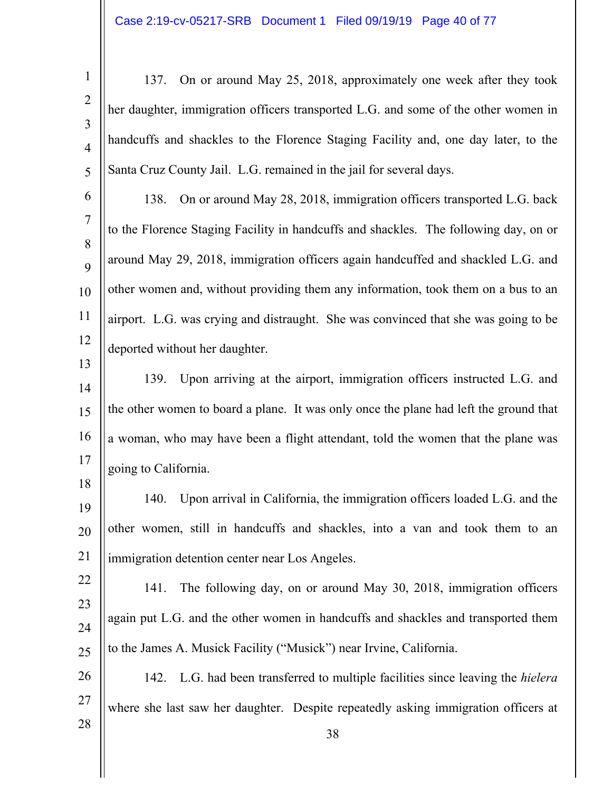1 2

3

4

5

13

18

28

137. On or around May 25, 2018, approximately one week after they took her daughter, immigration officers transported L.G. and some of the other women in handcuffs and shackles to the Florence Staging Facility and, one day later, to the Santa Cruz County Jail. L.G. remained in the jail for several days.

6 7 8  $\mathbf Q$ 10 11 12 138. On or around May 28, 2018, immigration officers transported L.G. back to the Florence Staging Facility in handcuffs and shackles. The following day, on or around May 29, 2018, immigration officers again handcuffed and shackled L.G. and other women and, without providing them any information, took them on a bus to an airport. L.G. was crying and distraught. She was convinced that she was going to be deported without her daughter.

14 15 16 17 139. Upon arriving at the airport, immigration officers instructed L.G. and the other women to board a plane. It was only once the plane had left the ground that a woman, who may have been a flight attendant, told the women that the plane was going to California.

19 20 21 140. Upon arrival in California, the immigration officers loaded L.G. and the other women, still in handcuffs and shackles, into a van and took them to an immigration detention center near Los Angeles.

22 23 24 25 141. The following day, on or around May 30, 2018, immigration officers again put L.G. and the other women in handcuffs and shackles and transported them to the James A. Musick Facility ("Musick") near Irvine, California.

26 27 142. L.G. had been transferred to multiple facilities since leaving the *hielera*  where she last saw her daughter. Despite repeatedly asking immigration officers at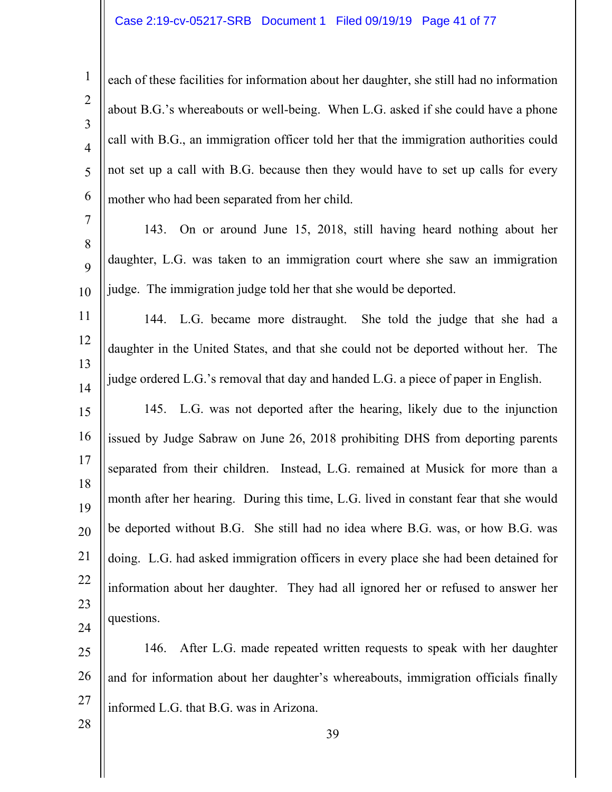## Case 2:19-cv-05217-SRB Document 1 Filed 09/19/19 Page 41 of 77

1 2 3 4 5 6 each of these facilities for information about her daughter, she still had no information about B.G.'s whereabouts or well-being. When L.G. asked if she could have a phone call with B.G., an immigration officer told her that the immigration authorities could not set up a call with B.G. because then they would have to set up calls for every mother who had been separated from her child.

7 8  $\mathbf Q$ 10 143. On or around June 15, 2018, still having heard nothing about her daughter, L.G. was taken to an immigration court where she saw an immigration judge. The immigration judge told her that she would be deported.

11 12 13 14 144. L.G. became more distraught. She told the judge that she had a daughter in the United States, and that she could not be deported without her. The judge ordered L.G.'s removal that day and handed L.G. a piece of paper in English.

15 16 17 18 19 20 21 22 23 24 145. L.G. was not deported after the hearing, likely due to the injunction issued by Judge Sabraw on June 26, 2018 prohibiting DHS from deporting parents separated from their children. Instead, L.G. remained at Musick for more than a month after her hearing. During this time, L.G. lived in constant fear that she would be deported without B.G. She still had no idea where B.G. was, or how B.G. was doing. L.G. had asked immigration officers in every place she had been detained for information about her daughter. They had all ignored her or refused to answer her questions.

25 26 27 146. After L.G. made repeated written requests to speak with her daughter and for information about her daughter's whereabouts, immigration officials finally informed L.G. that B.G. was in Arizona.

28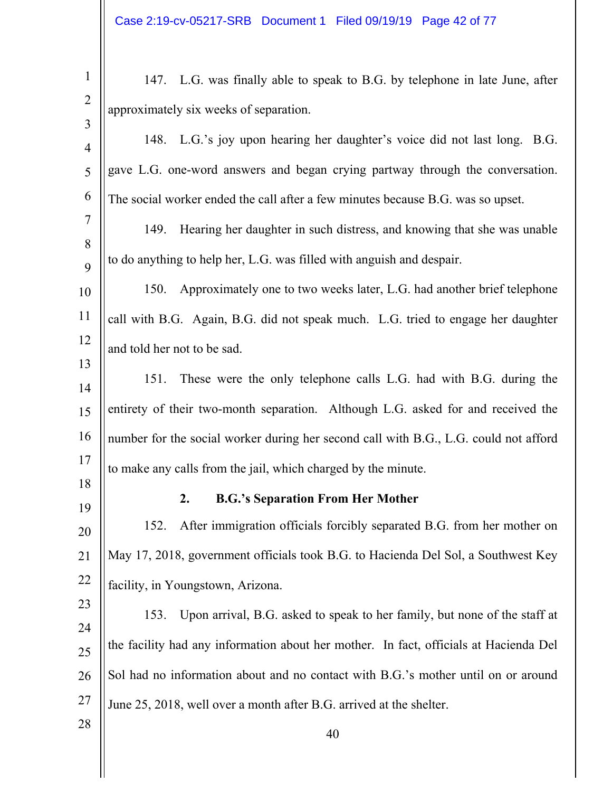| $\mathbf{1}$   | 147. L.G. was finally able to speak to B.G. by telephone in late June, after          |
|----------------|---------------------------------------------------------------------------------------|
| $\overline{2}$ | approximately six weeks of separation.                                                |
| 3              |                                                                                       |
| $\overline{4}$ | 148. L.G.'s joy upon hearing her daughter's voice did not last long. B.G.             |
| 5              | gave L.G. one-word answers and began crying partway through the conversation.         |
| 6              | The social worker ended the call after a few minutes because B.G. was so upset.       |
| $\tau$         | Hearing her daughter in such distress, and knowing that she was unable<br>149.        |
| 8              |                                                                                       |
| 9              | to do anything to help her, L.G. was filled with anguish and despair.                 |
| 10             | 150. Approximately one to two weeks later, L.G. had another brief telephone           |
| 11             | call with B.G. Again, B.G. did not speak much. L.G. tried to engage her daughter      |
| 12             | and told her not to be sad.                                                           |
| 13             |                                                                                       |
| 14             | These were the only telephone calls L.G. had with B.G. during the<br>151.             |
| 15             | entirety of their two-month separation. Although L.G. asked for and received the      |
| 16             | number for the social worker during her second call with B.G., L.G. could not afford  |
| 17             | to make any calls from the jail, which charged by the minute.                         |
| 18             | <b>B.G.'s Separation From Her Mother</b><br>2.                                        |
| 19             | After immigration officials forcibly separated B.G. from her mother on<br>152.        |
| 20             |                                                                                       |
| 21             | May 17, 2018, government officials took B.G. to Hacienda Del Sol, a Southwest Key     |
| 22             | facility, in Youngstown, Arizona.                                                     |
| 23             | 153. Upon arrival, B.G. asked to speak to her family, but none of the staff at        |
| 24             | the facility had any information about her mother. In fact, officials at Hacienda Del |
| 25             |                                                                                       |
| 26             | Sol had no information about and no contact with B.G.'s mother until on or around     |
| 27             | June 25, 2018, well over a month after B.G. arrived at the shelter.                   |
| 28             | 40                                                                                    |
|                |                                                                                       |

 $\parallel$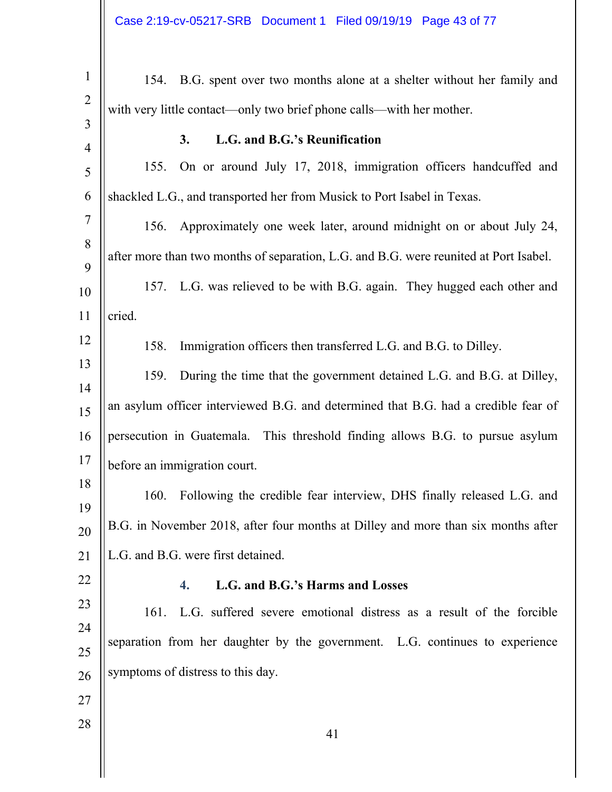| $\mathbf{1}$   | B.G. spent over two months alone at a shelter without her family and<br>154.          |  |
|----------------|---------------------------------------------------------------------------------------|--|
| $\overline{2}$ | with very little contact—only two brief phone calls—with her mother.                  |  |
| 3              |                                                                                       |  |
| $\overline{4}$ | L.G. and B.G.'s Reunification<br>3.                                                   |  |
| 5              | 155. On or around July 17, 2018, immigration officers handcuffed and                  |  |
| 6              | shackled L.G., and transported her from Musick to Port Isabel in Texas.               |  |
| $\tau$         | Approximately one week later, around midnight on or about July 24,<br>156.            |  |
| 8              | after more than two months of separation, L.G. and B.G. were reunited at Port Isabel. |  |
| 9<br>10        | 157. L.G. was relieved to be with B.G. again. They hugged each other and              |  |
| 11             | cried.                                                                                |  |
| 12             | 158.                                                                                  |  |
| 13             | Immigration officers then transferred L.G. and B.G. to Dilley.                        |  |
| 14             | During the time that the government detained L.G. and B.G. at Dilley,<br>159.         |  |
| 15             | an asylum officer interviewed B.G. and determined that B.G. had a credible fear of    |  |
| 16             | persecution in Guatemala. This threshold finding allows B.G. to pursue asylum         |  |
| 17             | before an immigration court.                                                          |  |
| 18             | Following the credible fear interview, DHS finally released L.G. and<br>160.          |  |
| 19             |                                                                                       |  |
| 20             | B.G. in November 2018, after four months at Dilley and more than six months after     |  |
| 21             | L.G. and B.G. were first detained.                                                    |  |
| 22             | L.G. and B.G.'s Harms and Losses<br>4.                                                |  |
| 23             | L.G. suffered severe emotional distress as a result of the forcible<br>161.           |  |
| 24             | separation from her daughter by the government. L.G. continues to experience          |  |
| 25<br>26       | symptoms of distress to this day.                                                     |  |
| 27             |                                                                                       |  |
|                |                                                                                       |  |
| $28\,$         | 41                                                                                    |  |
|                |                                                                                       |  |

 $\parallel$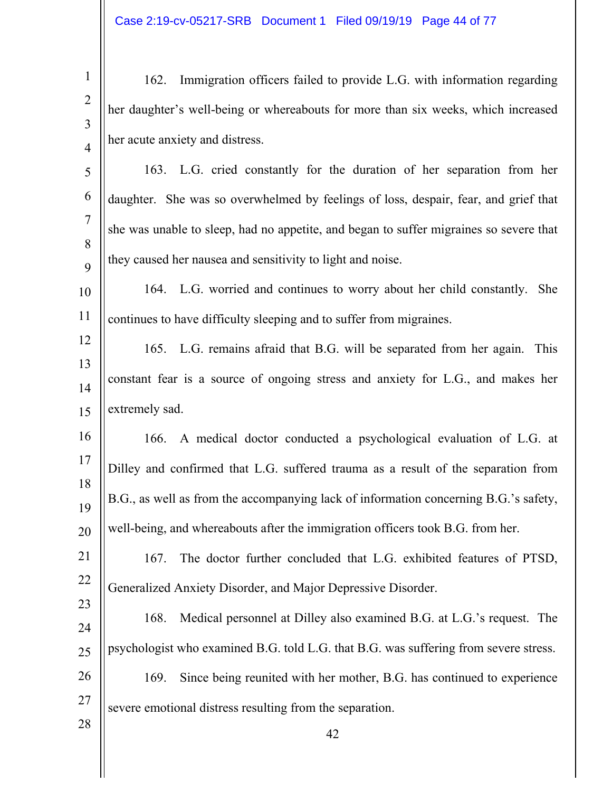| $1 \parallel$ | 162. Immigration officers failed to provide L.G. with information regarding                                              |
|---------------|--------------------------------------------------------------------------------------------------------------------------|
|               | $\begin{bmatrix} 2 \\ 3 \end{bmatrix}$ her daughter's well-being or whereabouts for more than six weeks, which increased |
|               |                                                                                                                          |
|               | $\parallel$ her acute anxiety and distress.                                                                              |

5 6 7 8  $\mathbf Q$ 163. L.G. cried constantly for the duration of her separation from her daughter. She was so overwhelmed by feelings of loss, despair, fear, and grief that she was unable to sleep, had no appetite, and began to suffer migraines so severe that they caused her nausea and sensitivity to light and noise.

- 10 11 164. L.G. worried and continues to worry about her child constantly. She continues to have difficulty sleeping and to suffer from migraines.
- 12 13 14 15 165. L.G. remains afraid that B.G. will be separated from her again. This constant fear is a source of ongoing stress and anxiety for L.G., and makes her extremely sad.
- 16 17 18 19 20 166. A medical doctor conducted a psychological evaluation of L.G. at Dilley and confirmed that L.G. suffered trauma as a result of the separation from B.G., as well as from the accompanying lack of information concerning B.G.'s safety, well-being, and whereabouts after the immigration officers took B.G. from her.
- 21 22 23 167. The doctor further concluded that L.G. exhibited features of PTSD, Generalized Anxiety Disorder, and Major Depressive Disorder.
- 24 25 26 27 168. Medical personnel at Dilley also examined B.G. at L.G.'s request. The psychologist who examined B.G. told L.G. that B.G. was suffering from severe stress. 169. Since being reunited with her mother, B.G. has continued to experience severe emotional distress resulting from the separation.

28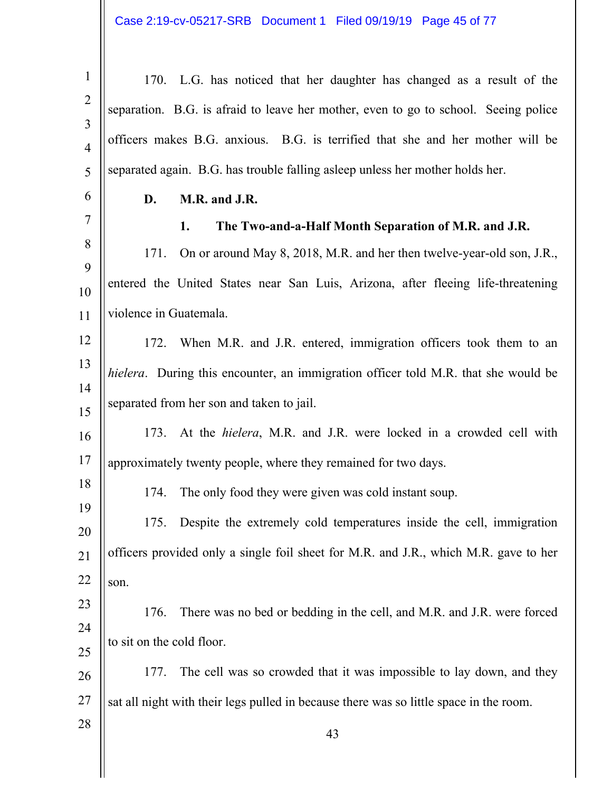| $\mathbf{1}$                     | 170. L.G. has noticed that her daughter has changed as a result of the                 |
|----------------------------------|----------------------------------------------------------------------------------------|
| $\overline{2}$<br>$\overline{3}$ | separation. B.G. is afraid to leave her mother, even to go to school. Seeing police    |
| $\overline{4}$                   | officers makes B.G. anxious. B.G. is terrified that she and her mother will be         |
| 5                                | separated again. B.G. has trouble falling asleep unless her mother holds her.          |
| 6                                | M.R. and J.R.<br>D.                                                                    |
| 7                                | The Two-and-a-Half Month Separation of M.R. and J.R.<br>1.                             |
| 8                                | On or around May 8, 2018, M.R. and her then twelve-year-old son, J.R.,<br>171.         |
| 9<br>10                          | entered the United States near San Luis, Arizona, after fleeing life-threatening       |
| 11                               | violence in Guatemala.                                                                 |
| 12                               | 172. When M.R. and J.R. entered, immigration officers took them to an                  |
| 13                               | hielera. During this encounter, an immigration officer told M.R. that she would be     |
| 14<br>15                         | separated from her son and taken to jail.                                              |
| 16                               | 173. At the <i>hielera</i> , M.R. and J.R. were locked in a crowded cell with          |
| 17                               | approximately twenty people, where they remained for two days.                         |
| 18                               | The only food they were given was cold instant soup.<br>174.                           |
| 19<br>20                         | 175.<br>Despite the extremely cold temperatures inside the cell, immigration           |
| 21                               | officers provided only a single foil sheet for M.R. and J.R., which M.R. gave to her   |
| 22                               | son.                                                                                   |
| 23                               | There was no bed or bedding in the cell, and M.R. and J.R. were forced<br>176.         |
| 24                               | to sit on the cold floor.                                                              |
| 25<br>26                         | The cell was so crowded that it was impossible to lay down, and they<br>177.           |
| 27                               | sat all night with their legs pulled in because there was so little space in the room. |
| 28                               |                                                                                        |
|                                  | 43                                                                                     |
|                                  |                                                                                        |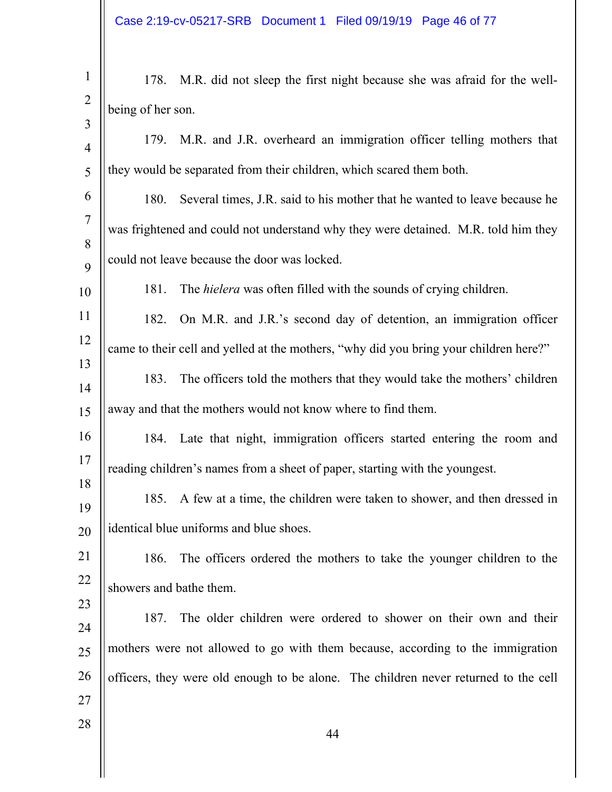Case 2:19-cv-05217-SRB Document 1 Filed 09/19/19 Page 46 of 77

| $\mathbf{1}$        |                                                                             | 178. M.R. did not sleep the first night because she was afraid for the well-          |
|---------------------|-----------------------------------------------------------------------------|---------------------------------------------------------------------------------------|
| $\overline{2}$      | being of her son.                                                           |                                                                                       |
| 3<br>$\overline{4}$ |                                                                             | 179. M.R. and J.R. overheard an immigration officer telling mothers that              |
| 5                   |                                                                             | they would be separated from their children, which scared them both.                  |
| 6                   | 180.                                                                        | Several times, J.R. said to his mother that he wanted to leave because he             |
| $\tau$              |                                                                             | was frightened and could not understand why they were detained. M.R. told him they    |
| 8<br>9              | could not leave because the door was locked.                                |                                                                                       |
| 10                  | 181.                                                                        | The <i>hielera</i> was often filled with the sounds of crying children.               |
| 11                  | 182.                                                                        | On M.R. and J.R.'s second day of detention, an immigration officer                    |
| 12                  |                                                                             | came to their cell and yelled at the mothers, "why did you bring your children here?" |
| 13                  | 183.                                                                        | The officers told the mothers that they would take the mothers' children              |
| 14<br>15            |                                                                             | away and that the mothers would not know where to find them.                          |
|                     |                                                                             |                                                                                       |
| 16<br>17            |                                                                             | 184. Late that night, immigration officers started entering the room and              |
| 18                  | reading children's names from a sheet of paper, starting with the youngest. |                                                                                       |
| 19                  | 185.                                                                        | A few at a time, the children were taken to shower, and then dressed in               |
| 20                  |                                                                             | identical blue uniforms and blue shoes.                                               |
| 21                  | 186.                                                                        | The officers ordered the mothers to take the younger children to the                  |
| 22                  |                                                                             | showers and bathe them.                                                               |
| 23                  | 187.                                                                        | The older children were ordered to shower on their own and their                      |
| 24                  |                                                                             |                                                                                       |
| 25                  |                                                                             | mothers were not allowed to go with them because, according to the immigration        |
| 26                  |                                                                             | officers, they were old enough to be alone. The children never returned to the cell   |
| 27                  |                                                                             |                                                                                       |
| 28                  |                                                                             | 44                                                                                    |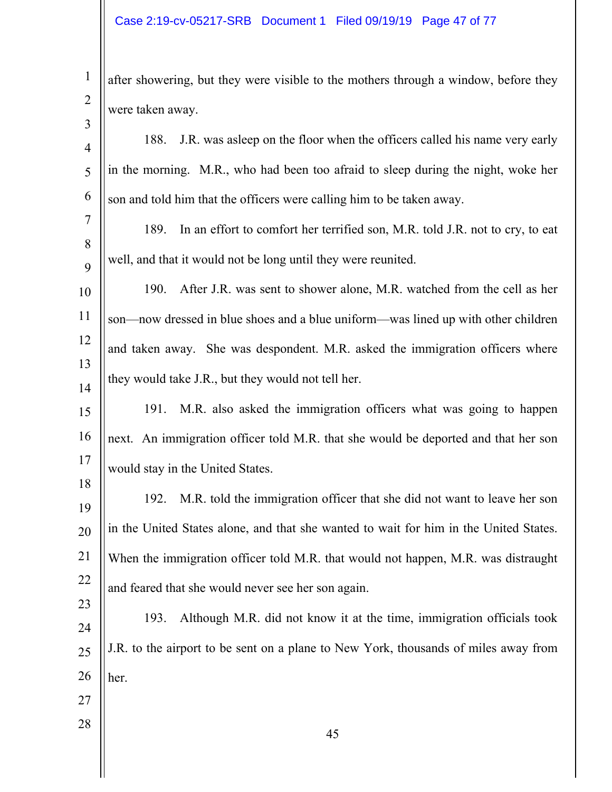| $\mathbf{1}$        | after showering, but they were visible to the mothers through a window, before they   |
|---------------------|---------------------------------------------------------------------------------------|
| $\overline{2}$<br>3 | were taken away.                                                                      |
| $\overline{4}$      | J.R. was asleep on the floor when the officers called his name very early<br>188.     |
| 5                   | in the morning. M.R., who had been too afraid to sleep during the night, woke her     |
| 6                   | son and told him that the officers were calling him to be taken away.                 |
| 7                   | In an effort to comfort her terrified son, M.R. told J.R. not to cry, to eat<br>189.  |
| 8<br>9              | well, and that it would not be long until they were reunited.                         |
| 10                  | After J.R. was sent to shower alone, M.R. watched from the cell as her<br>190.        |
| 11                  | son—now dressed in blue shoes and a blue uniform—was lined up with other children     |
| 12                  | and taken away. She was despondent. M.R. asked the immigration officers where         |
| 13<br>14            | they would take J.R., but they would not tell her.                                    |
| 15                  | M.R. also asked the immigration officers what was going to happen<br>191.             |
| 16                  | next. An immigration officer told M.R. that she would be deported and that her son    |
| 17                  | would stay in the United States.                                                      |
| 18<br>19            | M.R. told the immigration officer that she did not want to leave her son<br>192.      |
| 20                  | in the United States alone, and that she wanted to wait for him in the United States. |
| 21                  | When the immigration officer told M.R. that would not happen, M.R. was distraught     |
| 22                  | and feared that she would never see her son again.                                    |
| 23<br>24            | Although M.R. did not know it at the time, immigration officials took<br>193.         |
| 25                  | J.R. to the airport to be sent on a plane to New York, thousands of miles away from   |
| 26                  | her.                                                                                  |
| 27                  |                                                                                       |
| 28                  | 45                                                                                    |
|                     |                                                                                       |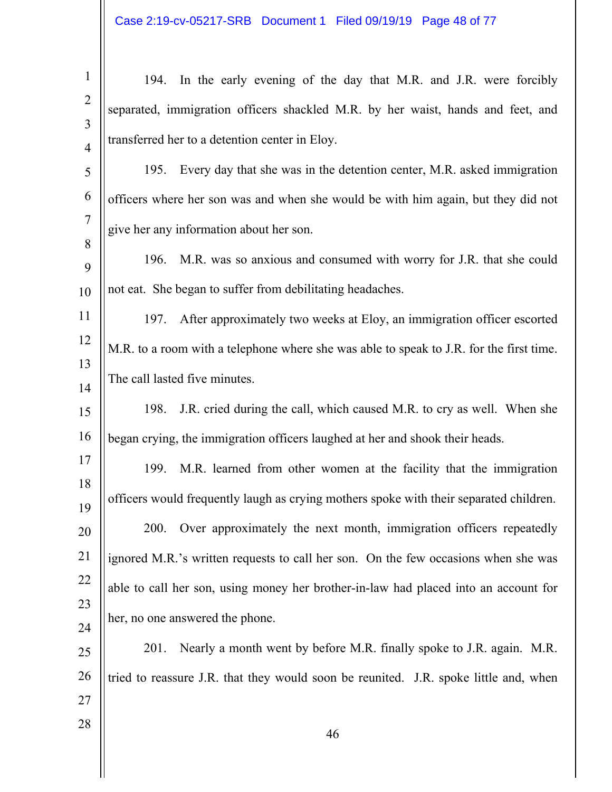| $\mathbf{1}$        | 194. In the early evening of the day that M.R. and J.R. were forcibly                   |
|---------------------|-----------------------------------------------------------------------------------------|
| $\overline{2}$<br>3 | separated, immigration officers shackled M.R. by her waist, hands and feet, and         |
| $\overline{4}$      | transferred her to a detention center in Eloy.                                          |
| 5                   | 195. Every day that she was in the detention center, M.R. asked immigration             |
| 6                   | officers where her son was and when she would be with him again, but they did not       |
| $\overline{7}$      | give her any information about her son.                                                 |
| 8<br>9              | 196. M.R. was so anxious and consumed with worry for J.R. that she could                |
| 10                  | not eat. She began to suffer from debilitating headaches.                               |
| 11                  | After approximately two weeks at Eloy, an immigration officer escorted<br>197.          |
| 12                  | M.R. to a room with a telephone where she was able to speak to J.R. for the first time. |
| 13<br>14            | The call lasted five minutes.                                                           |
| 15                  | J.R. cried during the call, which caused M.R. to cry as well. When she<br>198.          |
| 16                  | began crying, the immigration officers laughed at her and shook their heads.            |
| 17                  | 199. M.R. learned from other women at the facility that the immigration                 |
| 18<br>19            | officers would frequently laugh as crying mothers spoke with their separated children.  |
| 20                  | Over approximately the next month, immigration officers repeatedly<br>200.              |
| 21                  | ignored M.R.'s written requests to call her son. On the few occasions when she was      |
| 22                  | able to call her son, using money her brother-in-law had placed into an account for     |
| 23                  | her, no one answered the phone.                                                         |
| 24<br>25            | Nearly a month went by before M.R. finally spoke to J.R. again. M.R.<br>201.            |
| 26                  | tried to reassure J.R. that they would soon be reunited. J.R. spoke little and, when    |
| 27                  |                                                                                         |
| 28                  | 46                                                                                      |
|                     |                                                                                         |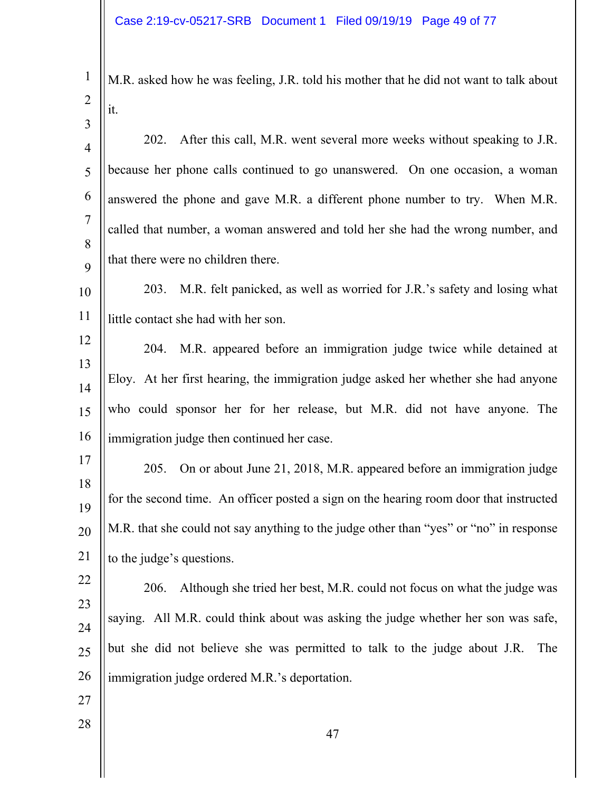1 2 M.R. asked how he was feeling, J.R. told his mother that he did not want to talk about it.

3

4 5 6 7 8 9 202. After this call, M.R. went several more weeks without speaking to J.R. because her phone calls continued to go unanswered. On one occasion, a woman answered the phone and gave M.R. a different phone number to try. When M.R. called that number, a woman answered and told her she had the wrong number, and that there were no children there.

10 11 203. M.R. felt panicked, as well as worried for J.R.'s safety and losing what little contact she had with her son.

- 12 13 14 15 16 204. M.R. appeared before an immigration judge twice while detained at Eloy. At her first hearing, the immigration judge asked her whether she had anyone who could sponsor her for her release, but M.R. did not have anyone. The immigration judge then continued her case.
- 17 18 19 20 21 205. On or about June 21, 2018, M.R. appeared before an immigration judge for the second time. An officer posted a sign on the hearing room door that instructed M.R. that she could not say anything to the judge other than "yes" or "no" in response to the judge's questions.
- 22 23 24 25 26 206. Although she tried her best, M.R. could not focus on what the judge was saying. All M.R. could think about was asking the judge whether her son was safe, but she did not believe she was permitted to talk to the judge about J.R. The immigration judge ordered M.R.'s deportation.
- 27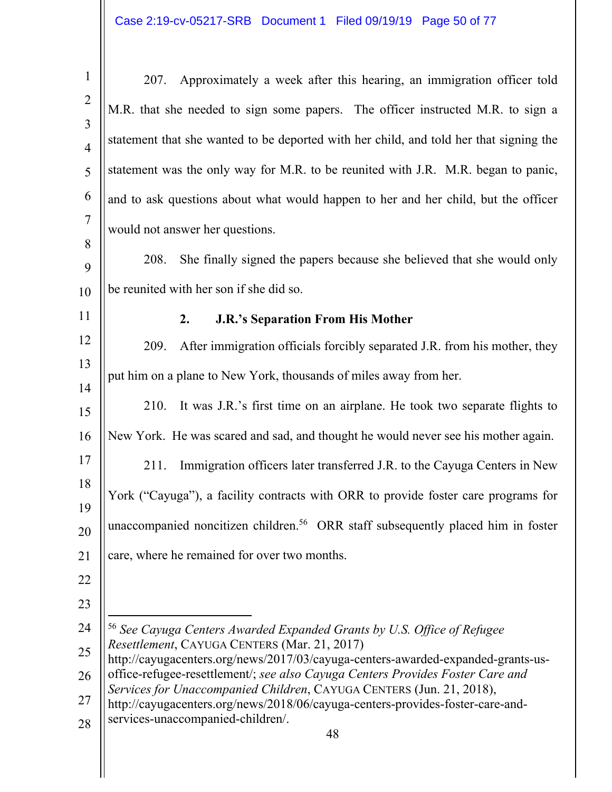| $\mathbf{1}$                     | Approximately a week after this hearing, an immigration officer told<br>207.                                                                           |
|----------------------------------|--------------------------------------------------------------------------------------------------------------------------------------------------------|
| $\overline{2}$<br>$\overline{3}$ | M.R. that she needed to sign some papers. The officer instructed M.R. to sign a                                                                        |
| $\overline{4}$                   | statement that she wanted to be deported with her child, and told her that signing the                                                                 |
| 5                                | statement was the only way for M.R. to be reunited with J.R. M.R. began to panic,                                                                      |
| 6                                | and to ask questions about what would happen to her and her child, but the officer                                                                     |
| $\overline{7}$                   | would not answer her questions.                                                                                                                        |
| 8<br>9                           | She finally signed the papers because she believed that she would only<br>208.                                                                         |
| 10                               | be reunited with her son if she did so.                                                                                                                |
| 11                               | <b>J.R.'s Separation From His Mother</b><br>2.                                                                                                         |
| 12                               | After immigration officials forcibly separated J.R. from his mother, they<br>209.                                                                      |
| 13                               | put him on a plane to New York, thousands of miles away from her.                                                                                      |
| 14<br>15                         | It was J.R.'s first time on an airplane. He took two separate flights to<br>210.                                                                       |
| 16                               | New York. He was scared and sad, and thought he would never see his mother again.                                                                      |
| 17                               | 211.<br>Immigration officers later transferred J.R. to the Cayuga Centers in New                                                                       |
| 18                               | York ("Cayuga"), a facility contracts with ORR to provide foster care programs for                                                                     |
| 19<br>20                         | unaccompanied noncitizen children. <sup>56</sup> ORR staff subsequently placed him in foster                                                           |
| 21                               | care, where he remained for over two months.                                                                                                           |
| 22                               |                                                                                                                                                        |
| 23                               |                                                                                                                                                        |
| 24                               | <sup>56</sup> See Cayuga Centers Awarded Expanded Grants by U.S. Office of Refugee                                                                     |
| 25                               | Resettlement, CAYUGA CENTERS (Mar. 21, 2017)<br>http://cayugacenters.org/news/2017/03/cayuga-centers-awarded-expanded-grants-us-                       |
| 26                               | office-refugee-resettlement/; see also Cayuga Centers Provides Foster Care and<br>Services for Unaccompanied Children, CAYUGA CENTERS (Jun. 21, 2018), |
| 27<br>28                         | http://cayugacenters.org/news/2018/06/cayuga-centers-provides-foster-care-and-<br>services-unaccompanied-children/.<br>48                              |
|                                  |                                                                                                                                                        |

 $\parallel$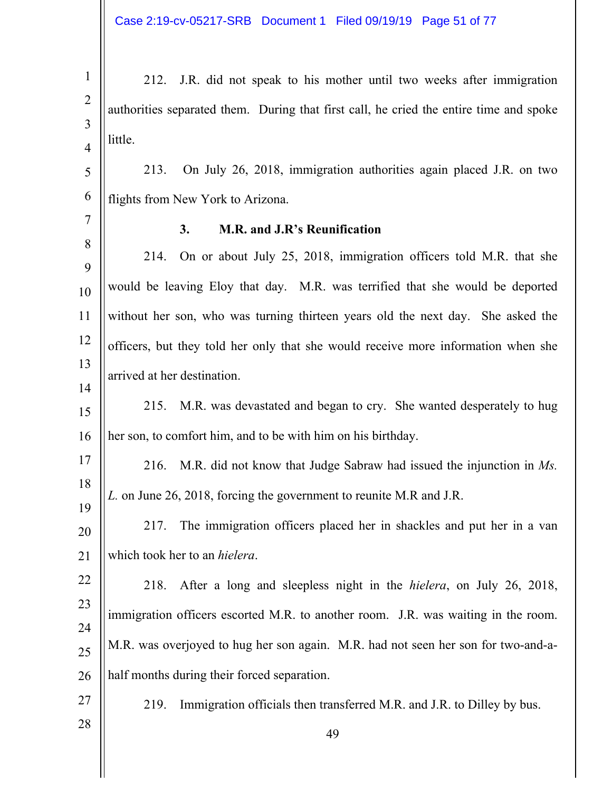Case 2:19-cv-05217-SRB Document 1 Filed 09/19/19 Page 51 of 77

| $\mathbf{1}$        | 212. J.R. did not speak to his mother until two weeks after immigration                |
|---------------------|----------------------------------------------------------------------------------------|
| $\overline{2}$<br>3 | authorities separated them. During that first call, he cried the entire time and spoke |
| $\overline{4}$      | little.                                                                                |
| 5                   | On July 26, 2018, immigration authorities again placed J.R. on two<br>213.             |
| 6                   | flights from New York to Arizona.                                                      |
| $\tau$              | M.R. and J.R's Reunification<br>3.                                                     |
| 8<br>9              | On or about July 25, 2018, immigration officers told M.R. that she<br>214.             |
| 10                  | would be leaving Eloy that day. M.R. was terrified that she would be deported          |
| 11                  | without her son, who was turning thirteen years old the next day. She asked the        |
| 12                  | officers, but they told her only that she would receive more information when she      |
| 13                  | arrived at her destination.                                                            |
| 14<br>15            | 215. M.R. was devastated and began to cry. She wanted desperately to hug               |
| 16                  | her son, to comfort him, and to be with him on his birthday.                           |
| 17                  | M.R. did not know that Judge Sabraw had issued the injunction in Ms.<br>216.           |
| 18                  |                                                                                        |
| 19                  | L. on June 26, 2018, forcing the government to reunite M.R and J.R.                    |
| 20                  | The immigration officers placed her in shackles and put her in a van<br>217.           |
| 21                  | which took her to an <i>hielera</i> .                                                  |
| 22                  | 218.<br>After a long and sleepless night in the <i>hielera</i> , on July 26, 2018,     |
| 23                  | immigration officers escorted M.R. to another room. J.R. was waiting in the room.      |
| 24                  | M.R. was overjoyed to hug her son again. M.R. had not seen her son for two-and-a-      |
| 25                  |                                                                                        |
| 26<br>27            | half months during their forced separation.                                            |
| 28                  | Immigration officials then transferred M.R. and J.R. to Dilley by bus.<br>219.         |
|                     | 49                                                                                     |
|                     |                                                                                        |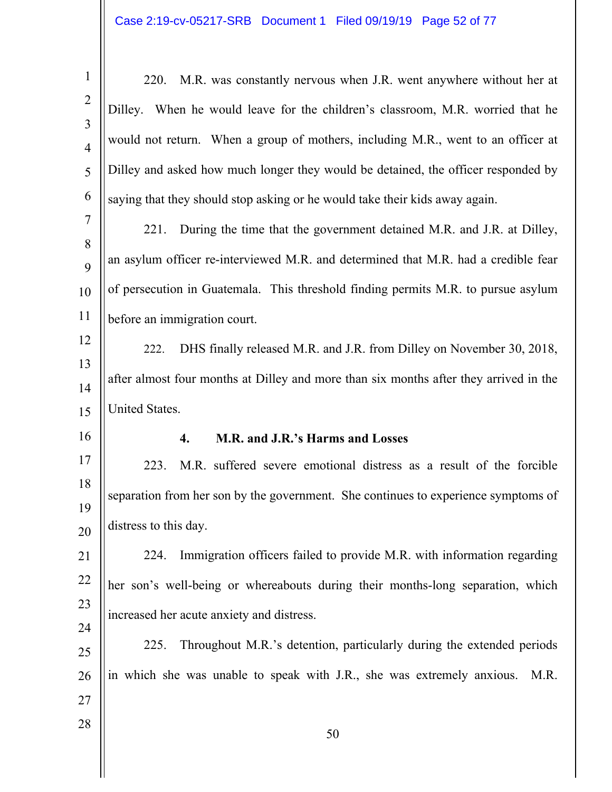| $\mathbf{1}$                     | M.R. was constantly nervous when J.R. went anywhere without her at<br>220.            |
|----------------------------------|---------------------------------------------------------------------------------------|
| $\overline{2}$                   | Dilley. When he would leave for the children's classroom, M.R. worried that he        |
| $\overline{3}$<br>$\overline{4}$ | would not return. When a group of mothers, including M.R., went to an officer at      |
| 5                                | Dilley and asked how much longer they would be detained, the officer responded by     |
| 6                                | saying that they should stop asking or he would take their kids away again.           |
| $\tau$                           |                                                                                       |
| 8                                | During the time that the government detained M.R. and J.R. at Dilley,<br>221.         |
| 9                                | an asylum officer re-interviewed M.R. and determined that M.R. had a credible fear    |
| 10                               | of persecution in Guatemala. This threshold finding permits M.R. to pursue asylum     |
| 11                               | before an immigration court.                                                          |
| 12                               | DHS finally released M.R. and J.R. from Dilley on November 30, 2018,<br>222.          |
| 13                               | after almost four months at Dilley and more than six months after they arrived in the |
| 14                               |                                                                                       |
| 15                               | United States.                                                                        |
| 16                               | M.R. and J.R.'s Harms and Losses<br>4.                                                |
| 17                               | M.R. suffered severe emotional distress as a result of the forcible<br>223.           |
| 18                               |                                                                                       |
|                                  | separation from her son by the government. She continues to experience symptoms of    |
| 19                               |                                                                                       |
| 20                               | distress to this day.                                                                 |
| 21                               | Immigration officers failed to provide M.R. with information regarding<br>224.        |
| 22                               | her son's well-being or whereabouts during their months-long separation, which        |
| 23                               | increased her acute anxiety and distress.                                             |
| 24                               | Throughout M.R.'s detention, particularly during the extended periods<br>225.         |
| 25                               |                                                                                       |
| 26                               | in which she was unable to speak with J.R., she was extremely anxious.<br>M.R.        |
| 27<br>28                         |                                                                                       |

 $\mathbb{I}$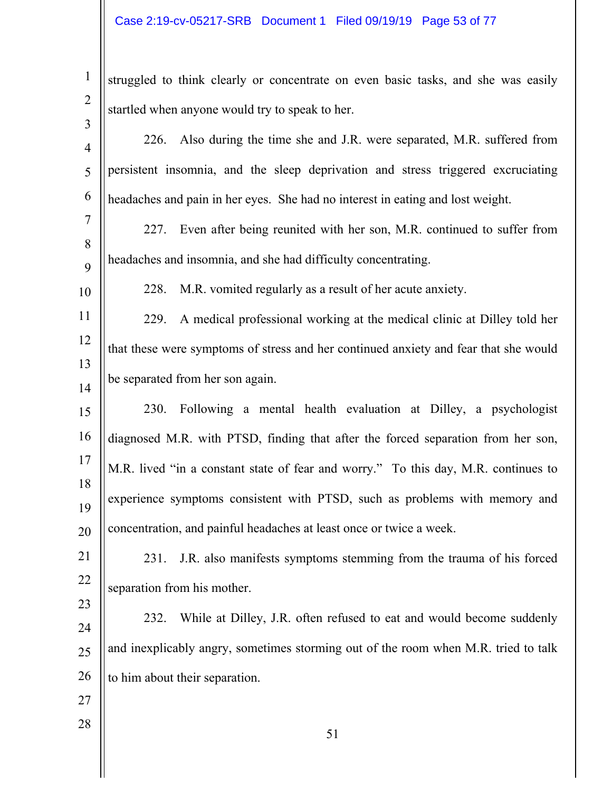| $\mathbf{1}$   | struggled to think clearly or concentrate on even basic tasks, and she was easily    |
|----------------|--------------------------------------------------------------------------------------|
| $\overline{2}$ | startled when anyone would try to speak to her.                                      |
| 3              | 226. Also during the time she and J.R. were separated, M.R. suffered from            |
| $\overline{4}$ |                                                                                      |
| 5              | persistent insomnia, and the sleep deprivation and stress triggered excruciating     |
| 6              | headaches and pain in her eyes. She had no interest in eating and lost weight.       |
| $\tau$         | Even after being reunited with her son, M.R. continued to suffer from<br>227.        |
| 8<br>9         | headaches and insomnia, and she had difficulty concentrating.                        |
| 10             | M.R. vomited regularly as a result of her acute anxiety.<br>228.                     |
| 11             | A medical professional working at the medical clinic at Dilley told her<br>229.      |
| 12             | that these were symptoms of stress and her continued anxiety and fear that she would |
| 13             |                                                                                      |
| 14             | be separated from her son again.                                                     |
| 15             | Following a mental health evaluation at Dilley, a psychologist<br>230.               |
| 16             | diagnosed M.R. with PTSD, finding that after the forced separation from her son,     |
| 17             | M.R. lived "in a constant state of fear and worry." To this day, M.R. continues to   |
| 18<br>19       | experience symptoms consistent with PTSD, such as problems with memory and           |
| 20             | concentration, and painful headaches at least once or twice a week.                  |
| 21             | J.R. also manifests symptoms stemming from the trauma of his forced<br>231.          |
| 22             | separation from his mother.                                                          |
| 23             | While at Dilley, J.R. often refused to eat and would become suddenly<br>232.         |
| 24             |                                                                                      |
| 25             | and inexplicably angry, sometimes storming out of the room when M.R. tried to talk   |
| 26             | to him about their separation.                                                       |
| 27             |                                                                                      |
| 28             | 51                                                                                   |
|                |                                                                                      |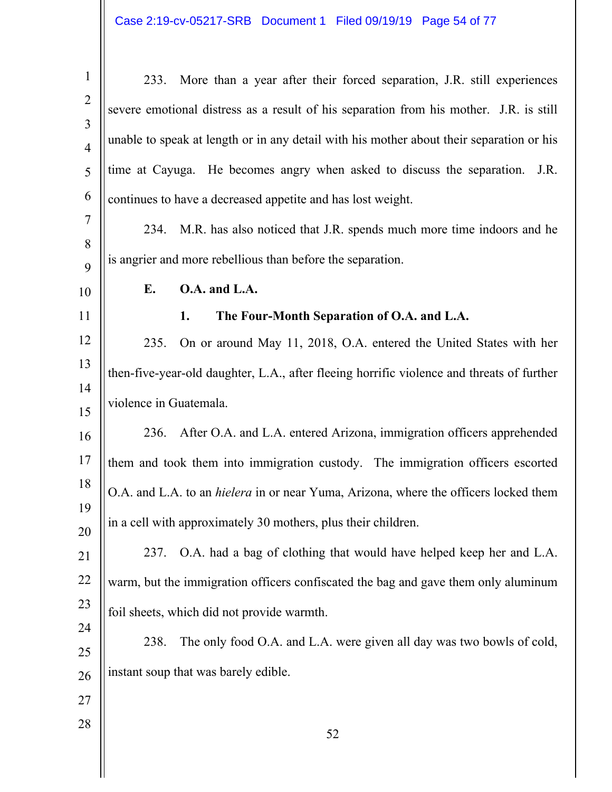| $\mathbf{1}$        |                        | 233. More than a year after their forced separation, J.R. still experiences                 |
|---------------------|------------------------|---------------------------------------------------------------------------------------------|
| $\overline{2}$      |                        | severe emotional distress as a result of his separation from his mother. J.R. is still      |
| 3<br>$\overline{4}$ |                        | unable to speak at length or in any detail with his mother about their separation or his    |
| 5                   |                        | time at Cayuga. He becomes angry when asked to discuss the separation.<br>J.R.              |
| 6                   |                        | continues to have a decreased appetite and has lost weight.                                 |
| $\overline{7}$      |                        | 234. M.R. has also noticed that J.R. spends much more time indoors and he                   |
| 8                   |                        | is angrier and more rebellious than before the separation.                                  |
| 9<br>10             | Е.                     | O.A. and L.A.                                                                               |
| 11                  |                        | The Four-Month Separation of O.A. and L.A.<br>1.                                            |
| 12                  | 235.                   | On or around May 11, 2018, O.A. entered the United States with her                          |
| 13                  |                        | then-five-year-old daughter, L.A., after fleeing horrific violence and threats of further   |
| 14                  | violence in Guatemala. |                                                                                             |
| 15<br>16            | 236.                   | After O.A. and L.A. entered Arizona, immigration officers apprehended                       |
| 17                  |                        | them and took them into immigration custody. The immigration officers escorted              |
| 18                  |                        | O.A. and L.A. to an <i>hielera</i> in or near Yuma, Arizona, where the officers locked them |
| 19                  |                        | in a cell with approximately 30 mothers, plus their children.                               |
| 20                  |                        |                                                                                             |
| 21                  | 237.                   | O.A. had a bag of clothing that would have helped keep her and L.A.                         |
| 22                  |                        | warm, but the immigration officers confiscated the bag and gave them only aluminum          |
| 23                  |                        | foil sheets, which did not provide warmth.                                                  |
| 24<br>25            | 238.                   | The only food O.A. and L.A. were given all day was two bowls of cold,                       |
| 26                  |                        | instant soup that was barely edible.                                                        |
| 27                  |                        |                                                                                             |
| 28                  |                        | 52                                                                                          |
|                     |                        |                                                                                             |
|                     |                        |                                                                                             |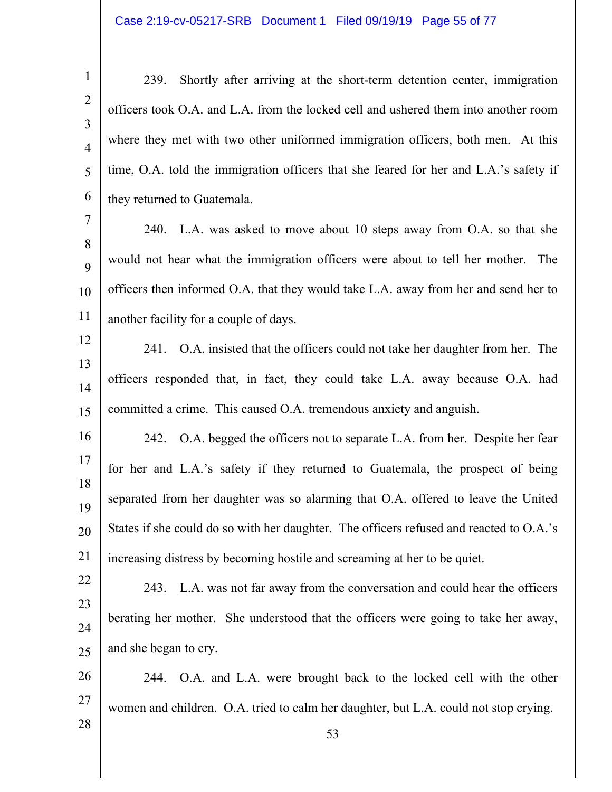1 2 3 4 5 6 239. Shortly after arriving at the short-term detention center, immigration officers took O.A. and L.A. from the locked cell and ushered them into another room where they met with two other uniformed immigration officers, both men. At this time, O.A. told the immigration officers that she feared for her and L.A.'s safety if they returned to Guatemala.

7 8  $\mathbf Q$ 10 11 240. L.A. was asked to move about 10 steps away from O.A. so that she would not hear what the immigration officers were about to tell her mother. The officers then informed O.A. that they would take L.A. away from her and send her to another facility for a couple of days.

12 13 14 15 241. O.A. insisted that the officers could not take her daughter from her. The officers responded that, in fact, they could take L.A. away because O.A. had committed a crime. This caused O.A. tremendous anxiety and anguish.

16 17 18 19 20 21 242. O.A. begged the officers not to separate L.A. from her. Despite her fear for her and L.A.'s safety if they returned to Guatemala, the prospect of being separated from her daughter was so alarming that O.A. offered to leave the United States if she could do so with her daughter. The officers refused and reacted to O.A.'s increasing distress by becoming hostile and screaming at her to be quiet.

22 23 24 25 243. L.A. was not far away from the conversation and could hear the officers berating her mother. She understood that the officers were going to take her away, and she began to cry.

26 27 244. O.A. and L.A. were brought back to the locked cell with the other women and children. O.A. tried to calm her daughter, but L.A. could not stop crying.

28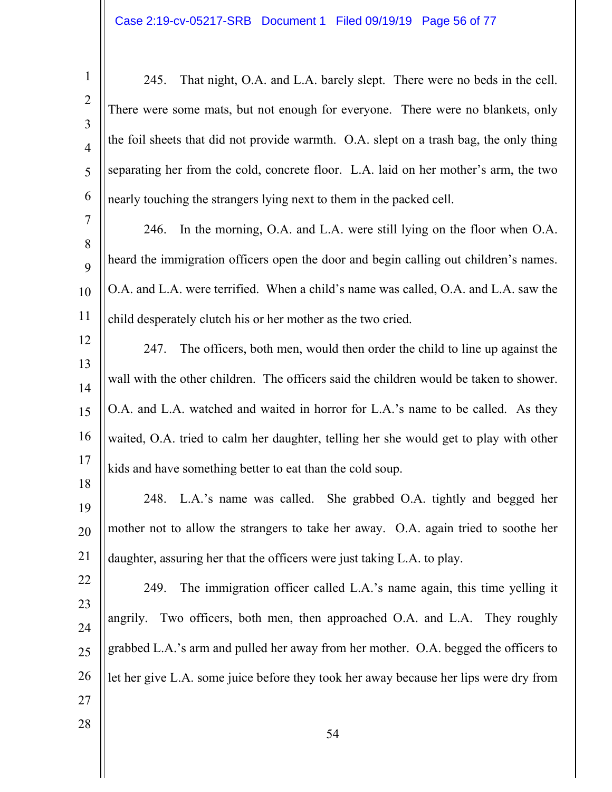1 2 3 4 5 6 7 245. That night, O.A. and L.A. barely slept. There were no beds in the cell. There were some mats, but not enough for everyone. There were no blankets, only the foil sheets that did not provide warmth. O.A. slept on a trash bag, the only thing separating her from the cold, concrete floor. L.A. laid on her mother's arm, the two nearly touching the strangers lying next to them in the packed cell.

8  $\mathbf Q$ 10 11 246. In the morning, O.A. and L.A. were still lying on the floor when O.A. heard the immigration officers open the door and begin calling out children's names. O.A. and L.A. were terrified. When a child's name was called, O.A. and L.A. saw the child desperately clutch his or her mother as the two cried.

12

13 14 15 16 17 247. The officers, both men, would then order the child to line up against the wall with the other children. The officers said the children would be taken to shower. O.A. and L.A. watched and waited in horror for L.A.'s name to be called. As they waited, O.A. tried to calm her daughter, telling her she would get to play with other kids and have something better to eat than the cold soup.

18 19 20 21 248. L.A.'s name was called. She grabbed O.A. tightly and begged her mother not to allow the strangers to take her away. O.A. again tried to soothe her daughter, assuring her that the officers were just taking L.A. to play.

22 23 24 25 26 249. The immigration officer called L.A.'s name again, this time yelling it angrily. Two officers, both men, then approached O.A. and L.A. They roughly grabbed L.A.'s arm and pulled her away from her mother. O.A. begged the officers to let her give L.A. some juice before they took her away because her lips were dry from

27 28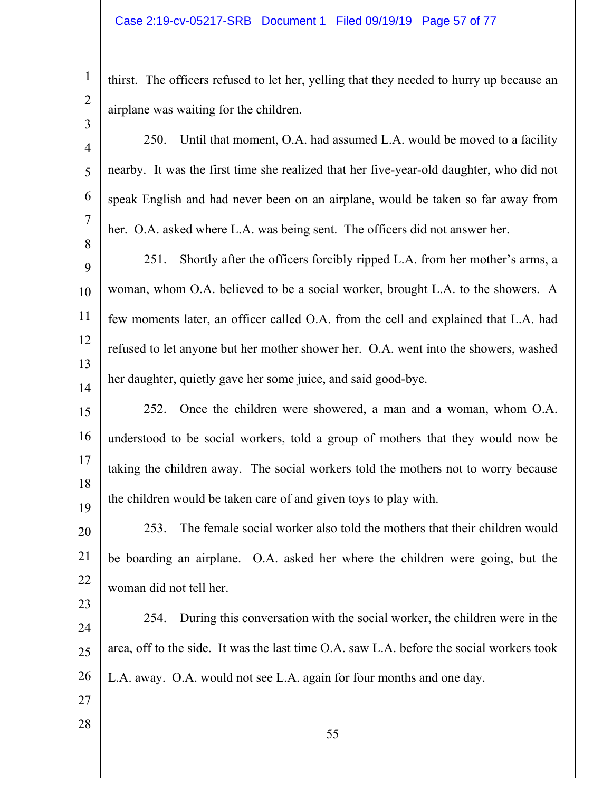1 2 3 thirst. The officers refused to let her, yelling that they needed to hurry up because an airplane was waiting for the children.

| $\overline{4}$ | Until that moment, O.A. had assumed L.A. would be moved to a facility<br><b>250.</b>     |
|----------------|------------------------------------------------------------------------------------------|
| 5              | nearby. It was the first time she realized that her five-year-old daughter, who did not  |
| 6              | speak English and had never been on an airplane, would be taken so far away from         |
| $\overline{7}$ | her. O.A. asked where L.A. was being sent. The officers did not answer her.              |
| 8<br>9         | Shortly after the officers forcibly ripped L.A. from her mother's arms, a<br>251.        |
| 10             | woman, whom O.A. believed to be a social worker, brought L.A. to the showers. A          |
| 11             | few moments later, an officer called O.A. from the cell and explained that L.A. had      |
| 12             | refused to let anyone but her mother shower her. O.A. went into the showers, washed      |
| 13<br>14       | her daughter, quietly gave her some juice, and said good-bye.                            |
| 15             | Once the children were showered, a man and a woman, whom O.A.<br>252.                    |
| 16             | understood to be social workers, told a group of mothers that they would now be          |
| 17             | taking the children away. The social workers told the mothers not to worry because       |
| 18             | the children would be taken care of and given toys to play with.                         |
| 19             | The female social worker also told the mothers that their children would<br>253.         |
| 20<br>21       | be boarding an airplane. O.A. asked her where the children were going, but the           |
| 22             |                                                                                          |
| 23             | woman did not tell her.                                                                  |
| 24             | During this conversation with the social worker, the children were in the<br>254.        |
| 25             | area, off to the side. It was the last time O.A. saw L.A. before the social workers took |
| 26             | L.A. away. O.A. would not see L.A. again for four months and one day.                    |
| 27             |                                                                                          |
| 28             | 55                                                                                       |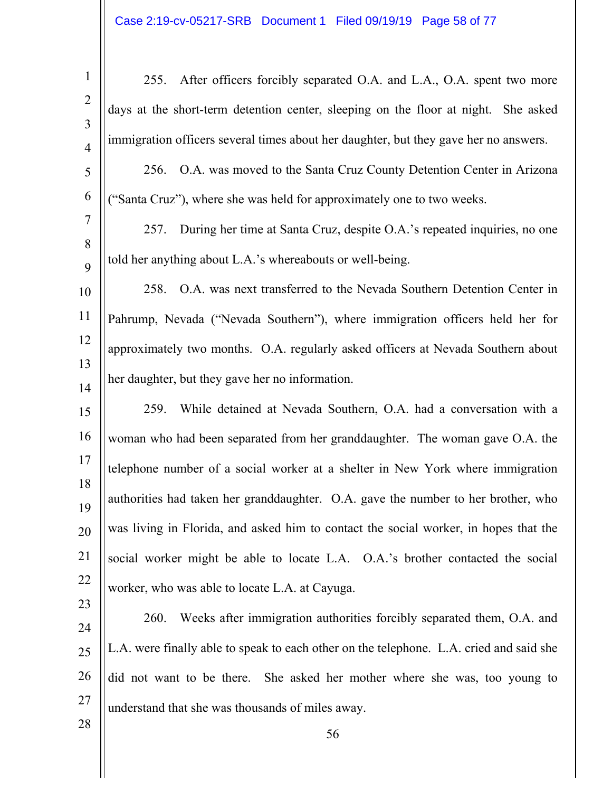| $\mathbf{1}$                     | 255. After officers forcibly separated O.A. and L.A., O.A. spent two more               |
|----------------------------------|-----------------------------------------------------------------------------------------|
| $\overline{2}$<br>$\overline{3}$ | days at the short-term detention center, sleeping on the floor at night. She asked      |
| $\overline{4}$                   | immigration officers several times about her daughter, but they gave her no answers.    |
| 5                                | 256. O.A. was moved to the Santa Cruz County Detention Center in Arizona                |
| 6                                | ("Santa Cruz"), where she was held for approximately one to two weeks.                  |
| $\tau$                           | During her time at Santa Cruz, despite O.A.'s repeated inquiries, no one<br>257.        |
| 8<br>9                           | told her anything about L.A.'s whereabouts or well-being.                               |
| 10                               | 258. O.A. was next transferred to the Nevada Southern Detention Center in               |
| 11                               | Pahrump, Nevada ("Nevada Southern"), where immigration officers held her for            |
| 12                               | approximately two months. O.A. regularly asked officers at Nevada Southern about        |
| 13<br>14                         | her daughter, but they gave her no information.                                         |
| 15                               | While detained at Nevada Southern, O.A. had a conversation with a<br>259.               |
| 16                               | woman who had been separated from her granddaughter. The woman gave O.A. the            |
| 17                               | telephone number of a social worker at a shelter in New York where immigration          |
| 18<br>19                         | authorities had taken her granddaughter. O.A. gave the number to her brother, who       |
| 20                               | was living in Florida, and asked him to contact the social worker, in hopes that the    |
| 21                               | social worker might be able to locate L.A. O.A.'s brother contacted the social          |
| 22                               | worker, who was able to locate L.A. at Cayuga.                                          |
| 23                               | Weeks after immigration authorities forcibly separated them, O.A. and<br><b>260.</b>    |
| 24<br>25                         | L.A. were finally able to speak to each other on the telephone. L.A. cried and said she |
| 26                               | did not want to be there. She asked her mother where she was, too young to              |
| 27                               | understand that she was thousands of miles away.                                        |
| 28                               | 56                                                                                      |
|                                  |                                                                                         |

 $\mathbb{I}$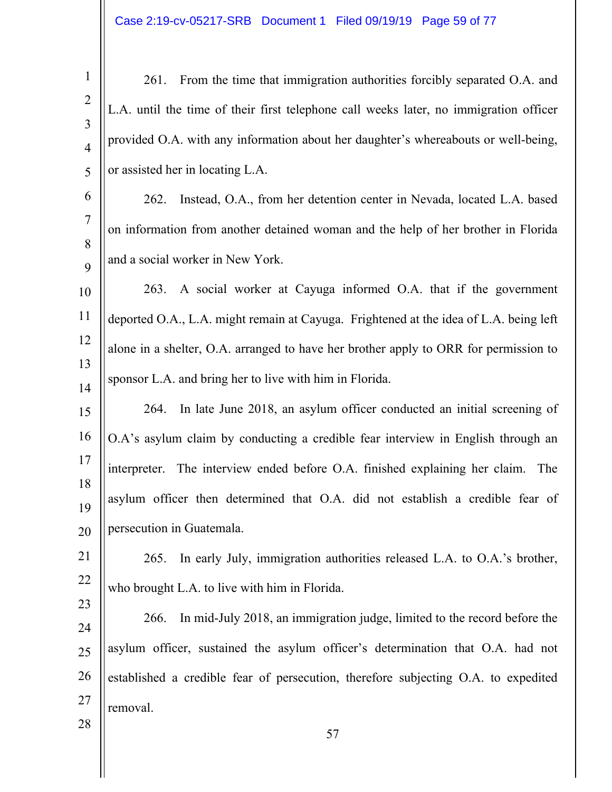1 2 3 4 5 261. From the time that immigration authorities forcibly separated O.A. and L.A. until the time of their first telephone call weeks later, no immigration officer provided O.A. with any information about her daughter's whereabouts or well-being, or assisted her in locating L.A.

6 7 8 9 262. Instead, O.A., from her detention center in Nevada, located L.A. based on information from another detained woman and the help of her brother in Florida and a social worker in New York.

10 11 12 13 14 263. A social worker at Cayuga informed O.A. that if the government deported O.A., L.A. might remain at Cayuga. Frightened at the idea of L.A. being left alone in a shelter, O.A. arranged to have her brother apply to ORR for permission to sponsor L.A. and bring her to live with him in Florida.

15 16 17 18 19 20 264. In late June 2018, an asylum officer conducted an initial screening of O.A's asylum claim by conducting a credible fear interview in English through an interpreter. The interview ended before O.A. finished explaining her claim. The asylum officer then determined that O.A. did not establish a credible fear of persecution in Guatemala.

21 22 265. In early July, immigration authorities released L.A. to O.A.'s brother, who brought L.A. to live with him in Florida.

23

28

24 25 26 27 266. In mid-July 2018, an immigration judge, limited to the record before the asylum officer, sustained the asylum officer's determination that O.A. had not established a credible fear of persecution, therefore subjecting O.A. to expedited removal.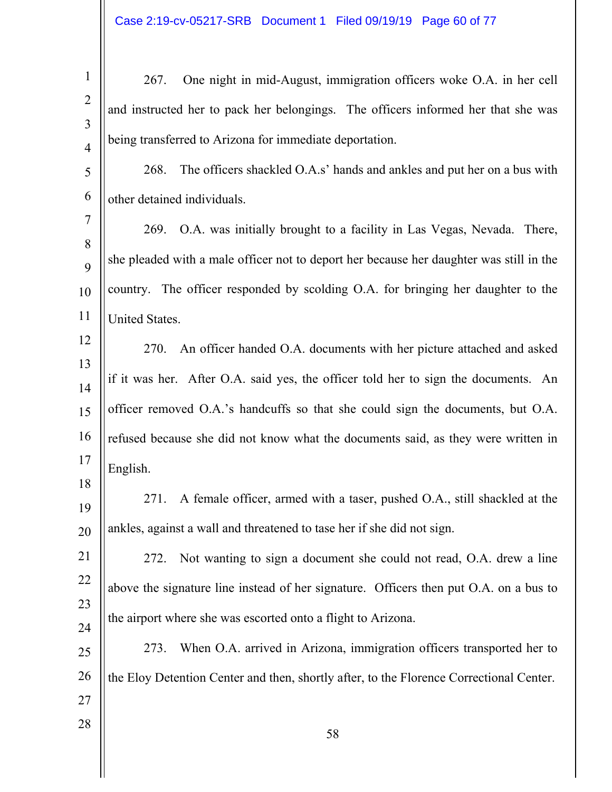| $\mathbf{1}$   | One night in mid-August, immigration officers woke O.A. in her cell<br>267.             |
|----------------|-----------------------------------------------------------------------------------------|
| $\overline{2}$ | and instructed her to pack her belongings. The officers informed her that she was       |
| 3              | being transferred to Arizona for immediate deportation.                                 |
| $\overline{4}$ |                                                                                         |
| 5              | The officers shackled O.A.s' hands and ankles and put her on a bus with<br>268.         |
| 6              | other detained individuals.                                                             |
| 7              | O.A. was initially brought to a facility in Las Vegas, Nevada. There,<br>269.           |
| 8<br>9         | she pleaded with a male officer not to deport her because her daughter was still in the |
| 10             | country. The officer responded by scolding O.A. for bringing her daughter to the        |
| 11             | United States.                                                                          |
| 12             |                                                                                         |
| 13             | An officer handed O.A. documents with her picture attached and asked<br>270.            |
| 14             | if it was her. After O.A. said yes, the officer told her to sign the documents. An      |
| 15             | officer removed O.A.'s handcuffs so that she could sign the documents, but O.A.         |
| 16             | refused because she did not know what the documents said, as they were written in       |
| 17             | English.                                                                                |
| 18<br>19       | A female officer, armed with a taser, pushed O.A., still shackled at the<br>271.        |
| 20             | ankles, against a wall and threatened to tase her if she did not sign.                  |
| 21             | Not wanting to sign a document she could not read, O.A. drew a line<br>272.             |
| 22             | above the signature line instead of her signature. Officers then put O.A. on a bus to   |
| 23             |                                                                                         |
| 24             | the airport where she was escorted onto a flight to Arizona.                            |
| 25             | When O.A. arrived in Arizona, immigration officers transported her to<br>273.           |
| 26             | the Eloy Detention Center and then, shortly after, to the Florence Correctional Center. |
| 27             |                                                                                         |
| 28             | 58                                                                                      |
|                |                                                                                         |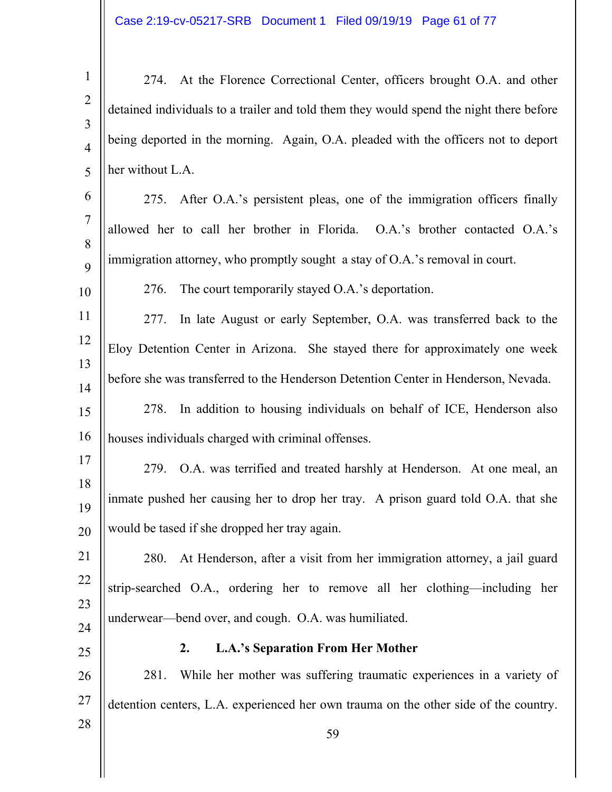1 2 3 4 5 274. At the Florence Correctional Center, officers brought O.A. and other detained individuals to a trailer and told them they would spend the night there before being deported in the morning. Again, O.A. pleaded with the officers not to deport her without L.A.

6 7 8  $\mathbf Q$ 275. After O.A.'s persistent pleas, one of the immigration officers finally allowed her to call her brother in Florida. O.A.'s brother contacted O.A.'s immigration attorney, who promptly sought a stay of O.A.'s removal in court.

276. The court temporarily stayed O.A.'s deportation.

11 12 13 14 277. In late August or early September, O.A. was transferred back to the Eloy Detention Center in Arizona. She stayed there for approximately one week before she was transferred to the Henderson Detention Center in Henderson, Nevada.

15 16 278. In addition to housing individuals on behalf of ICE, Henderson also houses individuals charged with criminal offenses.

17 18 19 20 279. O.A. was terrified and treated harshly at Henderson. At one meal, an inmate pushed her causing her to drop her tray. A prison guard told O.A. that she would be tased if she dropped her tray again.

21 22 23 24 280. At Henderson, after a visit from her immigration attorney, a jail guard strip-searched O.A., ordering her to remove all her clothing—including her underwear—bend over, and cough. O.A. was humiliated.

25

28

10

## **2. L.A.'s Separation From Her Mother**

26 27 281. While her mother was suffering traumatic experiences in a variety of detention centers, L.A. experienced her own trauma on the other side of the country.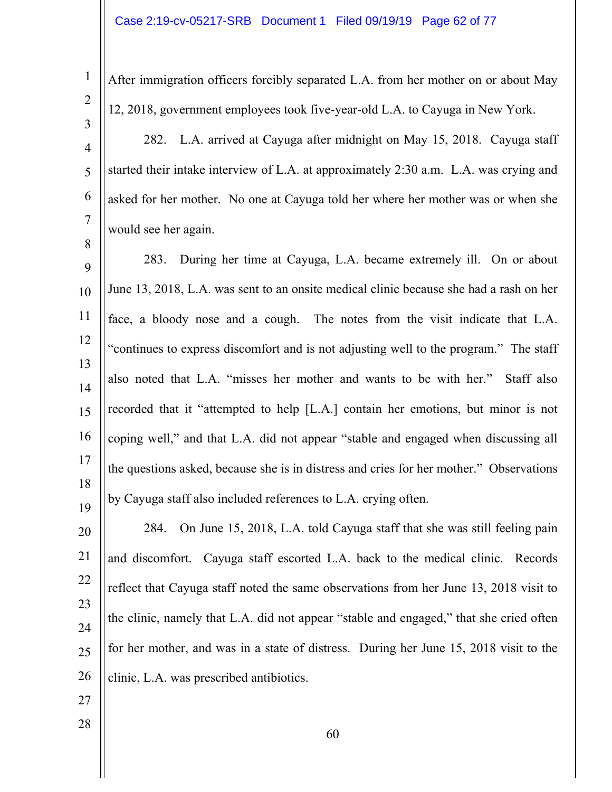After immigration officers forcibly separated L.A. from her mother on or about May 12, 2018, government employees took five-year-old L.A. to Cayuga in New York.

4 5 6 7 282. L.A. arrived at Cayuga after midnight on May 15, 2018. Cayuga staff started their intake interview of L.A. at approximately 2:30 a.m. L.A. was crying and asked for her mother. No one at Cayuga told her where her mother was or when she would see her again.

9 10 11 12 13 14 15 16 17 18 19 283. During her time at Cayuga, L.A. became extremely ill. On or about June 13, 2018, L.A. was sent to an onsite medical clinic because she had a rash on her face, a bloody nose and a cough. The notes from the visit indicate that L.A. "continues to express discomfort and is not adjusting well to the program." The staff also noted that L.A. "misses her mother and wants to be with her." Staff also recorded that it "attempted to help [L.A.] contain her emotions, but minor is not coping well," and that L.A. did not appear "stable and engaged when discussing all the questions asked, because she is in distress and cries for her mother." Observations by Cayuga staff also included references to L.A. crying often.

20 21 22 23 24 25 26 284. On June 15, 2018, L.A. told Cayuga staff that she was still feeling pain and discomfort. Cayuga staff escorted L.A. back to the medical clinic. Records reflect that Cayuga staff noted the same observations from her June 13, 2018 visit to the clinic, namely that L.A. did not appear "stable and engaged," that she cried often for her mother, and was in a state of distress. During her June 15, 2018 visit to the clinic, L.A. was prescribed antibiotics.

27

28

1

2

3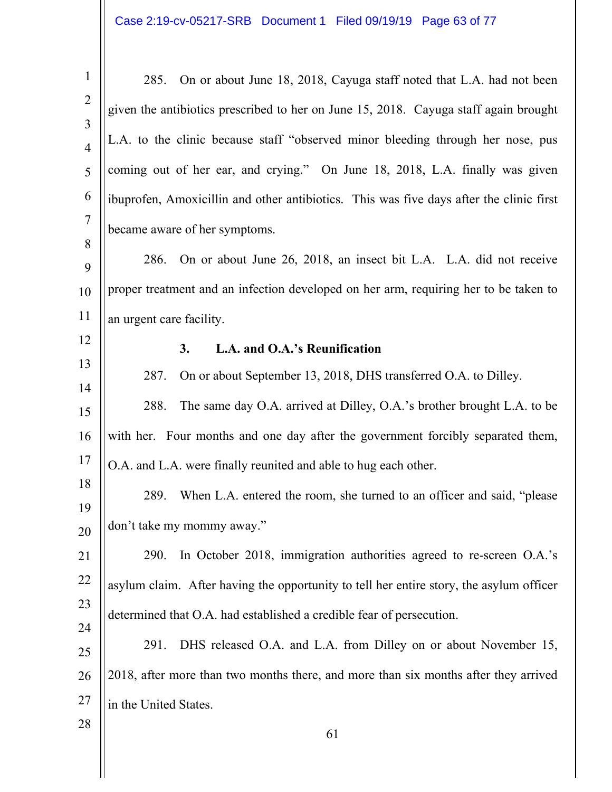| $\mathbf{1}$                     | On or about June 18, 2018, Cayuga staff noted that L.A. had not been<br>285.            |
|----------------------------------|-----------------------------------------------------------------------------------------|
| $\overline{2}$<br>$\overline{3}$ | given the antibiotics prescribed to her on June 15, 2018. Cayuga staff again brought    |
| $\overline{4}$                   | L.A. to the clinic because staff "observed minor bleeding through her nose, pus         |
| 5                                | coming out of her ear, and crying." On June 18, 2018, L.A. finally was given            |
| 6                                | ibuprofen, Amoxicillin and other antibiotics. This was five days after the clinic first |
| $\tau$<br>8                      | became aware of her symptoms.                                                           |
| 9                                | On or about June 26, 2018, an insect bit L.A. L.A. did not receive<br>286.              |
| 10                               | proper treatment and an infection developed on her arm, requiring her to be taken to    |
| 11                               | an urgent care facility.                                                                |
| 12                               | L.A. and O.A.'s Reunification<br>3.                                                     |
| 13                               | On or about September 13, 2018, DHS transferred O.A. to Dilley.<br>287.                 |
| 14                               | The same day O.A. arrived at Dilley, O.A.'s brother brought L.A. to be<br>288.          |
| 15                               |                                                                                         |
| 16                               | with her. Four months and one day after the government forcibly separated them,         |
| 17                               | O.A. and L.A. were finally reunited and able to hug each other.                         |
| 18<br>19                         | When L.A. entered the room, she turned to an officer and said, "please"<br>289.         |
| 20                               | don't take my mommy away."                                                              |
| 21                               | In October 2018, immigration authorities agreed to re-screen O.A.'s<br><b>290.</b>      |
| $22\,$                           | asylum claim. After having the opportunity to tell her entire story, the asylum officer |
| 23                               | determined that O.A. had established a credible fear of persecution.                    |
| 24                               |                                                                                         |
| 25                               | DHS released O.A. and L.A. from Dilley on or about November 15,<br>291.                 |
| 26                               | 2018, after more than two months there, and more than six months after they arrived     |
| 27                               | in the United States.                                                                   |
| 28                               | 61                                                                                      |
|                                  |                                                                                         |

 $\mathbb{I}$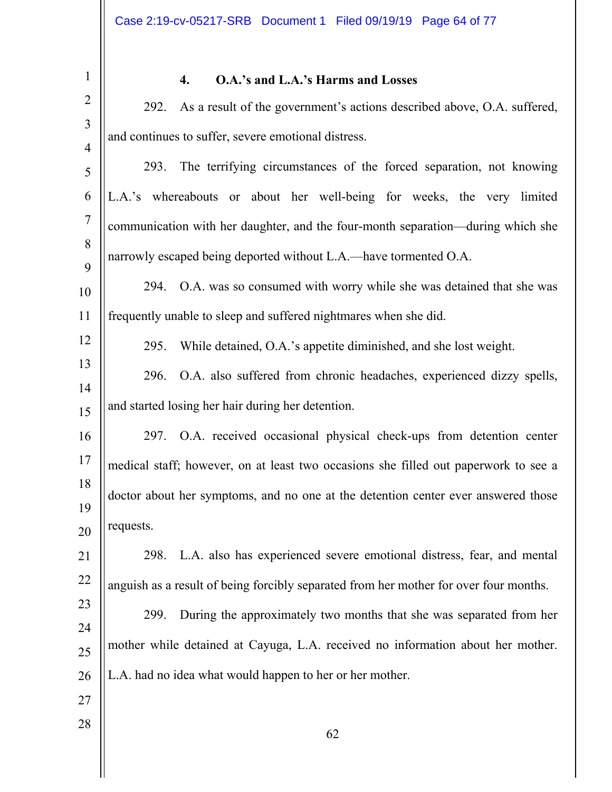1 2 3 4 5 6 7 8 9 10 11 12 13 14 15 16 17 18 19 20 21 22 23 24 25 26 27 28 62 **4. O.A.'s and L.A.'s Harms and Losses**  292. As a result of the government's actions described above, O.A. suffered, and continues to suffer, severe emotional distress. 293. The terrifying circumstances of the forced separation, not knowing L.A.'s whereabouts or about her well-being for weeks, the very limited communication with her daughter, and the four-month separation—during which she narrowly escaped being deported without L.A.—have tormented O.A. 294. O.A. was so consumed with worry while she was detained that she was frequently unable to sleep and suffered nightmares when she did. 295. While detained, O.A.'s appetite diminished, and she lost weight. 296. O.A. also suffered from chronic headaches, experienced dizzy spells, and started losing her hair during her detention. 297. O.A. received occasional physical check-ups from detention center medical staff; however, on at least two occasions she filled out paperwork to see a doctor about her symptoms, and no one at the detention center ever answered those requests. 298. L.A. also has experienced severe emotional distress, fear, and mental anguish as a result of being forcibly separated from her mother for over four months. 299. During the approximately two months that she was separated from her mother while detained at Cayuga, L.A. received no information about her mother. L.A. had no idea what would happen to her or her mother.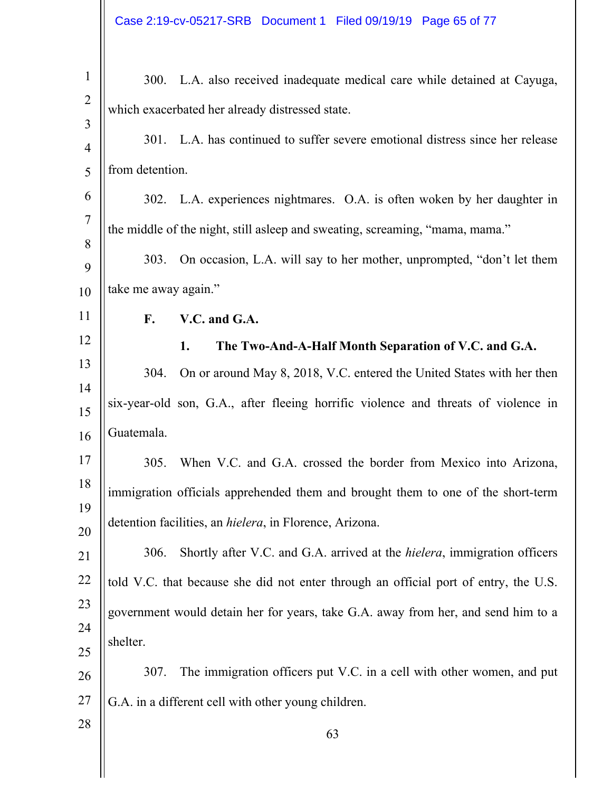| $\mathbf{1}$   | 300. L.A. also received inadequate medical care while detained at Cayuga,                |
|----------------|------------------------------------------------------------------------------------------|
| $\overline{2}$ | which exacerbated her already distressed state.                                          |
| 3<br>4         | 301. L.A. has continued to suffer severe emotional distress since her release            |
| 5              | from detention.                                                                          |
| 6              | 302. L.A. experiences nightmares. O.A. is often woken by her daughter in                 |
| $\overline{7}$ | the middle of the night, still asleep and sweating, screaming, "mama, mama."             |
| 8              | On occasion, L.A. will say to her mother, unprompted, "don't let them<br>303.            |
| 9              |                                                                                          |
| 10             | take me away again."                                                                     |
| 11             | F.<br>V.C. and G.A.                                                                      |
| 12             | 1.<br>The Two-And-A-Half Month Separation of V.C. and G.A.                               |
| 13<br>14       | On or around May 8, 2018, V.C. entered the United States with her then<br>304.           |
| 15             | six-year-old son, G.A., after fleeing horrific violence and threats of violence in       |
| 16             | Guatemala.                                                                               |
| 17             | When V.C. and G.A. crossed the border from Mexico into Arizona,<br>305.                  |
| 18             | immigration officials apprehended them and brought them to one of the short-term         |
| 19<br>20       | detention facilities, an hielera, in Florence, Arizona.                                  |
| 21             | Shortly after V.C. and G.A. arrived at the <i>hielera</i> , immigration officers<br>306. |
| 22             | told V.C. that because she did not enter through an official port of entry, the U.S.     |
| 23             | government would detain her for years, take G.A. away from her, and send him to a        |
| 24             | shelter.                                                                                 |
| 25             | The immigration officers put V.C. in a cell with other women, and put<br>307.            |
| 26             |                                                                                          |
| 27             | G.A. in a different cell with other young children.                                      |
| 28             | 63                                                                                       |
|                |                                                                                          |
|                |                                                                                          |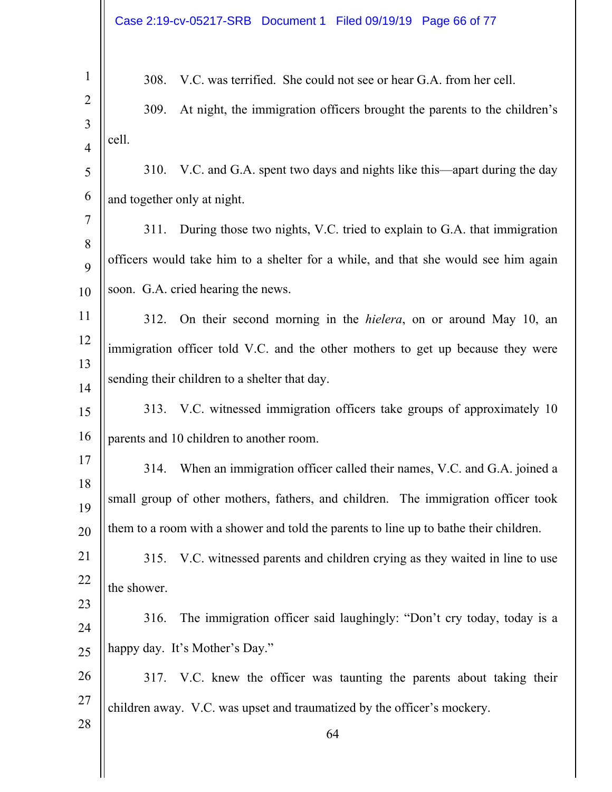|                     | Case 2:19-cv-05217-SRB Document 1 Filed 09/19/19 Page 66 of 77                        |  |
|---------------------|---------------------------------------------------------------------------------------|--|
| $\mathbf{1}$        | V.C. was terrified. She could not see or hear G.A. from her cell.<br>308.             |  |
| $\overline{2}$      | At night, the immigration officers brought the parents to the children's<br>309.      |  |
| 3<br>$\overline{4}$ | cell.                                                                                 |  |
| 5                   | V.C. and G.A. spent two days and nights like this—apart during the day<br>310.        |  |
| 6                   | and together only at night.                                                           |  |
| 7                   | During those two nights, V.C. tried to explain to G.A. that immigration<br>311.       |  |
| 8<br>9              | officers would take him to a shelter for a while, and that she would see him again    |  |
| 10                  | soon. G.A. cried hearing the news.                                                    |  |
| 11                  | On their second morning in the <i>hielera</i> , on or around May 10, an<br>312.       |  |
| 12                  | immigration officer told V.C. and the other mothers to get up because they were       |  |
| 13                  | sending their children to a shelter that day.                                         |  |
| 14<br>15            | 313. V.C. witnessed immigration officers take groups of approximately 10              |  |
| 16                  | parents and 10 children to another room.                                              |  |
| 17                  | When an immigration officer called their names, V.C. and G.A. joined a<br>314.        |  |
| 18                  | small group of other mothers, fathers, and children. The immigration officer took     |  |
| 19<br>20            | them to a room with a shower and told the parents to line up to bathe their children. |  |
| 21                  | V.C. witnessed parents and children crying as they waited in line to use<br>315.      |  |
| 22                  | the shower.                                                                           |  |
| 23                  | The immigration officer said laughingly: "Don't cry today, today is a<br>316.         |  |
| 24<br>$25\,$        | happy day. It's Mother's Day."                                                        |  |
| 26                  | 317. V.C. knew the officer was taunting the parents about taking their                |  |
| 27                  | children away. V.C. was upset and traumatized by the officer's mockery.               |  |
| 28                  | 64                                                                                    |  |
|                     |                                                                                       |  |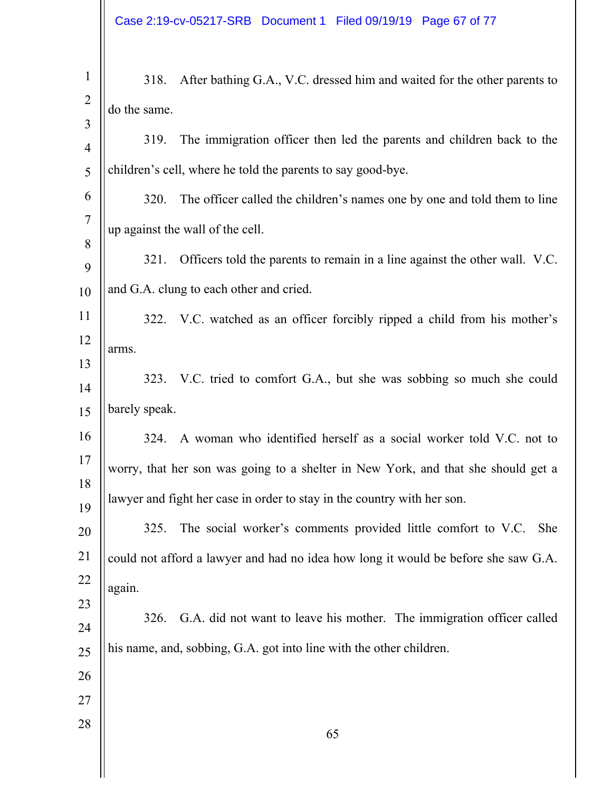| $\mathbf{1}$<br>$\overline{2}$ | 318.<br>do the same. | After bathing G.A., V.C. dressed him and waited for the other parents to           |
|--------------------------------|----------------------|------------------------------------------------------------------------------------|
| 3<br>$\overline{4}$            | 319.                 | The immigration officer then led the parents and children back to the              |
| 5                              |                      | children's cell, where he told the parents to say good-bye.                        |
| 6                              | 320.                 | The officer called the children's names one by one and told them to line           |
| $\tau$                         |                      | up against the wall of the cell.                                                   |
| 8<br>9                         | 321.                 | Officers told the parents to remain in a line against the other wall. V.C.         |
| 10                             |                      | and G.A. clung to each other and cried.                                            |
| 11                             |                      | 322. V.C. watched as an officer forcibly ripped a child from his mother's          |
| 12                             | arms.                |                                                                                    |
| 13<br>14                       |                      | 323. V.C. tried to comfort G.A., but she was sobbing so much she could             |
| 15                             | barely speak.        |                                                                                    |
| 16                             |                      | 324. A woman who identified herself as a social worker told V.C. not to            |
| 17                             |                      | worry, that her son was going to a shelter in New York, and that she should get a  |
| 18<br>19                       |                      | lawyer and fight her case in order to stay in the country with her son.            |
| 20                             | 325.                 | The social worker's comments provided little comfort to V.C.<br><b>She</b>         |
| 21                             |                      | could not afford a lawyer and had no idea how long it would be before she saw G.A. |
| 22                             | again.               |                                                                                    |
| 23                             | 326.                 | G.A. did not want to leave his mother. The immigration officer called              |
| 24<br>25                       |                      | his name, and, sobbing, G.A. got into line with the other children.                |
| 26                             |                      |                                                                                    |
| 27                             |                      |                                                                                    |
| 28                             |                      | 65                                                                                 |
|                                |                      |                                                                                    |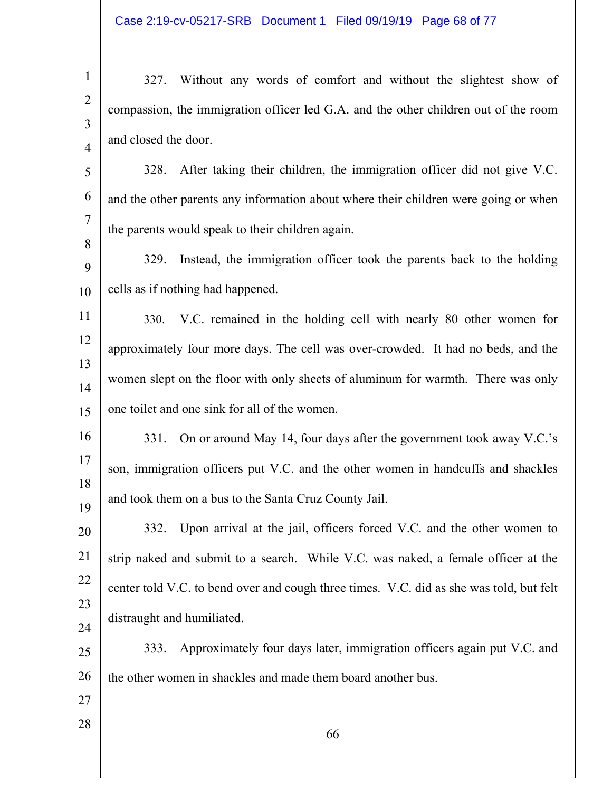1 2 3 4 327. Without any words of comfort and without the slightest show of compassion, the immigration officer led G.A. and the other children out of the room and closed the door.

5 6 7 328. After taking their children, the immigration officer did not give V.C. and the other parents any information about where their children were going or when the parents would speak to their children again.

9 10 329. Instead, the immigration officer took the parents back to the holding cells as if nothing had happened.

11 12 13 14 15 330. V.C. remained in the holding cell with nearly 80 other women for approximately four more days. The cell was over-crowded. It had no beds, and the women slept on the floor with only sheets of aluminum for warmth. There was only one toilet and one sink for all of the women.

16 17 18 19 331. On or around May 14, four days after the government took away V.C.'s son, immigration officers put V.C. and the other women in handcuffs and shackles and took them on a bus to the Santa Cruz County Jail.

20 21 22 23 24 332. Upon arrival at the jail, officers forced V.C. and the other women to strip naked and submit to a search. While V.C. was naked, a female officer at the center told V.C. to bend over and cough three times. V.C. did as she was told, but felt distraught and humiliated.

25 26 333. Approximately four days later, immigration officers again put V.C. and the other women in shackles and made them board another bus.

27

28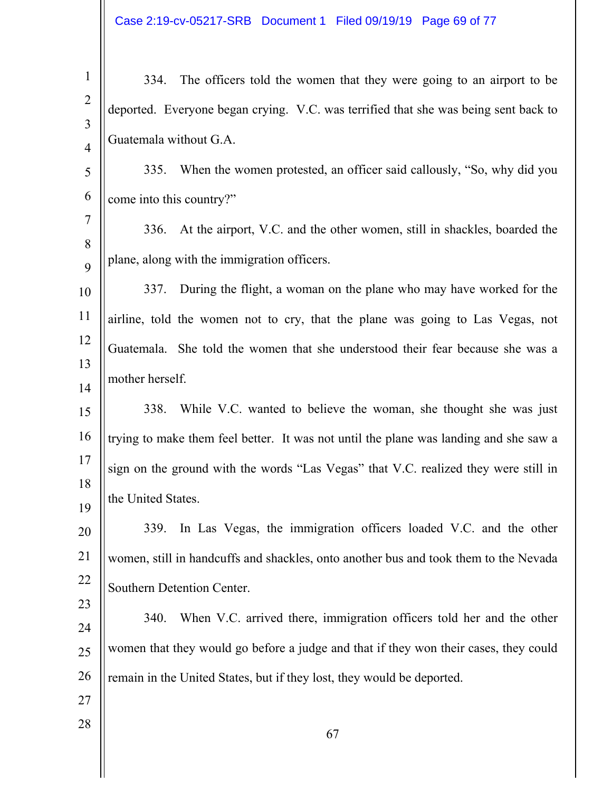Case 2:19-cv-05217-SRB Document 1 Filed 09/19/19 Page 69 of 77

| The officers told the women that they were going to an airport to be<br>334.          |
|---------------------------------------------------------------------------------------|
| deported. Everyone began crying. V.C. was terrified that she was being sent back to   |
| Guatemala without G.A.                                                                |
| 335. When the women protested, an officer said callously, "So, why did you            |
| come into this country?"                                                              |
| At the airport, V.C. and the other women, still in shackles, boarded the<br>336.      |
| plane, along with the immigration officers.                                           |
| During the flight, a woman on the plane who may have worked for the<br>337.           |
| airline, told the women not to cry, that the plane was going to Las Vegas, not        |
| Guatemala. She told the women that she understood their fear because she was a        |
| mother herself.                                                                       |
| While V.C. wanted to believe the woman, she thought she was just<br>338.              |
| trying to make them feel better. It was not until the plane was landing and she saw a |
| sign on the ground with the words "Las Vegas" that V.C. realized they were still in   |
| the United States.                                                                    |
|                                                                                       |
| In Las Vegas, the immigration officers loaded V.C. and the other<br>339.              |
| women, still in handcuffs and shackles, onto another bus and took them to the Nevada  |
| Southern Detention Center.                                                            |
| When V.C. arrived there, immigration officers told her and the other<br>340.          |
| women that they would go before a judge and that if they won their cases, they could  |
|                                                                                       |
| remain in the United States, but if they lost, they would be deported.                |
|                                                                                       |
| 67                                                                                    |
|                                                                                       |
|                                                                                       |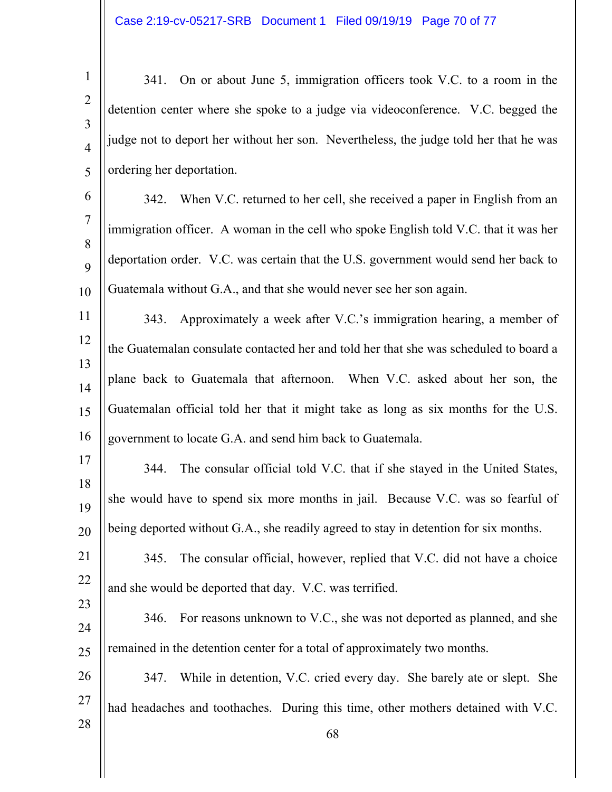1 2 3 4 5 341. On or about June 5, immigration officers took V.C. to a room in the detention center where she spoke to a judge via videoconference. V.C. begged the judge not to deport her without her son. Nevertheless, the judge told her that he was ordering her deportation.

6 7 8  $\mathbf Q$ 10 342. When V.C. returned to her cell, she received a paper in English from an immigration officer. A woman in the cell who spoke English told V.C. that it was her deportation order. V.C. was certain that the U.S. government would send her back to Guatemala without G.A., and that she would never see her son again.

11 12 13 14 15 16 343. Approximately a week after V.C.'s immigration hearing, a member of the Guatemalan consulate contacted her and told her that she was scheduled to board a plane back to Guatemala that afternoon. When V.C. asked about her son, the Guatemalan official told her that it might take as long as six months for the U.S. government to locate G.A. and send him back to Guatemala.

17 18 19 20 344. The consular official told V.C. that if she stayed in the United States, she would have to spend six more months in jail. Because V.C. was so fearful of being deported without G.A., she readily agreed to stay in detention for six months.

- 21 22 345. The consular official, however, replied that V.C. did not have a choice and she would be deported that day. V.C. was terrified.
- 24 25 346. For reasons unknown to V.C., she was not deported as planned, and she remained in the detention center for a total of approximately two months.

23

28

26 27 347. While in detention, V.C. cried every day. She barely ate or slept. She had headaches and toothaches. During this time, other mothers detained with V.C.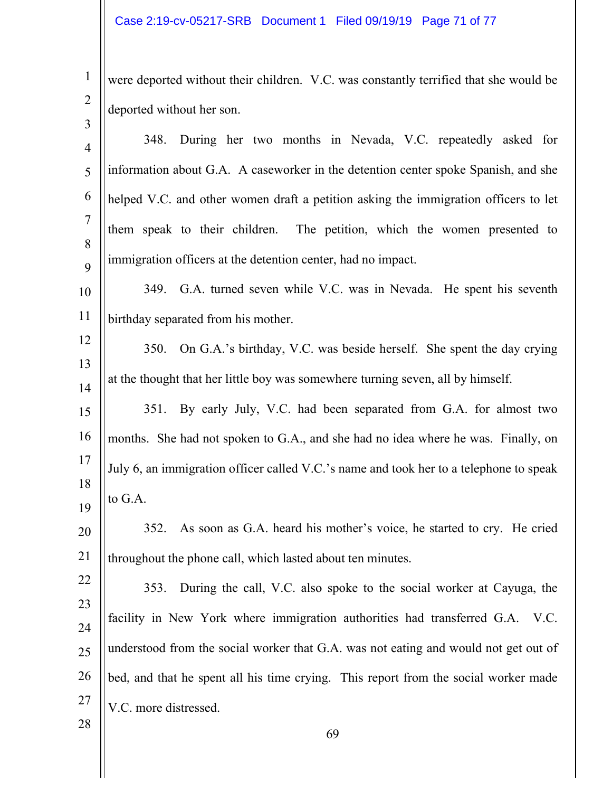1

2

3 were deported without their children. V.C. was constantly terrified that she would be deported without her son.

| $\overline{4}$ | During her two months in Nevada, V.C. repeatedly asked for<br>348.                     |
|----------------|----------------------------------------------------------------------------------------|
| 5              | information about G.A. A caseworker in the detention center spoke Spanish, and she     |
| 6              | helped V.C. and other women draft a petition asking the immigration officers to let    |
| $\overline{7}$ | them speak to their children. The petition, which the women presented to               |
| 8              | immigration officers at the detention center, had no impact.                           |
| 9              |                                                                                        |
| 10             | 349. G.A. turned seven while V.C. was in Nevada. He spent his seventh                  |
| 11             | birthday separated from his mother.                                                    |
| 12             | On G.A.'s birthday, V.C. was beside herself. She spent the day crying<br><b>350.</b>   |
| 13             | at the thought that her little boy was somewhere turning seven, all by himself.        |
| 14             | By early July, V.C. had been separated from G.A. for almost two<br>351.                |
| 15             |                                                                                        |
| 16             | months. She had not spoken to G.A., and she had no idea where he was. Finally, on      |
| 17             | July 6, an immigration officer called V.C.'s name and took her to a telephone to speak |
| 18<br>19       | to G.A.                                                                                |
| 20             | As soon as G.A. heard his mother's voice, he started to cry. He cried<br>352.          |
| 21             | throughout the phone call, which lasted about ten minutes.                             |
| 22             | During the call, V.C. also spoke to the social worker at Cayuga, the<br>353.           |
| 23             |                                                                                        |
| 24             | facility in New York where immigration authorities had transferred G.A.<br>V.C.        |
| 25             | understood from the social worker that G.A. was not eating and would not get out of    |
| 26             | bed, and that he spent all his time crying. This report from the social worker made    |
| 27             | V.C. more distressed.                                                                  |
| 28             | 69                                                                                     |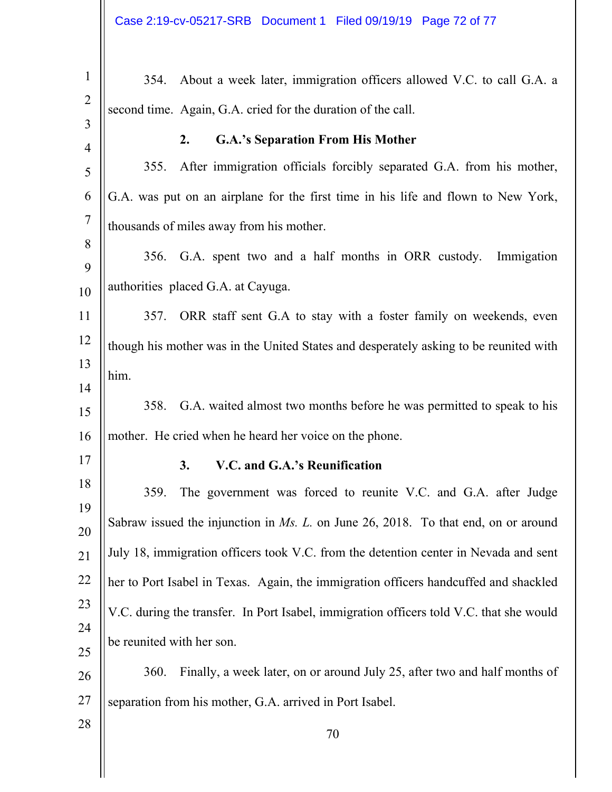| $\mathbf{1}$   | About a week later, immigration officers allowed V.C. to call G.A. a<br>354.            |
|----------------|-----------------------------------------------------------------------------------------|
| $\overline{2}$ | second time. Again, G.A. cried for the duration of the call.                            |
| $\overline{3}$ |                                                                                         |
| $\overline{4}$ | <b>G.A.'s Separation From His Mother</b><br>2.                                          |
| 5              | After immigration officials forcibly separated G.A. from his mother,<br>355.            |
| 6              | G.A. was put on an airplane for the first time in his life and flown to New York,       |
| $\overline{7}$ | thousands of miles away from his mother.                                                |
| 8              |                                                                                         |
| 9              | 356. G.A. spent two and a half months in ORR custody.<br>Immigation                     |
| 10             | authorities placed G.A. at Cayuga.                                                      |
| 11             | ORR staff sent G.A to stay with a foster family on weekends, even<br>357.               |
| 12             | though his mother was in the United States and desperately asking to be reunited with   |
| 13             | him.                                                                                    |
| 14             |                                                                                         |
| 15             | G.A. waited almost two months before he was permitted to speak to his<br>358.           |
| 16             | mother. He cried when he heard her voice on the phone.                                  |
| 17             | V.C. and G.A.'s Reunification<br>3.                                                     |
| 18             | The government was forced to reunite V.C. and G.A. after Judge<br>359.                  |
| 19             | Sabraw issued the injunction in $Ms$ . L. on June 26, 2018. To that end, on or around   |
| 20             |                                                                                         |
| 21             | July 18, immigration officers took V.C. from the detention center in Nevada and sent    |
| 22             | her to Port Isabel in Texas. Again, the immigration officers handcuffed and shackled    |
| 23             | V.C. during the transfer. In Port Isabel, immigration officers told V.C. that she would |
| 24             | be reunited with her son.                                                               |
| 25             |                                                                                         |
| 26             | Finally, a week later, on or around July 25, after two and half months of<br>360.       |
| 27             | separation from his mother, G.A. arrived in Port Isabel.                                |
| 28             | 70                                                                                      |
|                |                                                                                         |

 $\parallel$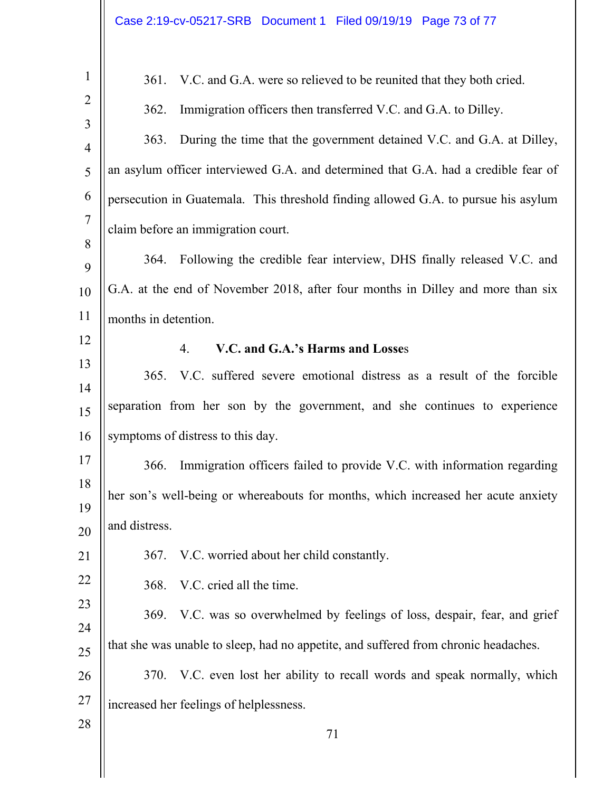| $\mathbf{1}$        | V.C. and G.A. were so relieved to be reunited that they both cried.<br>361.          |  |  |  |
|---------------------|--------------------------------------------------------------------------------------|--|--|--|
| $\overline{2}$      | Immigration officers then transferred V.C. and G.A. to Dilley.<br>362.               |  |  |  |
| 3                   | During the time that the government detained V.C. and G.A. at Dilley,<br>363.        |  |  |  |
| $\overline{4}$<br>5 | an asylum officer interviewed G.A. and determined that G.A. had a credible fear of   |  |  |  |
|                     |                                                                                      |  |  |  |
| 6<br>$\overline{7}$ | persecution in Guatemala. This threshold finding allowed G.A. to pursue his asylum   |  |  |  |
| 8                   | claim before an immigration court.                                                   |  |  |  |
| 9                   | Following the credible fear interview, DHS finally released V.C. and<br>364.         |  |  |  |
| 10                  | G.A. at the end of November 2018, after four months in Dilley and more than six      |  |  |  |
| 11                  | months in detention.                                                                 |  |  |  |
| 12                  | V.C. and G.A.'s Harms and Losses<br>4.                                               |  |  |  |
| 13                  | V.C. suffered severe emotional distress as a result of the forcible<br>365.          |  |  |  |
| 14                  |                                                                                      |  |  |  |
| 15                  | separation from her son by the government, and she continues to experience           |  |  |  |
| 16                  | symptoms of distress to this day.                                                    |  |  |  |
| 17                  | Immigration officers failed to provide V.C. with information regarding<br>366.       |  |  |  |
| 18                  | her son's well-being or whereabouts for months, which increased her acute anxiety    |  |  |  |
| 19<br>20            | and distress.                                                                        |  |  |  |
| 21                  | V.C. worried about her child constantly.<br><b>367.</b>                              |  |  |  |
| 22                  | V.C. cried all the time.<br>368.                                                     |  |  |  |
| 23                  | V.C. was so overwhelmed by feelings of loss, despair, fear, and grief<br><b>369.</b> |  |  |  |
| 24                  |                                                                                      |  |  |  |
| 25                  | that she was unable to sleep, had no appetite, and suffered from chronic headaches.  |  |  |  |
| 26                  | V.C. even lost her ability to recall words and speak normally, which<br>370.         |  |  |  |
| 27                  | increased her feelings of helplessness.                                              |  |  |  |
| 28                  | 71                                                                                   |  |  |  |
|                     |                                                                                      |  |  |  |
|                     |                                                                                      |  |  |  |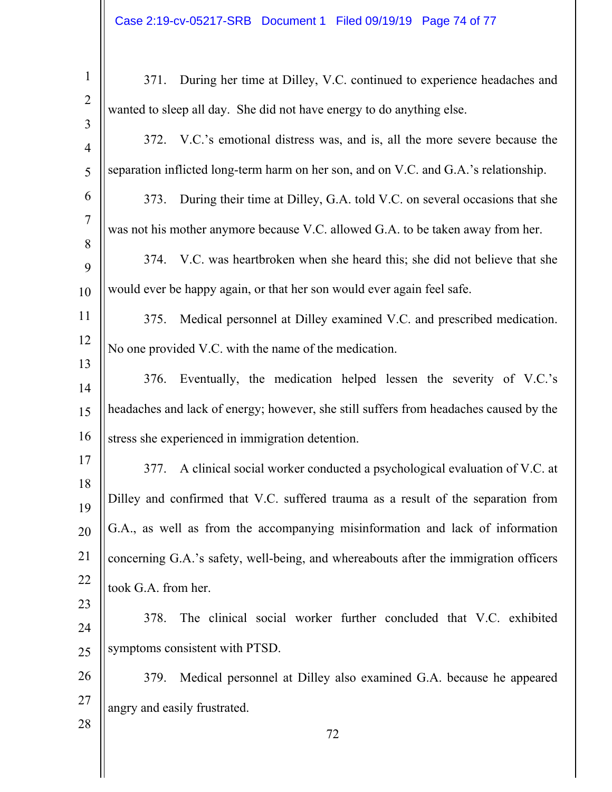| $\mathbf{1}$                     | 371. During her time at Dilley, V.C. continued to experience headaches and            |  |  |
|----------------------------------|---------------------------------------------------------------------------------------|--|--|
| $\overline{2}$                   | wanted to sleep all day. She did not have energy to do anything else.                 |  |  |
| $\overline{3}$<br>$\overline{4}$ | 372. V.C.'s emotional distress was, and is, all the more severe because the           |  |  |
| 5                                | separation inflicted long-term harm on her son, and on V.C. and G.A.'s relationship.  |  |  |
| 6                                | 373. During their time at Dilley, G.A. told V.C. on several occasions that she        |  |  |
| $\overline{7}$                   | was not his mother anymore because V.C. allowed G.A. to be taken away from her.       |  |  |
| 8<br>9                           | 374. V.C. was heartbroken when she heard this; she did not believe that she           |  |  |
| 10                               | would ever be happy again, or that her son would ever again feel safe.                |  |  |
| 11                               | Medical personnel at Dilley examined V.C. and prescribed medication.<br>375.          |  |  |
| 12                               | No one provided V.C. with the name of the medication.                                 |  |  |
| 13<br>14                         | Eventually, the medication helped lessen the severity of V.C.'s<br>376.               |  |  |
| 15                               | headaches and lack of energy; however, she still suffers from headaches caused by the |  |  |
| 16                               | stress she experienced in immigration detention.                                      |  |  |
| 17                               | 377. A clinical social worker conducted a psychological evaluation of V.C. at         |  |  |
| 18                               | Dilley and confirmed that V.C. suffered trauma as a result of the separation from     |  |  |
| 19<br>20                         | G.A., as well as from the accompanying misinformation and lack of information         |  |  |
| 21                               | concerning G.A.'s safety, well-being, and whereabouts after the immigration officers  |  |  |
| 22                               | took G.A. from her.                                                                   |  |  |
| 23                               | The clinical social worker further concluded that V.C. exhibited<br>378.              |  |  |
| 24                               | symptoms consistent with PTSD.                                                        |  |  |
| 25<br>26                         | Medical personnel at Dilley also examined G.A. because he appeared<br>379.            |  |  |
| 27                               |                                                                                       |  |  |
| 28                               | angry and easily frustrated.<br>72                                                    |  |  |
|                                  |                                                                                       |  |  |
|                                  |                                                                                       |  |  |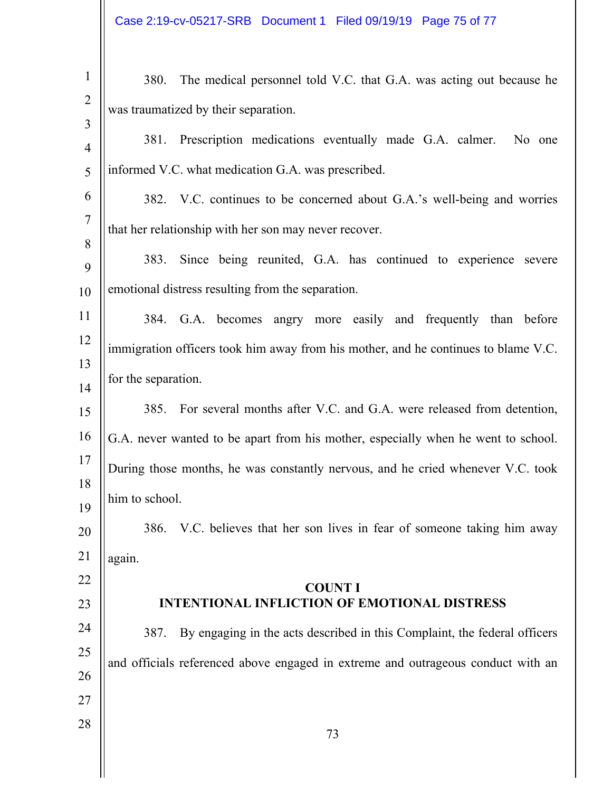| $\mathbf{1}$        | The medical personnel told V.C. that G.A. was acting out because he<br>380.        |  |  |
|---------------------|------------------------------------------------------------------------------------|--|--|
| $\overline{2}$      | was traumatized by their separation.                                               |  |  |
| 3<br>$\overline{4}$ | 381. Prescription medications eventually made G.A. calmer.<br>No one               |  |  |
| 5                   | informed V.C. what medication G.A. was prescribed.                                 |  |  |
| 6                   |                                                                                    |  |  |
| $\tau$              | 382. V.C. continues to be concerned about G.A.'s well-being and worries            |  |  |
| 8                   | that her relationship with her son may never recover.                              |  |  |
| 9                   | Since being reunited, G.A. has continued to experience severe<br>383.              |  |  |
| 10                  | emotional distress resulting from the separation.                                  |  |  |
| 11                  | 384. G.A. becomes angry more easily and frequently than before                     |  |  |
| 12                  |                                                                                    |  |  |
| 13                  | immigration officers took him away from his mother, and he continues to blame V.C. |  |  |
| 14                  | for the separation.                                                                |  |  |
| 15                  | 385. For several months after V.C. and G.A. were released from detention,          |  |  |
| 16                  | G.A. never wanted to be apart from his mother, especially when he went to school.  |  |  |
| 17                  | During those months, he was constantly nervous, and he cried whenever V.C. took    |  |  |
| 18                  | him to school.                                                                     |  |  |
| 19                  |                                                                                    |  |  |
| 20                  | 386. V.C. believes that her son lives in fear of someone taking him away           |  |  |
| 21                  | again.                                                                             |  |  |
| 22                  | <b>COUNT I</b>                                                                     |  |  |
| 23                  | <b>INTENTIONAL INFLICTION OF EMOTIONAL DISTRESS</b>                                |  |  |
| 24                  | By engaging in the acts described in this Complaint, the federal officers<br>387.  |  |  |
| 25<br>26            | and officials referenced above engaged in extreme and outrageous conduct with an   |  |  |
| 27                  |                                                                                    |  |  |
| 28                  |                                                                                    |  |  |
|                     | 73                                                                                 |  |  |

 $\parallel$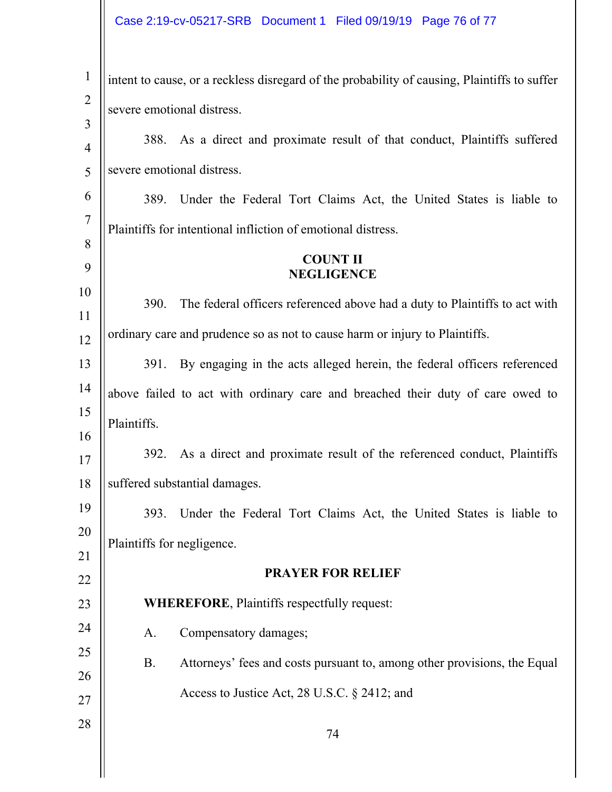## Case 2:19-cv-05217-SRB Document 1 Filed 09/19/19 Page 76 of 77

| $\mathbf{1}$        | intent to cause, or a reckless disregard of the probability of causing, Plaintiffs to suffer |  |  |  |
|---------------------|----------------------------------------------------------------------------------------------|--|--|--|
| $\overline{2}$      | severe emotional distress.                                                                   |  |  |  |
| 3<br>$\overline{4}$ | As a direct and proximate result of that conduct, Plaintiffs suffered<br>388.                |  |  |  |
| 5                   | severe emotional distress.                                                                   |  |  |  |
| 6                   | Under the Federal Tort Claims Act, the United States is liable to<br>389.                    |  |  |  |
| $\overline{7}$      |                                                                                              |  |  |  |
| 8                   | Plaintiffs for intentional infliction of emotional distress.                                 |  |  |  |
| 9                   | <b>COUNT II</b><br><b>NEGLIGENCE</b>                                                         |  |  |  |
| 10                  | The federal officers referenced above had a duty to Plaintiffs to act with<br>390.           |  |  |  |
| 11<br>12            | ordinary care and prudence so as not to cause harm or injury to Plaintiffs.                  |  |  |  |
| 13                  | By engaging in the acts alleged herein, the federal officers referenced<br>391.              |  |  |  |
| 14                  | above failed to act with ordinary care and breached their duty of care owed to               |  |  |  |
| 15                  | Plaintiffs.                                                                                  |  |  |  |
| 16                  | As a direct and proximate result of the referenced conduct, Plaintiffs<br>392.               |  |  |  |
| 17<br>18            | suffered substantial damages.                                                                |  |  |  |
| 19                  |                                                                                              |  |  |  |
| 20                  | Under the Federal Tort Claims Act, the United States is liable to<br>393.                    |  |  |  |
| 21                  | Plaintiffs for negligence.                                                                   |  |  |  |
| 22                  | <b>PRAYER FOR RELIEF</b>                                                                     |  |  |  |
| 23                  | <b>WHEREFORE, Plaintiffs respectfully request:</b>                                           |  |  |  |
| 24                  | Compensatory damages;<br>A.                                                                  |  |  |  |
| 25                  | <b>B.</b><br>Attorneys' fees and costs pursuant to, among other provisions, the Equal        |  |  |  |
| 26                  | Access to Justice Act, 28 U.S.C. § 2412; and                                                 |  |  |  |
| 27                  |                                                                                              |  |  |  |
| 28                  | 74                                                                                           |  |  |  |
|                     |                                                                                              |  |  |  |